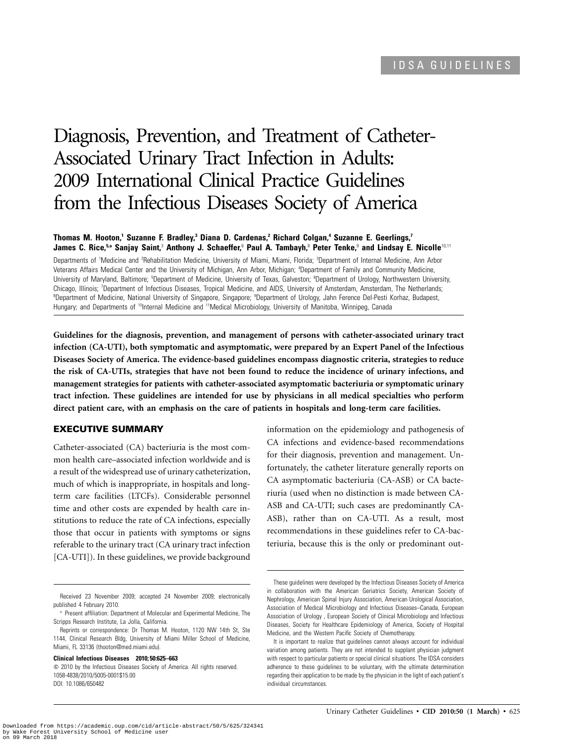# Diagnosis, Prevention, and Treatment of Catheter-Associated Urinary Tract Infection in Adults: 2009 International Clinical Practice Guidelines from the Infectious Diseases Society of America

#### **Thomas M. Hooton,1 Suzanne F. Bradley,3 Diana D. Cardenas,2 Richard Colgan,4 Suzanne E. Geerlings,7 James C. Rice,5,a Sanjay Saint,**<sup>3</sup> **Anthony J. Schaeffer,**<sup>6</sup> **Paul A. Tambayh,**<sup>8</sup> **Peter Tenke,**<sup>9</sup> **and Lindsay E. Nicolle**10,11

Departments of 'Medicine and <sup>2</sup>Rehabilitation Medicine, University of Miami, Miami, Florida; <sup>3</sup>Department of Internal Medicine, Ann Arbor Veterans Affairs Medical Center and the University of Michigan, Ann Arbor, Michigan; <sup>4</sup>Department of Family and Community Medicine, University of Maryland, Baltimore; <sup>5</sup>Department of Medicine, University of Texas, Galveston; <sup>6</sup>Department of Urology, Northwestern University, Chicago, Illinois; <sup>7</sup>Department of Infectious Diseases, Tropical Medicine, and AIDS, University of Amsterdam, Amsterdam, The Netherlands; <sup>8</sup>Department of Medicine, National University of Singapore, Singapore; <sup>9</sup>Department of Urology, Jahn Ference Del-Pesti Korhaz, Budapest, Hungary; and Departments of <sup>10</sup>Internal Medicine and <sup>11</sup>Medical Microbiology, University of Manitoba, Winnipeg, Canada

**Guidelines for the diagnosis, prevention, and management of persons with catheter-associated urinary tract infection (CA-UTI), both symptomatic and asymptomatic, were prepared by an Expert Panel of the Infectious Diseases Society of America. The evidence-based guidelines encompass diagnostic criteria, strategies to reduce the risk of CA-UTIs, strategies that have not been found to reduce the incidence of urinary infections, and management strategies for patients with catheter-associated asymptomatic bacteriuria or symptomatic urinary tract infection. These guidelines are intended for use by physicians in all medical specialties who perform direct patient care, with an emphasis on the care of patients in hospitals and long-term care facilities.**

## **EXECUTIVE SUMMARY**

Catheter-associated (CA) bacteriuria is the most common health care–associated infection worldwide and is a result of the widespread use of urinary catheterization, much of which is inappropriate, in hospitals and longterm care facilities (LTCFs). Considerable personnel time and other costs are expended by health care institutions to reduce the rate of CA infections, especially those that occur in patients with symptoms or signs referable to the urinary tract (CA urinary tract infection [CA-UTI]). In these guidelines, we provide background

**Clinical Infectious Diseases 2010; 50:625–663**

information on the epidemiology and pathogenesis of CA infections and evidence-based recommendations for their diagnosis, prevention and management. Unfortunately, the catheter literature generally reports on CA asymptomatic bacteriuria (CA-ASB) or CA bacteriuria (used when no distinction is made between CA-ASB and CA-UTI; such cases are predominantly CA-ASB), rather than on CA-UTI. As a result, most recommendations in these guidelines refer to CA-bacteriuria, because this is the only or predominant out-

Received 23 November 2009; accepted 24 November 2009; electronically published 4 February 2010.

<sup>a</sup> Present affiliation: Department of Molecular and Experimental Medicine, The Scripps Research Institute, La Jolla, California.

Reprints or correspondence: Dr Thomas M. Hooton, 1120 NW 14th St, Ste 1144, Clinical Research Bldg, University of Miami Miller School of Medicine, Miami, FL 33136 (thooton@med.miami.edu).

 $\degree$  2010 by the Infectious Diseases Society of America. All rights reserved. 1058-4838/2010/5005-0001\$15.00 DOI: 10.1086/650482

These guidelines were developed by the Infectious Diseases Society of America in collaboration with the American Geriatrics Society, American Society of Nephrology, American Spinal Injury Association, American Urological Association, Association of Medical Microbiology and Infectious Diseases–Canada, European Association of Urology , European Society of Clinical Microbiology and Infectious Diseases, Society for Healthcare Epidemiology of America, Society of Hospital Medicine, and the Western Pacific Society of Chemotherapy.

It is important to realize that guidelines cannot always account for individual variation among patients. They are not intended to supplant physician judgment with respect to particular patients or special clinical situations. The IDSA considers adherence to these guidelines to be voluntary, with the ultimate determination regarding their application to be made by the physician in the light of each patient's individual circumstances.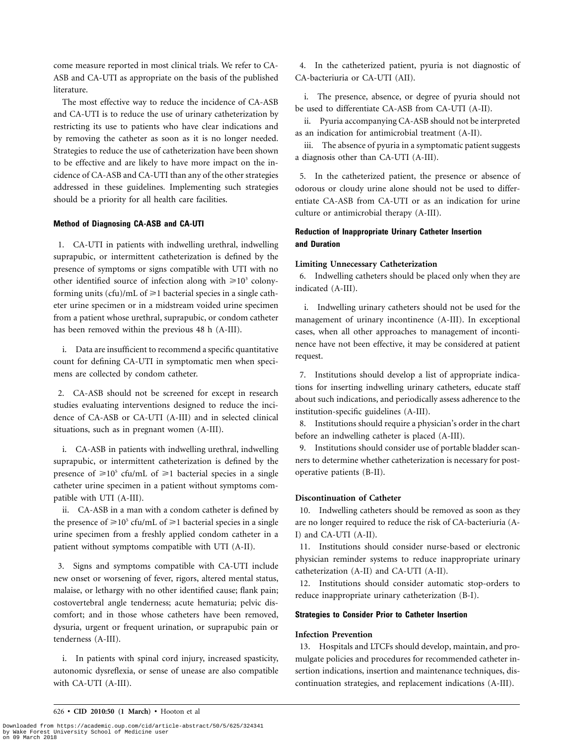come measure reported in most clinical trials. We refer to CA-ASB and CA-UTI as appropriate on the basis of the published literature.

The most effective way to reduce the incidence of CA-ASB and CA-UTI is to reduce the use of urinary catheterization by restricting its use to patients who have clear indications and by removing the catheter as soon as it is no longer needed. Strategies to reduce the use of catheterization have been shown to be effective and are likely to have more impact on the incidence of CA-ASB and CA-UTI than any of the other strategies addressed in these guidelines. Implementing such strategies should be a priority for all health care facilities.

#### **Method of Diagnosing CA-ASB and CA-UTI**

1. CA-UTI in patients with indwelling urethral, indwelling suprapubic, or intermittent catheterization is defined by the presence of symptoms or signs compatible with UTI with no other identified source of infection along with  $\geq 10^3$  colonyforming units (cfu)/mL of  $\geq 1$  bacterial species in a single catheter urine specimen or in a midstream voided urine specimen from a patient whose urethral, suprapubic, or condom catheter has been removed within the previous 48 h (A-III).

i. Data are insufficient to recommend a specific quantitative count for defining CA-UTI in symptomatic men when specimens are collected by condom catheter.

2. CA-ASB should not be screened for except in research studies evaluating interventions designed to reduce the incidence of CA-ASB or CA-UTI (A-III) and in selected clinical situations, such as in pregnant women (A-III).

i. CA-ASB in patients with indwelling urethral, indwelling suprapubic, or intermittent catheterization is defined by the presence of  $\geq 10^5$  cfu/mL of  $\geq 1$  bacterial species in a single catheter urine specimen in a patient without symptoms compatible with UTI (A-III).

ii. CA-ASB in a man with a condom catheter is defined by the presence of  $\geq 10^5$  cfu/mL of  $\geq 1$  bacterial species in a single urine specimen from a freshly applied condom catheter in a patient without symptoms compatible with UTI (A-II).

3. Signs and symptoms compatible with CA-UTI include new onset or worsening of fever, rigors, altered mental status, malaise, or lethargy with no other identified cause; flank pain; costovertebral angle tenderness; acute hematuria; pelvic discomfort; and in those whose catheters have been removed, dysuria, urgent or frequent urination, or suprapubic pain or tenderness (A-III).

i. In patients with spinal cord injury, increased spasticity, autonomic dysreflexia, or sense of unease are also compatible with CA-UTI (A-III).

4. In the catheterized patient, pyuria is not diagnostic of CA-bacteriuria or CA-UTI (AII).

i. The presence, absence, or degree of pyuria should not be used to differentiate CA-ASB from CA-UTI (A-II).

ii. Pyuria accompanying CA-ASB should not be interpreted as an indication for antimicrobial treatment (A-II).

iii. The absence of pyuria in a symptomatic patient suggests a diagnosis other than CA-UTI (A-III).

5. In the catheterized patient, the presence or absence of odorous or cloudy urine alone should not be used to differentiate CA-ASB from CA-UTI or as an indication for urine culture or antimicrobial therapy (A-III).

# **Reduction of Inappropriate Urinary Catheter Insertion and Duration**

#### **Limiting Unnecessary Catheterization**

6. Indwelling catheters should be placed only when they are indicated (A-III).

i. Indwelling urinary catheters should not be used for the management of urinary incontinence (A-III). In exceptional cases, when all other approaches to management of incontinence have not been effective, it may be considered at patient request.

7. Institutions should develop a list of appropriate indications for inserting indwelling urinary catheters, educate staff about such indications, and periodically assess adherence to the institution-specific guidelines (A-III).

8. Institutions should require a physician's order in the chart before an indwelling catheter is placed (A-III).

9. Institutions should consider use of portable bladder scanners to determine whether catheterization is necessary for postoperative patients (B-II).

#### **Discontinuation of Catheter**

10. Indwelling catheters should be removed as soon as they are no longer required to reduce the risk of CA-bacteriuria (A-I) and CA-UTI (A-II).

11. Institutions should consider nurse-based or electronic physician reminder systems to reduce inappropriate urinary catheterization (A-II) and CA-UTI (A-II).

12. Institutions should consider automatic stop-orders to reduce inappropriate urinary catheterization (B-I).

#### **Strategies to Consider Prior to Catheter Insertion**

#### **Infection Prevention**

13. Hospitals and LTCFs should develop, maintain, and promulgate policies and procedures for recommended catheter insertion indications, insertion and maintenance techniques, discontinuation strategies, and replacement indications (A-III).

<sup>626</sup> • **CID 2010:50 (1 March)** • Hooton et al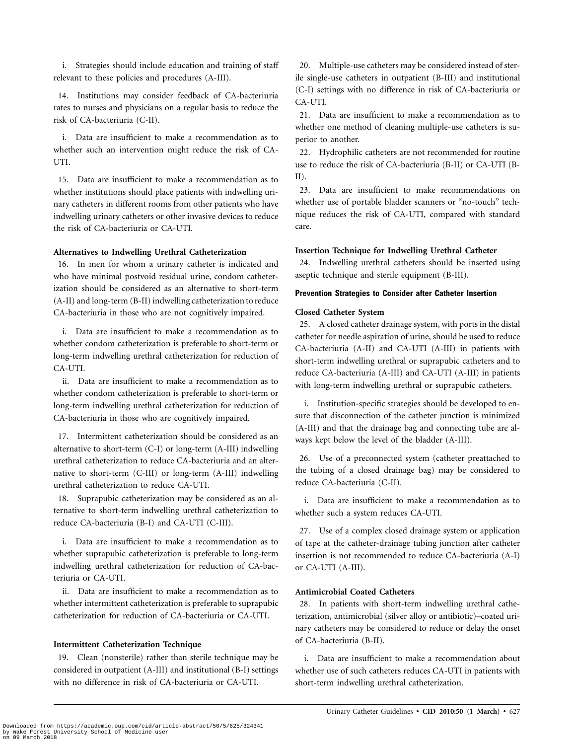i. Strategies should include education and training of staff relevant to these policies and procedures (A-III).

14. Institutions may consider feedback of CA-bacteriuria rates to nurses and physicians on a regular basis to reduce the risk of CA-bacteriuria (C-II).

i. Data are insufficient to make a recommendation as to whether such an intervention might reduce the risk of CA-UTI.

15. Data are insufficient to make a recommendation as to whether institutions should place patients with indwelling urinary catheters in different rooms from other patients who have indwelling urinary catheters or other invasive devices to reduce the risk of CA-bacteriuria or CA-UTI.

#### **Alternatives to Indwelling Urethral Catheterization**

16. In men for whom a urinary catheter is indicated and who have minimal postvoid residual urine, condom catheterization should be considered as an alternative to short-term (A-II) and long-term (B-II) indwelling catheterization to reduce CA-bacteriuria in those who are not cognitively impaired.

i. Data are insufficient to make a recommendation as to whether condom catheterization is preferable to short-term or long-term indwelling urethral catheterization for reduction of CA-UTI.

ii. Data are insufficient to make a recommendation as to whether condom catheterization is preferable to short-term or long-term indwelling urethral catheterization for reduction of CA-bacteriuria in those who are cognitively impaired.

17. Intermittent catheterization should be considered as an alternative to short-term (C-I) or long-term (A-III) indwelling urethral catheterization to reduce CA-bacteriuria and an alternative to short-term (C-III) or long-term (A-III) indwelling urethral catheterization to reduce CA-UTI.

18. Suprapubic catheterization may be considered as an alternative to short-term indwelling urethral catheterization to reduce CA-bacteriuria (B-I) and CA-UTI (C-III).

i. Data are insufficient to make a recommendation as to whether suprapubic catheterization is preferable to long-term indwelling urethral catheterization for reduction of CA-bacteriuria or CA-UTI.

ii. Data are insufficient to make a recommendation as to whether intermittent catheterization is preferable to suprapubic catheterization for reduction of CA-bacteriuria or CA-UTI.

#### **Intermittent Catheterization Technique**

19. Clean (nonsterile) rather than sterile technique may be considered in outpatient (A-III) and institutional (B-I) settings with no difference in risk of CA-bacteriuria or CA-UTI.

20. Multiple-use catheters may be considered instead of sterile single-use catheters in outpatient (B-III) and institutional (C-I) settings with no difference in risk of CA-bacteriuria or CA-UTI.

21. Data are insufficient to make a recommendation as to whether one method of cleaning multiple-use catheters is superior to another.

22. Hydrophilic catheters are not recommended for routine use to reduce the risk of CA-bacteriuria (B-II) or CA-UTI (B- $II$ ).

23. Data are insufficient to make recommendations on whether use of portable bladder scanners or "no-touch" technique reduces the risk of CA-UTI, compared with standard care.

#### **Insertion Technique for Indwelling Urethral Catheter**

24. Indwelling urethral catheters should be inserted using aseptic technique and sterile equipment (B-III).

#### **Prevention Strategies to Consider after Catheter Insertion**

#### **Closed Catheter System**

25. A closed catheter drainage system, with ports in the distal catheter for needle aspiration of urine, should be used to reduce CA-bacteriuria (A-II) and CA-UTI (A-III) in patients with short-term indwelling urethral or suprapubic catheters and to reduce CA-bacteriuria (A-III) and CA-UTI (A-III) in patients with long-term indwelling urethral or suprapubic catheters.

i. Institution-specific strategies should be developed to ensure that disconnection of the catheter junction is minimized (A-III) and that the drainage bag and connecting tube are always kept below the level of the bladder (A-III).

26. Use of a preconnected system (catheter preattached to the tubing of a closed drainage bag) may be considered to reduce CA-bacteriuria (C-II).

i. Data are insufficient to make a recommendation as to whether such a system reduces CA-UTI.

27. Use of a complex closed drainage system or application of tape at the catheter-drainage tubing junction after catheter insertion is not recommended to reduce CA-bacteriuria (A-I) or CA-UTI (A-III).

### **Antimicrobial Coated Catheters**

28. In patients with short-term indwelling urethral catheterization, antimicrobial (silver alloy or antibiotic)–coated urinary catheters may be considered to reduce or delay the onset of CA-bacteriuria (B-II).

i. Data are insufficient to make a recommendation about whether use of such catheters reduces CA-UTI in patients with short-term indwelling urethral catheterization.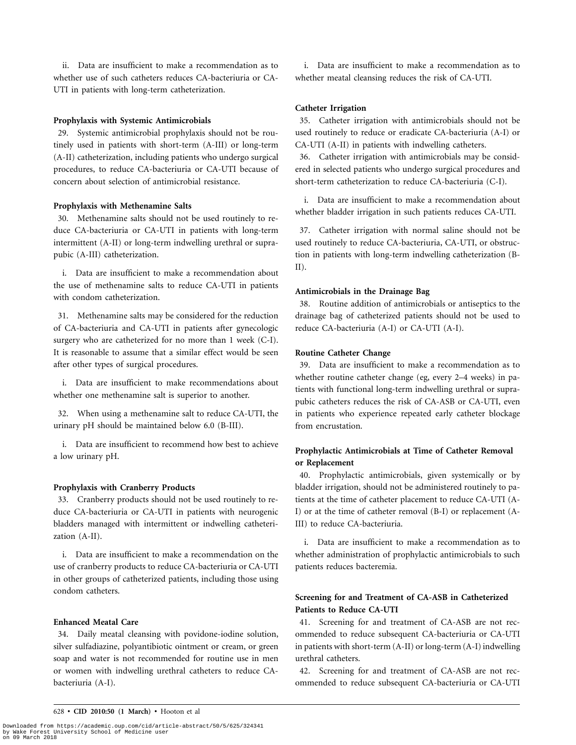ii. Data are insufficient to make a recommendation as to whether use of such catheters reduces CA-bacteriuria or CA-UTI in patients with long-term catheterization.

#### **Prophylaxis with Systemic Antimicrobials**

29. Systemic antimicrobial prophylaxis should not be routinely used in patients with short-term (A-III) or long-term (A-II) catheterization, including patients who undergo surgical procedures, to reduce CA-bacteriuria or CA-UTI because of concern about selection of antimicrobial resistance.

#### **Prophylaxis with Methenamine Salts**

30. Methenamine salts should not be used routinely to reduce CA-bacteriuria or CA-UTI in patients with long-term intermittent (A-II) or long-term indwelling urethral or suprapubic (A-III) catheterization.

i. Data are insufficient to make a recommendation about the use of methenamine salts to reduce CA-UTI in patients with condom catheterization.

31. Methenamine salts may be considered for the reduction of CA-bacteriuria and CA-UTI in patients after gynecologic surgery who are catheterized for no more than 1 week (C-I). It is reasonable to assume that a similar effect would be seen after other types of surgical procedures.

i. Data are insufficient to make recommendations about whether one methenamine salt is superior to another.

32. When using a methenamine salt to reduce CA-UTI, the urinary pH should be maintained below 6.0 (B-III).

i. Data are insufficient to recommend how best to achieve a low urinary pH.

#### **Prophylaxis with Cranberry Products**

33. Cranberry products should not be used routinely to reduce CA-bacteriuria or CA-UTI in patients with neurogenic bladders managed with intermittent or indwelling catheterization (A-II).

i. Data are insufficient to make a recommendation on the use of cranberry products to reduce CA-bacteriuria or CA-UTI in other groups of catheterized patients, including those using condom catheters.

# **Enhanced Meatal Care**

34. Daily meatal cleansing with povidone-iodine solution, silver sulfadiazine, polyantibiotic ointment or cream, or green soap and water is not recommended for routine use in men or women with indwelling urethral catheters to reduce CAbacteriuria (A-I).

i. Data are insufficient to make a recommendation as to whether meatal cleansing reduces the risk of CA-UTI.

#### **Catheter Irrigation**

35. Catheter irrigation with antimicrobials should not be used routinely to reduce or eradicate CA-bacteriuria (A-I) or CA-UTI (A-II) in patients with indwelling catheters.

36. Catheter irrigation with antimicrobials may be considered in selected patients who undergo surgical procedures and short-term catheterization to reduce CA-bacteriuria (C-I).

i. Data are insufficient to make a recommendation about whether bladder irrigation in such patients reduces CA-UTI.

37. Catheter irrigation with normal saline should not be used routinely to reduce CA-bacteriuria, CA-UTI, or obstruction in patients with long-term indwelling catheterization (B- $II$ ).

#### **Antimicrobials in the Drainage Bag**

38. Routine addition of antimicrobials or antiseptics to the drainage bag of catheterized patients should not be used to reduce CA-bacteriuria (A-I) or CA-UTI (A-I).

#### **Routine Catheter Change**

39. Data are insufficient to make a recommendation as to whether routine catheter change (eg, every 2–4 weeks) in patients with functional long-term indwelling urethral or suprapubic catheters reduces the risk of CA-ASB or CA-UTI, even in patients who experience repeated early catheter blockage from encrustation.

# **Prophylactic Antimicrobials at Time of Catheter Removal or Replacement**

40. Prophylactic antimicrobials, given systemically or by bladder irrigation, should not be administered routinely to patients at the time of catheter placement to reduce CA-UTI (A-I) or at the time of catheter removal (B-I) or replacement (A-III) to reduce CA-bacteriuria.

i. Data are insufficient to make a recommendation as to whether administration of prophylactic antimicrobials to such patients reduces bacteremia.

# **Screening for and Treatment of CA-ASB in Catheterized Patients to Reduce CA-UTI**

41. Screening for and treatment of CA-ASB are not recommended to reduce subsequent CA-bacteriuria or CA-UTI in patients with short-term (A-II) or long-term (A-I) indwelling urethral catheters.

42. Screening for and treatment of CA-ASB are not recommended to reduce subsequent CA-bacteriuria or CA-UTI

<sup>628</sup> • **CID 2010:50 (1 March)** • Hooton et al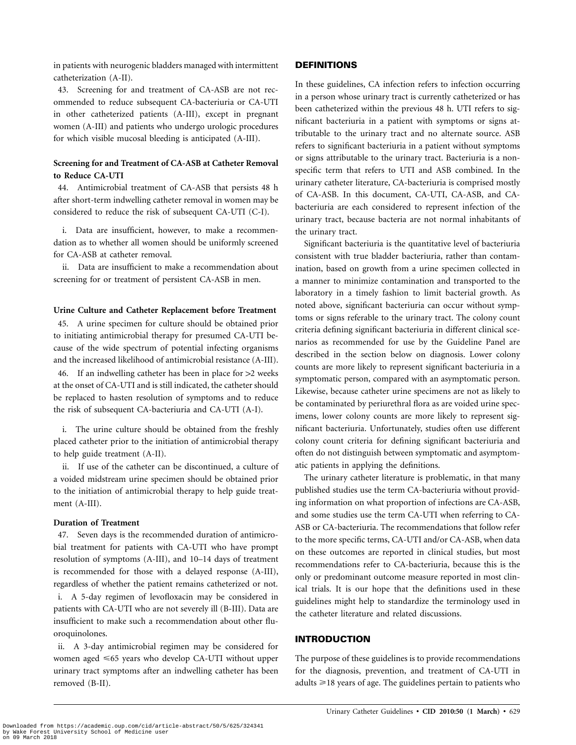in patients with neurogenic bladders managed with intermittent catheterization (A-II).

43. Screening for and treatment of CA-ASB are not recommended to reduce subsequent CA-bacteriuria or CA-UTI in other catheterized patients (A-III), except in pregnant women (A-III) and patients who undergo urologic procedures for which visible mucosal bleeding is anticipated (A-III).

# **Screening for and Treatment of CA-ASB at Catheter Removal to Reduce CA-UTI**

44. Antimicrobial treatment of CA-ASB that persists 48 h after short-term indwelling catheter removal in women may be considered to reduce the risk of subsequent CA-UTI (C-I).

i. Data are insufficient, however, to make a recommendation as to whether all women should be uniformly screened for CA-ASB at catheter removal.

ii. Data are insufficient to make a recommendation about screening for or treatment of persistent CA-ASB in men.

## **Urine Culture and Catheter Replacement before Treatment**

45. A urine specimen for culture should be obtained prior to initiating antimicrobial therapy for presumed CA-UTI because of the wide spectrum of potential infecting organisms and the increased likelihood of antimicrobial resistance (A-III).

46. If an indwelling catheter has been in place for  $>2$  weeks at the onset of CA-UTI and is still indicated, the catheter should be replaced to hasten resolution of symptoms and to reduce the risk of subsequent CA-bacteriuria and CA-UTI (A-I).

i. The urine culture should be obtained from the freshly placed catheter prior to the initiation of antimicrobial therapy to help guide treatment (A-II).

ii. If use of the catheter can be discontinued, a culture of a voided midstream urine specimen should be obtained prior to the initiation of antimicrobial therapy to help guide treatment (A-III).

## **Duration of Treatment**

47. Seven days is the recommended duration of antimicrobial treatment for patients with CA-UTI who have prompt resolution of symptoms (A-III), and 10–14 days of treatment is recommended for those with a delayed response (A-III), regardless of whether the patient remains catheterized or not. i. A 5-day regimen of levofloxacin may be considered in patients with CA-UTI who are not severely ill (B-III). Data are insufficient to make such a recommendation about other fluoroquinolones.

ii. A 3-day antimicrobial regimen may be considered for women aged -65 years who develop CA-UTI without upper urinary tract symptoms after an indwelling catheter has been removed (B-II).

## **DEFINITIONS**

In these guidelines, CA infection refers to infection occurring in a person whose urinary tract is currently catheterized or has been catheterized within the previous 48 h. UTI refers to significant bacteriuria in a patient with symptoms or signs attributable to the urinary tract and no alternate source. ASB refers to significant bacteriuria in a patient without symptoms or signs attributable to the urinary tract. Bacteriuria is a nonspecific term that refers to UTI and ASB combined. In the urinary catheter literature, CA-bacteriuria is comprised mostly of CA-ASB. In this document, CA-UTI, CA-ASB, and CAbacteriuria are each considered to represent infection of the urinary tract, because bacteria are not normal inhabitants of the urinary tract.

Significant bacteriuria is the quantitative level of bacteriuria consistent with true bladder bacteriuria, rather than contamination, based on growth from a urine specimen collected in a manner to minimize contamination and transported to the laboratory in a timely fashion to limit bacterial growth. As noted above, significant bacteriuria can occur without symptoms or signs referable to the urinary tract. The colony count criteria defining significant bacteriuria in different clinical scenarios as recommended for use by the Guideline Panel are described in the section below on diagnosis. Lower colony counts are more likely to represent significant bacteriuria in a symptomatic person, compared with an asymptomatic person. Likewise, because catheter urine specimens are not as likely to be contaminated by periurethral flora as are voided urine specimens, lower colony counts are more likely to represent significant bacteriuria. Unfortunately, studies often use different colony count criteria for defining significant bacteriuria and often do not distinguish between symptomatic and asymptomatic patients in applying the definitions.

The urinary catheter literature is problematic, in that many published studies use the term CA-bacteriuria without providing information on what proportion of infections are CA-ASB, and some studies use the term CA-UTI when referring to CA-ASB or CA-bacteriuria. The recommendations that follow refer to the more specific terms, CA-UTI and/or CA-ASB, when data on these outcomes are reported in clinical studies, but most recommendations refer to CA-bacteriuria, because this is the only or predominant outcome measure reported in most clinical trials. It is our hope that the definitions used in these guidelines might help to standardize the terminology used in the catheter literature and related discussions.

# **INTRODUCTION**

The purpose of these guidelines is to provide recommendations for the diagnosis, prevention, and treatment of CA-UTI in adults  $\geq 18$  years of age. The guidelines pertain to patients who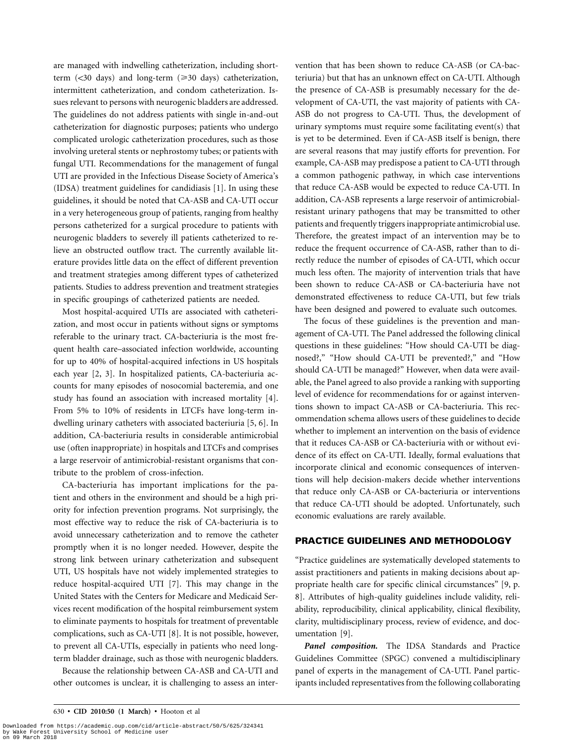are managed with indwelling catheterization, including shortterm  $(<$ 30 days) and long-term ( $\ge$ 30 days) catheterization, intermittent catheterization, and condom catheterization. Issues relevant to persons with neurogenic bladders are addressed. The guidelines do not address patients with single in-and-out catheterization for diagnostic purposes; patients who undergo complicated urologic catheterization procedures, such as those involving ureteral stents or nephrostomy tubes; or patients with fungal UTI. Recommendations for the management of fungal UTI are provided in the Infectious Disease Society of America's (IDSA) treatment guidelines for candidiasis [1]. In using these guidelines, it should be noted that CA-ASB and CA-UTI occur in a very heterogeneous group of patients, ranging from healthy persons catheterized for a surgical procedure to patients with neurogenic bladders to severely ill patients catheterized to relieve an obstructed outflow tract. The currently available literature provides little data on the effect of different prevention and treatment strategies among different types of catheterized patients. Studies to address prevention and treatment strategies in specific groupings of catheterized patients are needed.

Most hospital-acquired UTIs are associated with catheterization, and most occur in patients without signs or symptoms referable to the urinary tract. CA-bacteriuria is the most frequent health care–associated infection worldwide, accounting for up to 40% of hospital-acquired infections in US hospitals each year [2, 3]. In hospitalized patients, CA-bacteriuria accounts for many episodes of nosocomial bacteremia, and one study has found an association with increased mortality [4]. From 5% to 10% of residents in LTCFs have long-term indwelling urinary catheters with associated bacteriuria [5, 6]. In addition, CA-bacteriuria results in considerable antimicrobial use (often inappropriate) in hospitals and LTCFs and comprises a large reservoir of antimicrobial-resistant organisms that contribute to the problem of cross-infection.

CA-bacteriuria has important implications for the patient and others in the environment and should be a high priority for infection prevention programs. Not surprisingly, the most effective way to reduce the risk of CA-bacteriuria is to avoid unnecessary catheterization and to remove the catheter promptly when it is no longer needed. However, despite the strong link between urinary catheterization and subsequent UTI, US hospitals have not widely implemented strategies to reduce hospital-acquired UTI [7]. This may change in the United States with the Centers for Medicare and Medicaid Services recent modification of the hospital reimbursement system to eliminate payments to hospitals for treatment of preventable complications, such as CA-UTI [8]. It is not possible, however, to prevent all CA-UTIs, especially in patients who need longterm bladder drainage, such as those with neurogenic bladders.

Because the relationship between CA-ASB and CA-UTI and other outcomes is unclear, it is challenging to assess an intervention that has been shown to reduce CA-ASB (or CA-bacteriuria) but that has an unknown effect on CA-UTI. Although the presence of CA-ASB is presumably necessary for the development of CA-UTI, the vast majority of patients with CA-ASB do not progress to CA-UTI. Thus, the development of urinary symptoms must require some facilitating event(s) that is yet to be determined. Even if CA-ASB itself is benign, there are several reasons that may justify efforts for prevention. For example, CA-ASB may predispose a patient to CA-UTI through a common pathogenic pathway, in which case interventions that reduce CA-ASB would be expected to reduce CA-UTI. In addition, CA-ASB represents a large reservoir of antimicrobialresistant urinary pathogens that may be transmitted to other patients and frequently triggers inappropriate antimicrobial use. Therefore, the greatest impact of an intervention may be to reduce the frequent occurrence of CA-ASB, rather than to directly reduce the number of episodes of CA-UTI, which occur much less often. The majority of intervention trials that have been shown to reduce CA-ASB or CA-bacteriuria have not demonstrated effectiveness to reduce CA-UTI, but few trials have been designed and powered to evaluate such outcomes.

The focus of these guidelines is the prevention and management of CA-UTI. The Panel addressed the following clinical questions in these guidelines: "How should CA-UTI be diagnosed?," "How should CA-UTI be prevented?," and "How should CA-UTI be managed?" However, when data were available, the Panel agreed to also provide a ranking with supporting level of evidence for recommendations for or against interventions shown to impact CA-ASB or CA-bacteriuria. This recommendation schema allows users of these guidelines to decide whether to implement an intervention on the basis of evidence that it reduces CA-ASB or CA-bacteriuria with or without evidence of its effect on CA-UTI. Ideally, formal evaluations that incorporate clinical and economic consequences of interventions will help decision-makers decide whether interventions that reduce only CA-ASB or CA-bacteriuria or interventions that reduce CA-UTI should be adopted. Unfortunately, such economic evaluations are rarely available.

# **PRACTICE GUIDELINES AND METHODOLOGY**

"Practice guidelines are systematically developed statements to assist practitioners and patients in making decisions about appropriate health care for specific clinical circumstances" [9, p. 8]. Attributes of high-quality guidelines include validity, reliability, reproducibility, clinical applicability, clinical flexibility, clarity, multidisciplinary process, review of evidence, and documentation [9].

*Panel composition.* The IDSA Standards and Practice Guidelines Committee (SPGC) convened a multidisciplinary panel of experts in the management of CA-UTI. Panel participants included representatives from the following collaborating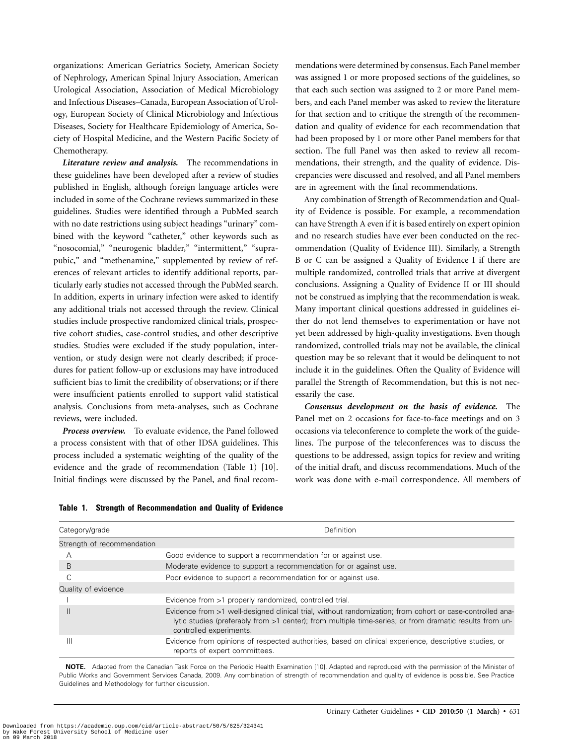organizations: American Geriatrics Society, American Society of Nephrology, American Spinal Injury Association, American Urological Association, Association of Medical Microbiology and Infectious Diseases–Canada, European Association of Urology, European Society of Clinical Microbiology and Infectious Diseases, Society for Healthcare Epidemiology of America, Society of Hospital Medicine, and the Western Pacific Society of Chemotherapy.

*Literature review and analysis.* The recommendations in these guidelines have been developed after a review of studies published in English, although foreign language articles were included in some of the Cochrane reviews summarized in these guidelines. Studies were identified through a PubMed search with no date restrictions using subject headings "urinary" combined with the keyword "catheter," other keywords such as "nosocomial," "neurogenic bladder," "intermittent," "suprapubic," and "methenamine," supplemented by review of references of relevant articles to identify additional reports, particularly early studies not accessed through the PubMed search. In addition, experts in urinary infection were asked to identify any additional trials not accessed through the review. Clinical studies include prospective randomized clinical trials, prospective cohort studies, case-control studies, and other descriptive studies. Studies were excluded if the study population, intervention, or study design were not clearly described; if procedures for patient follow-up or exclusions may have introduced sufficient bias to limit the credibility of observations; or if there were insufficient patients enrolled to support valid statistical analysis. Conclusions from meta-analyses, such as Cochrane reviews, were included.

*Process overview.* To evaluate evidence, the Panel followed a process consistent with that of other IDSA guidelines. This process included a systematic weighting of the quality of the evidence and the grade of recommendation (Table 1) [10]. Initial findings were discussed by the Panel, and final recommendations were determined by consensus. Each Panel member was assigned 1 or more proposed sections of the guidelines, so that each such section was assigned to 2 or more Panel members, and each Panel member was asked to review the literature for that section and to critique the strength of the recommendation and quality of evidence for each recommendation that had been proposed by 1 or more other Panel members for that section. The full Panel was then asked to review all recommendations, their strength, and the quality of evidence. Discrepancies were discussed and resolved, and all Panel members are in agreement with the final recommendations.

Any combination of Strength of Recommendation and Quality of Evidence is possible. For example, a recommendation can have Strength A even if it is based entirely on expert opinion and no research studies have ever been conducted on the recommendation (Quality of Evidence III). Similarly, a Strength B or C can be assigned a Quality of Evidence I if there are multiple randomized, controlled trials that arrive at divergent conclusions. Assigning a Quality of Evidence II or III should not be construed as implying that the recommendation is weak. Many important clinical questions addressed in guidelines either do not lend themselves to experimentation or have not yet been addressed by high-quality investigations. Even though randomized, controlled trials may not be available, the clinical question may be so relevant that it would be delinquent to not include it in the guidelines. Often the Quality of Evidence will parallel the Strength of Recommendation, but this is not necessarily the case.

*Consensus development on the basis of evidence.* The Panel met on 2 occasions for face-to-face meetings and on 3 occasions via teleconference to complete the work of the guidelines. The purpose of the teleconferences was to discuss the questions to be addressed, assign topics for review and writing of the initial draft, and discuss recommendations. Much of the work was done with e-mail correspondence. All members of

| Table 1. Strength of Recommendation and Quality of Evidence |
|-------------------------------------------------------------|
|-------------------------------------------------------------|

| Category/grade             | Definition                                                                                                                                                                                                                                      |
|----------------------------|-------------------------------------------------------------------------------------------------------------------------------------------------------------------------------------------------------------------------------------------------|
| Strength of recommendation |                                                                                                                                                                                                                                                 |
| А                          | Good evidence to support a recommendation for or against use.                                                                                                                                                                                   |
| В                          | Moderate evidence to support a recommendation for or against use.                                                                                                                                                                               |
|                            | Poor evidence to support a recommendation for or against use.                                                                                                                                                                                   |
| Quality of evidence        |                                                                                                                                                                                                                                                 |
|                            | Evidence from >1 properly randomized, controlled trial.                                                                                                                                                                                         |
|                            | Evidence from >1 well-designed clinical trial, without randomization; from cohort or case-controlled ana-<br>lytic studies (preferably from >1 center); from multiple time-series; or from dramatic results from un-<br>controlled experiments. |
| Ш                          | Evidence from opinions of respected authorities, based on clinical experience, descriptive studies, or<br>reports of expert committees.                                                                                                         |

**NOTE.** Adapted from the Canadian Task Force on the Periodic Health Examination [10]. Adapted and reproduced with the permission of the Minister of Public Works and Government Services Canada, 2009. Any combination of strength of recommendation and quality of evidence is possible. See Practice Guidelines and Methodology for further discussion.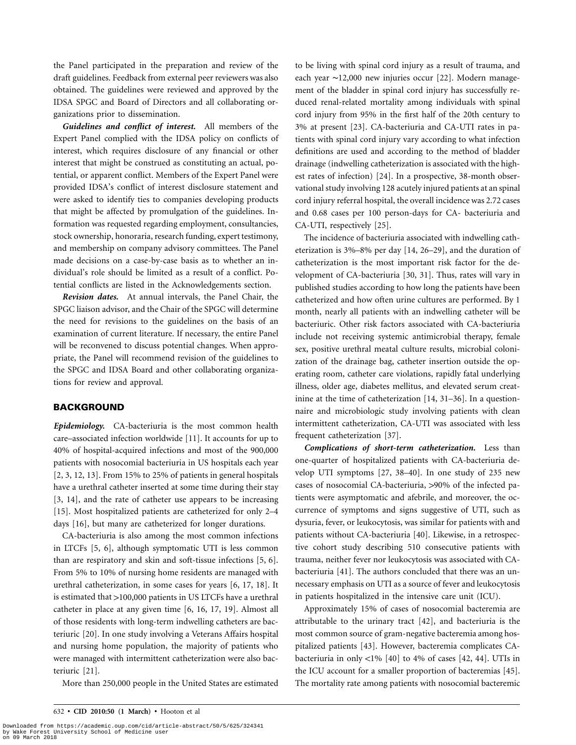the Panel participated in the preparation and review of the draft guidelines. Feedback from external peer reviewers was also obtained. The guidelines were reviewed and approved by the IDSA SPGC and Board of Directors and all collaborating organizations prior to dissemination.

*Guidelines and conflict of interest.* All members of the Expert Panel complied with the IDSA policy on conflicts of interest, which requires disclosure of any financial or other interest that might be construed as constituting an actual, potential, or apparent conflict. Members of the Expert Panel were provided IDSA's conflict of interest disclosure statement and were asked to identify ties to companies developing products that might be affected by promulgation of the guidelines. Information was requested regarding employment, consultancies, stock ownership, honoraria, research funding, expert testimony, and membership on company advisory committees. The Panel made decisions on a case-by-case basis as to whether an individual's role should be limited as a result of a conflict. Potential conflicts are listed in the Acknowledgements section.

*Revision dates.* At annual intervals, the Panel Chair, the SPGC liaison advisor, and the Chair of the SPGC will determine the need for revisions to the guidelines on the basis of an examination of current literature. If necessary, the entire Panel will be reconvened to discuss potential changes. When appropriate, the Panel will recommend revision of the guidelines to the SPGC and IDSA Board and other collaborating organizations for review and approval.

#### **BACKGROUND**

*Epidemiology.* CA-bacteriuria is the most common health care–associated infection worldwide [11]. It accounts for up to 40% of hospital-acquired infections and most of the 900,000 patients with nosocomial bacteriuria in US hospitals each year [2, 3, 12, 13]. From 15% to 25% of patients in general hospitals have a urethral catheter inserted at some time during their stay [3, 14], and the rate of catheter use appears to be increasing [15]. Most hospitalized patients are catheterized for only 2–4 days [16], but many are catheterized for longer durations.

CA-bacteriuria is also among the most common infections in LTCFs [5, 6], although symptomatic UTI is less common than are respiratory and skin and soft-tissue infections [5, 6]. From 5% to 10% of nursing home residents are managed with urethral catheterization, in some cases for years [6, 17, 18]. It is estimated that >100,000 patients in US LTCFs have a urethral catheter in place at any given time [6, 16, 17, 19]. Almost all of those residents with long-term indwelling catheters are bacteriuric [20]. In one study involving a Veterans Affairs hospital and nursing home population, the majority of patients who were managed with intermittent catheterization were also bacteriuric [21].

More than 250,000 people in the United States are estimated

to be living with spinal cord injury as a result of trauma, and each year ∼12,000 new injuries occur [22]. Modern management of the bladder in spinal cord injury has successfully reduced renal-related mortality among individuals with spinal cord injury from 95% in the first half of the 20th century to 3% at present [23]. CA-bacteriuria and CA-UTI rates in patients with spinal cord injury vary according to what infection definitions are used and according to the method of bladder drainage (indwelling catheterization is associated with the highest rates of infection) [24]. In a prospective, 38-month observational study involving 128 acutely injured patients at an spinal cord injury referral hospital, the overall incidence was 2.72 cases and 0.68 cases per 100 person-days for CA- bacteriuria and CA-UTI, respectively [25].

The incidence of bacteriuria associated with indwelling catheterization is 3%–8% per day [14, 26–29], and the duration of catheterization is the most important risk factor for the development of CA-bacteriuria [30, 31]. Thus, rates will vary in published studies according to how long the patients have been catheterized and how often urine cultures are performed. By 1 month, nearly all patients with an indwelling catheter will be bacteriuric. Other risk factors associated with CA-bacteriuria include not receiving systemic antimicrobial therapy, female sex, positive urethral meatal culture results, microbial colonization of the drainage bag, catheter insertion outside the operating room, catheter care violations, rapidly fatal underlying illness, older age, diabetes mellitus, and elevated serum creatinine at the time of catheterization [14, 31–36]. In a questionnaire and microbiologic study involving patients with clean intermittent catheterization, CA-UTI was associated with less frequent catheterization [37].

*Complications of short-term catheterization.* Less than one-quarter of hospitalized patients with CA-bacteriuria develop UTI symptoms [27, 38–40]. In one study of 235 new cases of nosocomial CA-bacteriuria, >90% of the infected patients were asymptomatic and afebrile, and moreover, the occurrence of symptoms and signs suggestive of UTI, such as dysuria, fever, or leukocytosis, was similar for patients with and patients without CA-bacteriuria [40]. Likewise, in a retrospective cohort study describing 510 consecutive patients with trauma, neither fever nor leukocytosis was associated with CAbacteriuria [41]. The authors concluded that there was an unnecessary emphasis on UTI as a source of fever and leukocytosis in patients hospitalized in the intensive care unit (ICU).

Approximately 15% of cases of nosocomial bacteremia are attributable to the urinary tract [42], and bacteriuria is the most common source of gram-negative bacteremia among hospitalized patients [43]. However, bacteremia complicates CAbacteriuria in only  $\langle 1\% | 40 |$  to 4% of cases [42, 44]. UTIs in the ICU account for a smaller proportion of bacteremias [45]. The mortality rate among patients with nosocomial bacteremic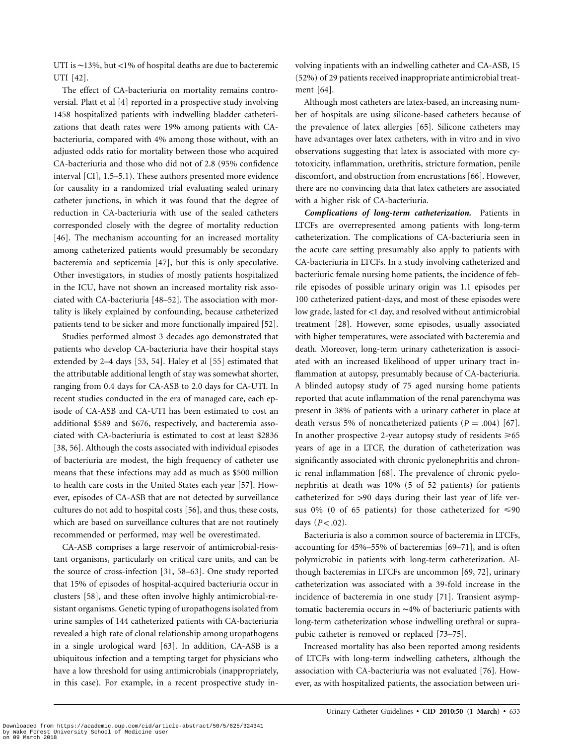UTI is ~13%, but <1% of hospital deaths are due to bacteremic UTI [42].

The effect of CA-bacteriuria on mortality remains controversial. Platt et al [4] reported in a prospective study involving 1458 hospitalized patients with indwelling bladder catheterizations that death rates were 19% among patients with CAbacteriuria, compared with 4% among those without, with an adjusted odds ratio for mortality between those who acquired CA-bacteriuria and those who did not of 2.8 (95% confidence interval [CI], 1.5–5.1). These authors presented more evidence for causality in a randomized trial evaluating sealed urinary catheter junctions, in which it was found that the degree of reduction in CA-bacteriuria with use of the sealed catheters corresponded closely with the degree of mortality reduction [46]. The mechanism accounting for an increased mortality among catheterized patients would presumably be secondary bacteremia and septicemia [47], but this is only speculative. Other investigators, in studies of mostly patients hospitalized in the ICU, have not shown an increased mortality risk associated with CA-bacteriuria [48–52]. The association with mortality is likely explained by confounding, because catheterized patients tend to be sicker and more functionally impaired [52].

Studies performed almost 3 decades ago demonstrated that patients who develop CA-bacteriuria have their hospital stays extended by 2–4 days [53, 54]. Haley et al [55] estimated that the attributable additional length of stay was somewhat shorter, ranging from 0.4 days for CA-ASB to 2.0 days for CA-UTI. In recent studies conducted in the era of managed care, each episode of CA-ASB and CA-UTI has been estimated to cost an additional \$589 and \$676, respectively, and bacteremia associated with CA-bacteriuria is estimated to cost at least \$2836 [38, 56]. Although the costs associated with individual episodes of bacteriuria are modest, the high frequency of catheter use means that these infections may add as much as \$500 million to health care costs in the United States each year [57]. However, episodes of CA-ASB that are not detected by surveillance cultures do not add to hospital costs [56], and thus, these costs, which are based on surveillance cultures that are not routinely recommended or performed, may well be overestimated.

CA-ASB comprises a large reservoir of antimicrobial-resistant organisms, particularly on critical care units, and can be the source of cross-infection [31, 58–63]. One study reported that 15% of episodes of hospital-acquired bacteriuria occur in clusters [58], and these often involve highly antimicrobial-resistant organisms. Genetic typing of uropathogens isolated from urine samples of 144 catheterized patients with CA-bacteriuria revealed a high rate of clonal relationship among uropathogens in a single urological ward [63]. In addition, CA-ASB is a ubiquitous infection and a tempting target for physicians who have a low threshold for using antimicrobials (inappropriately, in this case). For example, in a recent prospective study involving inpatients with an indwelling catheter and CA-ASB, 15 (52%) of 29 patients received inappropriate antimicrobial treatment [64].

Although most catheters are latex-based, an increasing number of hospitals are using silicone-based catheters because of the prevalence of latex allergies [65]. Silicone catheters may have advantages over latex catheters, with in vitro and in vivo observations suggesting that latex is associated with more cytotoxicity, inflammation, urethritis, stricture formation, penile discomfort, and obstruction from encrustations [66]. However, there are no convincing data that latex catheters are associated with a higher risk of CA-bacteriuria.

*Complications of long-term catheterization.* Patients in LTCFs are overrepresented among patients with long-term catheterization. The complications of CA-bacteriuria seen in the acute care setting presumably also apply to patients with CA-bacteriuria in LTCFs. In a study involving catheterized and bacteriuric female nursing home patients, the incidence of febrile episodes of possible urinary origin was 1.1 episodes per 100 catheterized patient-days, and most of these episodes were low grade, lasted for <1 day, and resolved without antimicrobial treatment [28]. However, some episodes, usually associated with higher temperatures, were associated with bacteremia and death. Moreover, long-term urinary catheterization is associated with an increased likelihood of upper urinary tract inflammation at autopsy, presumably because of CA-bacteriuria. A blinded autopsy study of 75 aged nursing home patients reported that acute inflammation of the renal parenchyma was present in 38% of patients with a urinary catheter in place at death versus 5% of noncatheterized patients  $(P = .004)$  [67]. In another prospective 2-year autopsy study of residents  $\geq 65$ years of age in a LTCF, the duration of catheterization was significantly associated with chronic pyelonephritis and chronic renal inflammation [68]. The prevalence of chronic pyelonephritis at death was 10% (5 of 52 patients) for patients catheterized for >90 days during their last year of life versus 0% (0 of 65 patients) for those catheterized for  $\leq 90$ days ( $P < .02$ ).

Bacteriuria is also a common source of bacteremia in LTCFs, accounting for 45%–55% of bacteremias [69–71], and is often polymicrobic in patients with long-term catheterization. Although bacteremias in LTCFs are uncommon [69, 72], urinary catheterization was associated with a 39-fold increase in the incidence of bacteremia in one study [71]. Transient asymptomatic bacteremia occurs in ∼4% of bacteriuric patients with long-term catheterization whose indwelling urethral or suprapubic catheter is removed or replaced [73–75].

Increased mortality has also been reported among residents of LTCFs with long-term indwelling catheters, although the association with CA-bacteriuria was not evaluated [76]. However, as with hospitalized patients, the association between uri-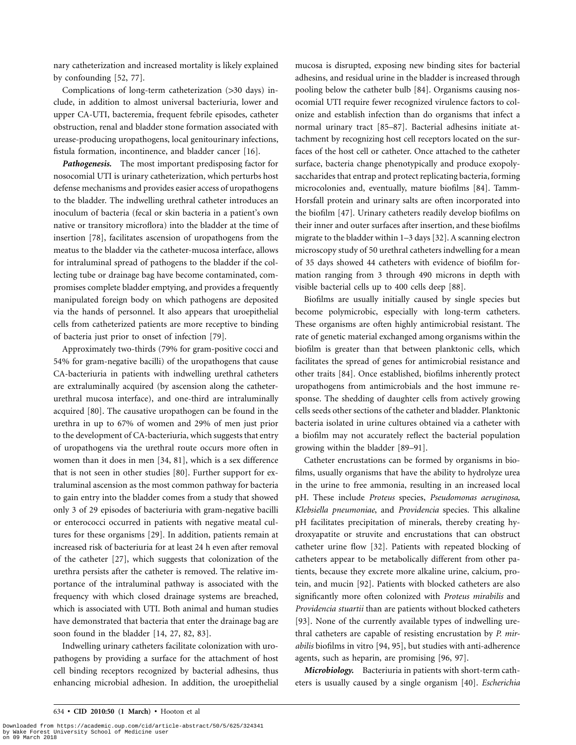nary catheterization and increased mortality is likely explained by confounding [52, 77].

Complications of long-term catheterization  $(>30$  days) include, in addition to almost universal bacteriuria, lower and upper CA-UTI, bacteremia, frequent febrile episodes, catheter obstruction, renal and bladder stone formation associated with urease-producing uropathogens, local genitourinary infections, fistula formation, incontinence, and bladder cancer [16].

*Pathogenesis.* The most important predisposing factor for nosocomial UTI is urinary catheterization, which perturbs host defense mechanisms and provides easier access of uropathogens to the bladder. The indwelling urethral catheter introduces an inoculum of bacteria (fecal or skin bacteria in a patient's own native or transitory microflora) into the bladder at the time of insertion [78], facilitates ascension of uropathogens from the meatus to the bladder via the catheter-mucosa interface, allows for intraluminal spread of pathogens to the bladder if the collecting tube or drainage bag have become contaminated, compromises complete bladder emptying, and provides a frequently manipulated foreign body on which pathogens are deposited via the hands of personnel. It also appears that uroepithelial cells from catheterized patients are more receptive to binding of bacteria just prior to onset of infection [79].

Approximately two-thirds (79% for gram-positive cocci and 54% for gram-negative bacilli) of the uropathogens that cause CA-bacteriuria in patients with indwelling urethral catheters are extraluminally acquired (by ascension along the catheterurethral mucosa interface), and one-third are intraluminally acquired [80]. The causative uropathogen can be found in the urethra in up to 67% of women and 29% of men just prior to the development of CA-bacteriuria, which suggests that entry of uropathogens via the urethral route occurs more often in women than it does in men [34, 81], which is a sex difference that is not seen in other studies [80]. Further support for extraluminal ascension as the most common pathway for bacteria to gain entry into the bladder comes from a study that showed only 3 of 29 episodes of bacteriuria with gram-negative bacilli or enterococci occurred in patients with negative meatal cultures for these organisms [29]. In addition, patients remain at increased risk of bacteriuria for at least 24 h even after removal of the catheter [27], which suggests that colonization of the urethra persists after the catheter is removed. The relative importance of the intraluminal pathway is associated with the frequency with which closed drainage systems are breached, which is associated with UTI. Both animal and human studies have demonstrated that bacteria that enter the drainage bag are soon found in the bladder [14, 27, 82, 83].

Indwelling urinary catheters facilitate colonization with uropathogens by providing a surface for the attachment of host cell binding receptors recognized by bacterial adhesins, thus enhancing microbial adhesion. In addition, the uroepithelial

mucosa is disrupted, exposing new binding sites for bacterial adhesins, and residual urine in the bladder is increased through pooling below the catheter bulb [84]. Organisms causing nosocomial UTI require fewer recognized virulence factors to colonize and establish infection than do organisms that infect a normal urinary tract [85–87]. Bacterial adhesins initiate attachment by recognizing host cell receptors located on the surfaces of the host cell or catheter. Once attached to the catheter surface, bacteria change phenotypically and produce exopolysaccharides that entrap and protect replicating bacteria, forming microcolonies and, eventually, mature biofilms [84]. Tamm-Horsfall protein and urinary salts are often incorporated into the biofilm [47]. Urinary catheters readily develop biofilms on their inner and outer surfaces after insertion, and these biofilms migrate to the bladder within 1–3 days [32]. A scanning electron microscopy study of 50 urethral catheters indwelling for a mean of 35 days showed 44 catheters with evidence of biofilm formation ranging from 3 through 490 microns in depth with visible bacterial cells up to 400 cells deep [88].

Biofilms are usually initially caused by single species but become polymicrobic, especially with long-term catheters. These organisms are often highly antimicrobial resistant. The rate of genetic material exchanged among organisms within the biofilm is greater than that between planktonic cells, which facilitates the spread of genes for antimicrobial resistance and other traits [84]. Once established, biofilms inherently protect uropathogens from antimicrobials and the host immune response. The shedding of daughter cells from actively growing cells seeds other sections of the catheter and bladder. Planktonic bacteria isolated in urine cultures obtained via a catheter with a biofilm may not accurately reflect the bacterial population growing within the bladder [89–91].

Catheter encrustations can be formed by organisms in biofilms, usually organisms that have the ability to hydrolyze urea in the urine to free ammonia, resulting in an increased local pH. These include *Proteus* species, *Pseudomonas aeruginosa*, *Klebsiella pneumoniae*, and *Providencia* species. This alkaline pH facilitates precipitation of minerals, thereby creating hydroxyapatite or struvite and encrustations that can obstruct catheter urine flow [32]. Patients with repeated blocking of catheters appear to be metabolically different from other patients, because they excrete more alkaline urine, calcium, protein, and mucin [92]. Patients with blocked catheters are also significantly more often colonized with *Proteus mirabilis* and *Providencia stuartii* than are patients without blocked catheters [93]. None of the currently available types of indwelling urethral catheters are capable of resisting encrustation by *P. mirabilis* biofilms in vitro [94, 95], but studies with anti-adherence agents, such as heparin, are promising [96, 97].

*Microbiology.* Bacteriuria in patients with short-term catheters is usually caused by a single organism [40]. *Escherichia*

Downloaded from https://academic.oup.com/cid/article-abstract/50/5/625/324341 by Wake Forest University School of Medicine user on 09 March 2018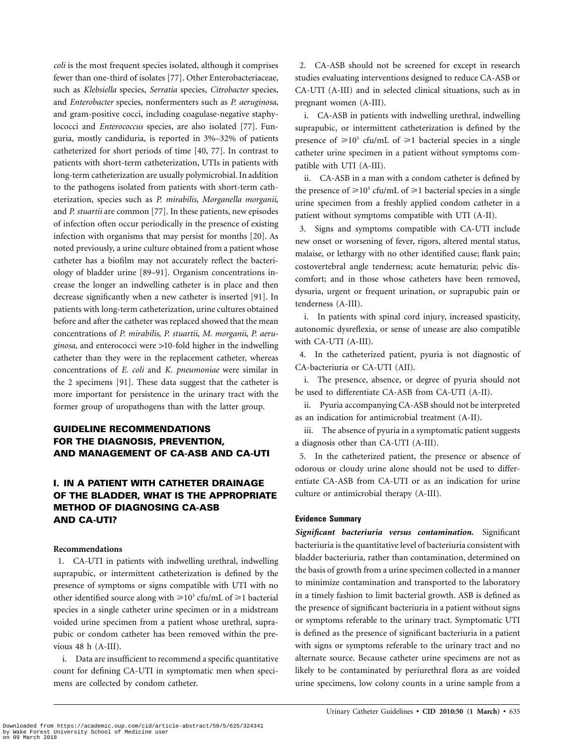*coli* is the most frequent species isolated, although it comprises fewer than one-third of isolates [77]. Other Enterobacteriaceae, such as *Klebsiella* species, *Serratia* species, *Citrobacter* species, and *Enterobacter* species, nonfermenters such as *P. aeruginosa*, and gram-positive cocci, including coagulase-negative staphylococci and *Enterococcus* species, are also isolated [77]. Funguria, mostly candiduria, is reported in 3%–32% of patients catheterized for short periods of time [40, 77]. In contrast to patients with short-term catheterization, UTIs in patients with long-term catheterization are usually polymicrobial. In addition to the pathogens isolated from patients with short-term catheterization, species such as *P. mirabilis*, *Morganella morganii*, and *P. stuartii* are common [77]. In these patients, new episodes of infection often occur periodically in the presence of existing infection with organisms that may persist for months [20]. As noted previously, a urine culture obtained from a patient whose catheter has a biofilm may not accurately reflect the bacteriology of bladder urine [89–91]. Organism concentrations increase the longer an indwelling catheter is in place and then decrease significantly when a new catheter is inserted [91]. In patients with long-term catheterization, urine cultures obtained before and after the catheter was replaced showed that the mean concentrations of *P. mirabilis*, *P. stuartii*, *M. morganii*, *P. aeruginosa,* and enterococci were 110-fold higher in the indwelling catheter than they were in the replacement catheter, whereas concentrations of *E. coli* and *K. pneumoniae* were similar in the 2 specimens [91]. These data suggest that the catheter is more important for persistence in the urinary tract with the former group of uropathogens than with the latter group.

# **GUIDELINE RECOMMENDATIONS FOR THE DIAGNOSIS, PREVENTION, AND MANAGEMENT OF CA-ASB AND CA-UTI**

# **I. IN A PATIENT WITH CATHETER DRAINAGE OF THE BLADDER, WHAT IS THE APPROPRIATE METHOD OF DIAGNOSING CA-ASB AND CA-UTI?**

#### **Recommendations**

1. CA-UTI in patients with indwelling urethral, indwelling suprapubic, or intermittent catheterization is defined by the presence of symptoms or signs compatible with UTI with no other identified source along with  $\geq 10^3$  cfu/mL of  $\geq 1$  bacterial species in a single catheter urine specimen or in a midstream voided urine specimen from a patient whose urethral, suprapubic or condom catheter has been removed within the previous 48 h (A-III).

i. Data are insufficient to recommend a specific quantitative count for defining CA-UTI in symptomatic men when specimens are collected by condom catheter.

2. CA-ASB should not be screened for except in research studies evaluating interventions designed to reduce CA-ASB or CA-UTI (A-III) and in selected clinical situations, such as in pregnant women (A-III).

i. CA-ASB in patients with indwelling urethral, indwelling suprapubic, or intermittent catheterization is defined by the presence of  $\geq 10^5$  cfu/mL of  $\geq 1$  bacterial species in a single catheter urine specimen in a patient without symptoms compatible with UTI (A-III).

ii. CA-ASB in a man with a condom catheter is defined by the presence of  $\geq 10^5$  cfu/mL of  $\geq 1$  bacterial species in a single urine specimen from a freshly applied condom catheter in a patient without symptoms compatible with UTI (A-II).

3. Signs and symptoms compatible with CA-UTI include new onset or worsening of fever, rigors, altered mental status, malaise, or lethargy with no other identified cause; flank pain; costovertebral angle tenderness; acute hematuria; pelvic discomfort; and in those whose catheters have been removed, dysuria, urgent or frequent urination, or suprapubic pain or tenderness (A-III).

i. In patients with spinal cord injury, increased spasticity, autonomic dysreflexia, or sense of unease are also compatible with CA-UTI (A-III).

4. In the catheterized patient, pyuria is not diagnostic of CA-bacteriuria or CA-UTI (AII).

i. The presence, absence, or degree of pyuria should not be used to differentiate CA-ASB from CA-UTI (A-II).

ii. Pyuria accompanying CA-ASB should not be interpreted as an indication for antimicrobial treatment (A-II).

iii. The absence of pyuria in a symptomatic patient suggests a diagnosis other than CA-UTI (A-III).

5. In the catheterized patient, the presence or absence of odorous or cloudy urine alone should not be used to differentiate CA-ASB from CA-UTI or as an indication for urine culture or antimicrobial therapy (A-III).

#### **Evidence Summary**

*Significant bacteriuria versus contamination.* Significant bacteriuria is the quantitative level of bacteriuria consistent with bladder bacteriuria, rather than contamination, determined on the basis of growth from a urine specimen collected in a manner to minimize contamination and transported to the laboratory in a timely fashion to limit bacterial growth. ASB is defined as the presence of significant bacteriuria in a patient without signs or symptoms referable to the urinary tract. Symptomatic UTI is defined as the presence of significant bacteriuria in a patient with signs or symptoms referable to the urinary tract and no alternate source. Because catheter urine specimens are not as likely to be contaminated by periurethral flora as are voided urine specimens, low colony counts in a urine sample from a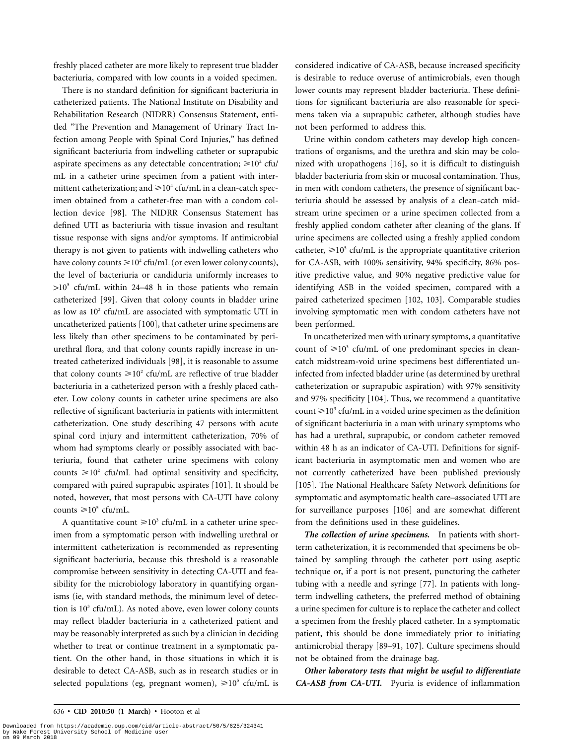freshly placed catheter are more likely to represent true bladder bacteriuria, compared with low counts in a voided specimen.

There is no standard definition for significant bacteriuria in catheterized patients. The National Institute on Disability and Rehabilitation Research (NIDRR) Consensus Statement, entitled "The Prevention and Management of Urinary Tract Infection among People with Spinal Cord Injuries," has defined significant bacteriuria from indwelling catheter or suprapubic aspirate specimens as any detectable concentration;  $\geq 10^2$  cfu/ mL in a catheter urine specimen from a patient with intermittent catheterization; and  $\geq 10^4$  cfu/mL in a clean-catch specimen obtained from a catheter-free man with a condom collection device [98]. The NIDRR Consensus Statement has defined UTI as bacteriuria with tissue invasion and resultant tissue response with signs and/or symptoms. If antimicrobial therapy is not given to patients with indwelling catheters who have colony counts  $\geq 10^2$  cfu/mL (or even lower colony counts), the level of bacteriuria or candiduria uniformly increases to  $>10^5$  cfu/mL within 24–48 h in those patients who remain catheterized [99]. Given that colony counts in bladder urine as low as  $10^2$  cfu/mL are associated with symptomatic UTI in uncatheterized patients [100], that catheter urine specimens are less likely than other specimens to be contaminated by periurethral flora, and that colony counts rapidly increase in untreated catheterized individuals [98], it is reasonable to assume that colony counts  $\geq 10^2$  cfu/mL are reflective of true bladder bacteriuria in a catheterized person with a freshly placed catheter. Low colony counts in catheter urine specimens are also reflective of significant bacteriuria in patients with intermittent catheterization. One study describing 47 persons with acute spinal cord injury and intermittent catheterization, 70% of whom had symptoms clearly or possibly associated with bacteriuria, found that catheter urine specimens with colony counts  $\geq 10^2$  cfu/mL had optimal sensitivity and specificity, compared with paired suprapubic aspirates [101]. It should be noted, however, that most persons with CA-UTI have colony counts  $\geq 10^5$  cfu/mL.

A quantitative count  $\geq 10^3$  cfu/mL in a catheter urine specimen from a symptomatic person with indwelling urethral or intermittent catheterization is recommended as representing significant bacteriuria, because this threshold is a reasonable compromise between sensitivity in detecting CA-UTI and feasibility for the microbiology laboratory in quantifying organisms (ie, with standard methods, the minimum level of detection is  $10<sup>3</sup>$  cfu/mL). As noted above, even lower colony counts may reflect bladder bacteriuria in a catheterized patient and may be reasonably interpreted as such by a clinician in deciding whether to treat or continue treatment in a symptomatic patient. On the other hand, in those situations in which it is desirable to detect CA-ASB, such as in research studies or in selected populations (eg, pregnant women),  $\geq 10^5$  cfu/mL is

considered indicative of CA-ASB, because increased specificity is desirable to reduce overuse of antimicrobials, even though lower counts may represent bladder bacteriuria. These definitions for significant bacteriuria are also reasonable for specimens taken via a suprapubic catheter, although studies have not been performed to address this.

Urine within condom catheters may develop high concentrations of organisms, and the urethra and skin may be colonized with uropathogens [16], so it is difficult to distinguish bladder bacteriuria from skin or mucosal contamination. Thus, in men with condom catheters, the presence of significant bacteriuria should be assessed by analysis of a clean-catch midstream urine specimen or a urine specimen collected from a freshly applied condom catheter after cleaning of the glans. If urine specimens are collected using a freshly applied condom catheter,  $\geq 10^5$  cfu/mL is the appropriate quantitative criterion for CA-ASB, with 100% sensitivity, 94% specificity, 86% positive predictive value, and 90% negative predictive value for identifying ASB in the voided specimen, compared with a paired catheterized specimen [102, 103]. Comparable studies involving symptomatic men with condom catheters have not been performed.

In uncatheterized men with urinary symptoms, a quantitative count of  $\geq 10^3$  cfu/mL of one predominant species in cleancatch midstream-void urine specimens best differentiated uninfected from infected bladder urine (as determined by urethral catheterization or suprapubic aspiration) with 97% sensitivity and 97% specificity [104]. Thus, we recommend a quantitative count  $\geq 10^3$  cfu/mL in a voided urine specimen as the definition of significant bacteriuria in a man with urinary symptoms who has had a urethral, suprapubic, or condom catheter removed within 48 h as an indicator of CA-UTI. Definitions for significant bacteriuria in asymptomatic men and women who are not currently catheterized have been published previously [105]. The National Healthcare Safety Network definitions for symptomatic and asymptomatic health care–associated UTI are for surveillance purposes [106] and are somewhat different from the definitions used in these guidelines.

*The collection of urine specimens.* In patients with shortterm catheterization, it is recommended that specimens be obtained by sampling through the catheter port using aseptic technique or, if a port is not present, puncturing the catheter tubing with a needle and syringe [77]. In patients with longterm indwelling catheters, the preferred method of obtaining a urine specimen for culture is to replace the catheter and collect a specimen from the freshly placed catheter. In a symptomatic patient, this should be done immediately prior to initiating antimicrobial therapy [89–91, 107]. Culture specimens should not be obtained from the drainage bag.

*Other laboratory tests that might be useful to differentiate CA-ASB from CA-UTI.* Pyuria is evidence of inflammation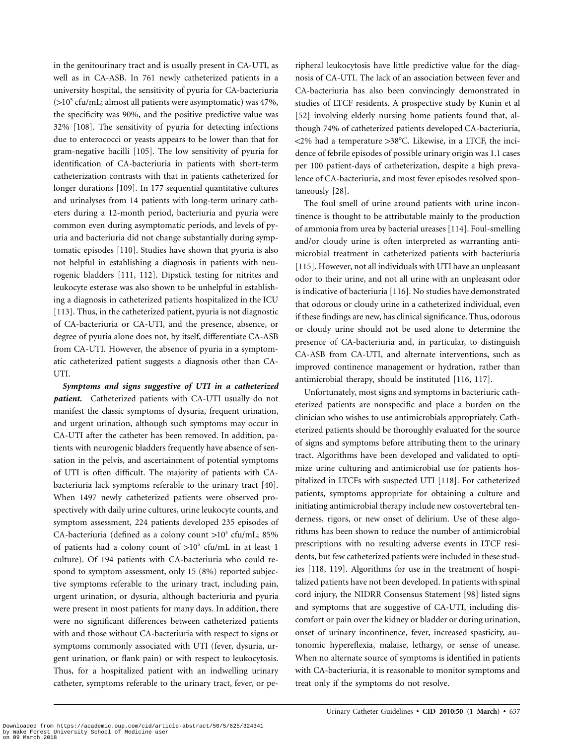in the genitourinary tract and is usually present in CA-UTI, as well as in CA-ASB. In 761 newly catheterized patients in a university hospital, the sensitivity of pyuria for CA-bacteriuria  $(>10^5 \text{ cfu/mL}$ ; almost all patients were asymptomatic) was 47%, the specificity was 90%, and the positive predictive value was 32% [108]. The sensitivity of pyuria for detecting infections due to enterococci or yeasts appears to be lower than that for gram-negative bacilli [105]. The low sensitivity of pyuria for identification of CA-bacteriuria in patients with short-term catheterization contrasts with that in patients catheterized for longer durations [109]. In 177 sequential quantitative cultures and urinalyses from 14 patients with long-term urinary catheters during a 12-month period, bacteriuria and pyuria were common even during asymptomatic periods, and levels of pyuria and bacteriuria did not change substantially during symptomatic episodes [110]. Studies have shown that pyuria is also not helpful in establishing a diagnosis in patients with neurogenic bladders [111, 112]. Dipstick testing for nitrites and leukocyte esterase was also shown to be unhelpful in establishing a diagnosis in catheterized patients hospitalized in the ICU [113]. Thus, in the catheterized patient, pyuria is not diagnostic of CA-bacteriuria or CA-UTI, and the presence, absence, or degree of pyuria alone does not, by itself, differentiate CA-ASB from CA-UTI. However, the absence of pyuria in a symptomatic catheterized patient suggests a diagnosis other than CA-UTI.

*Symptoms and signs suggestive of UTI in a catheterized patient.* Catheterized patients with CA-UTI usually do not manifest the classic symptoms of dysuria, frequent urination, and urgent urination, although such symptoms may occur in CA-UTI after the catheter has been removed. In addition, patients with neurogenic bladders frequently have absence of sensation in the pelvis, and ascertainment of potential symptoms of UTI is often difficult. The majority of patients with CAbacteriuria lack symptoms referable to the urinary tract [40]. When 1497 newly catheterized patients were observed prospectively with daily urine cultures, urine leukocyte counts, and symptom assessment, 224 patients developed 235 episodes of CA-bacteriuria (defined as a colony count  $>10^3$  cfu/mL; 85% of patients had a colony count of  $>10^5$  cfu/mL in at least 1 culture). Of 194 patients with CA-bacteriuria who could respond to symptom assessment, only 15 (8%) reported subjective symptoms referable to the urinary tract, including pain, urgent urination, or dysuria, although bacteriuria and pyuria were present in most patients for many days. In addition, there were no significant differences between catheterized patients with and those without CA-bacteriuria with respect to signs or symptoms commonly associated with UTI (fever, dysuria, urgent urination, or flank pain) or with respect to leukocytosis. Thus, for a hospitalized patient with an indwelling urinary catheter, symptoms referable to the urinary tract, fever, or peripheral leukocytosis have little predictive value for the diagnosis of CA-UTI. The lack of an association between fever and CA-bacteriuria has also been convincingly demonstrated in studies of LTCF residents. A prospective study by Kunin et al [52] involving elderly nursing home patients found that, although 74% of catheterized patients developed CA-bacteriuria,  $< 2\%$  had a temperature  $> 38^{\circ}$ C. Likewise, in a LTCF, the incidence of febrile episodes of possible urinary origin was 1.1 cases per 100 patient-days of catheterization, despite a high prevalence of CA-bacteriuria, and most fever episodes resolved spontaneously [28].

The foul smell of urine around patients with urine incontinence is thought to be attributable mainly to the production of ammonia from urea by bacterial ureases [114]. Foul-smelling and/or cloudy urine is often interpreted as warranting antimicrobial treatment in catheterized patients with bacteriuria [115]. However, not all individuals with UTI have an unpleasant odor to their urine, and not all urine with an unpleasant odor is indicative of bacteriuria [116]. No studies have demonstrated that odorous or cloudy urine in a catheterized individual, even if these findings are new, has clinical significance. Thus, odorous or cloudy urine should not be used alone to determine the presence of CA-bacteriuria and, in particular, to distinguish CA-ASB from CA-UTI, and alternate interventions, such as improved continence management or hydration, rather than antimicrobial therapy, should be instituted [116, 117].

Unfortunately, most signs and symptoms in bacteriuric catheterized patients are nonspecific and place a burden on the clinician who wishes to use antimicrobials appropriately. Catheterized patients should be thoroughly evaluated for the source of signs and symptoms before attributing them to the urinary tract. Algorithms have been developed and validated to optimize urine culturing and antimicrobial use for patients hospitalized in LTCFs with suspected UTI [118]. For catheterized patients, symptoms appropriate for obtaining a culture and initiating antimicrobial therapy include new costovertebral tenderness, rigors, or new onset of delirium. Use of these algorithms has been shown to reduce the number of antimicrobial prescriptions with no resulting adverse events in LTCF residents, but few catheterized patients were included in these studies [118, 119]. Algorithms for use in the treatment of hospitalized patients have not been developed. In patients with spinal cord injury, the NIDRR Consensus Statement [98] listed signs and symptoms that are suggestive of CA-UTI, including discomfort or pain over the kidney or bladder or during urination, onset of urinary incontinence, fever, increased spasticity, autonomic hypereflexia, malaise, lethargy, or sense of unease. When no alternate source of symptoms is identified in patients with CA-bacteriuria, it is reasonable to monitor symptoms and treat only if the symptoms do not resolve.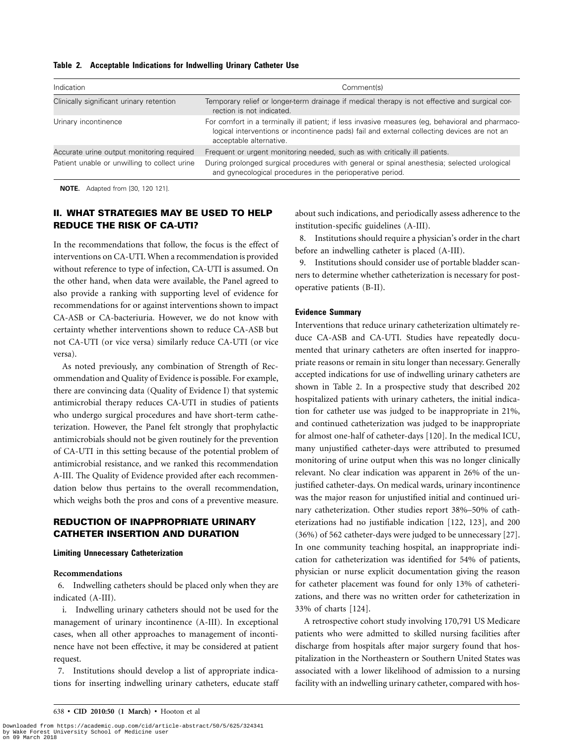#### **Table 2. Acceptable Indications for Indwelling Urinary Catheter Use**

| <b>Indication</b>                            | Comment(s)                                                                                                                                                                                                                 |
|----------------------------------------------|----------------------------------------------------------------------------------------------------------------------------------------------------------------------------------------------------------------------------|
| Clinically significant urinary retention     | Temporary relief or longer-term drainage if medical therapy is not effective and surgical cor-<br>rection is not indicated.                                                                                                |
| Urinary incontinence                         | For comfort in a terminally ill patient; if less invasive measures (eg, behavioral and pharmaco-<br>logical interventions or incontinence pads) fail and external collecting devices are not an<br>acceptable alternative. |
| Accurate urine output monitoring required    | Frequent or urgent monitoring needed, such as with critically ill patients.                                                                                                                                                |
| Patient unable or unwilling to collect urine | During prolonged surgical procedures with general or spinal anesthesia; selected urological<br>and gynecological procedures in the perioperative period.                                                                   |

**NOTE.** Adapted from [30, 120 121].

# **II. WHAT STRATEGIES MAY BE USED TO HELP REDUCE THE RISK OF CA-UTI?**

In the recommendations that follow, the focus is the effect of interventions on CA-UTI. When a recommendation is provided without reference to type of infection, CA-UTI is assumed. On the other hand, when data were available, the Panel agreed to also provide a ranking with supporting level of evidence for recommendations for or against interventions shown to impact CA-ASB or CA-bacteriuria. However, we do not know with certainty whether interventions shown to reduce CA-ASB but not CA-UTI (or vice versa) similarly reduce CA-UTI (or vice versa).

As noted previously, any combination of Strength of Recommendation and Quality of Evidence is possible. For example, there are convincing data (Quality of Evidence I) that systemic antimicrobial therapy reduces CA-UTI in studies of patients who undergo surgical procedures and have short-term catheterization. However, the Panel felt strongly that prophylactic antimicrobials should not be given routinely for the prevention of CA-UTI in this setting because of the potential problem of antimicrobial resistance, and we ranked this recommendation A-III. The Quality of Evidence provided after each recommendation below thus pertains to the overall recommendation, which weighs both the pros and cons of a preventive measure.

# **REDUCTION OF INAPPROPRIATE URINARY CATHETER INSERTION AND DURATION**

#### **Limiting Unnecessary Catheterization**

#### **Recommendations**

6. Indwelling catheters should be placed only when they are indicated (A-III).

i. Indwelling urinary catheters should not be used for the management of urinary incontinence (A-III). In exceptional cases, when all other approaches to management of incontinence have not been effective, it may be considered at patient request.

7. Institutions should develop a list of appropriate indications for inserting indwelling urinary catheters, educate staff about such indications, and periodically assess adherence to the institution-specific guidelines (A-III).

8. Institutions should require a physician's order in the chart before an indwelling catheter is placed (A-III).

9. Institutions should consider use of portable bladder scanners to determine whether catheterization is necessary for postoperative patients (B-II).

#### **Evidence Summary**

Interventions that reduce urinary catheterization ultimately reduce CA-ASB and CA-UTI. Studies have repeatedly documented that urinary catheters are often inserted for inappropriate reasons or remain in situ longer than necessary. Generally accepted indications for use of indwelling urinary catheters are shown in Table 2. In a prospective study that described 202 hospitalized patients with urinary catheters, the initial indication for catheter use was judged to be inappropriate in 21%, and continued catheterization was judged to be inappropriate for almost one-half of catheter-days [120]. In the medical ICU, many unjustified catheter-days were attributed to presumed monitoring of urine output when this was no longer clinically relevant. No clear indication was apparent in 26% of the unjustified catheter-days. On medical wards, urinary incontinence was the major reason for unjustified initial and continued urinary catheterization. Other studies report 38%–50% of catheterizations had no justifiable indication [122, 123], and 200 (36%) of 562 catheter-days were judged to be unnecessary [27]. In one community teaching hospital, an inappropriate indication for catheterization was identified for 54% of patients, physician or nurse explicit documentation giving the reason for catheter placement was found for only 13% of catheterizations, and there was no written order for catheterization in 33% of charts [124].

A retrospective cohort study involving 170,791 US Medicare patients who were admitted to skilled nursing facilities after discharge from hospitals after major surgery found that hospitalization in the Northeastern or Southern United States was associated with a lower likelihood of admission to a nursing facility with an indwelling urinary catheter, compared with hos-

<sup>638</sup> • **CID 2010:50 (1 March)** • Hooton et al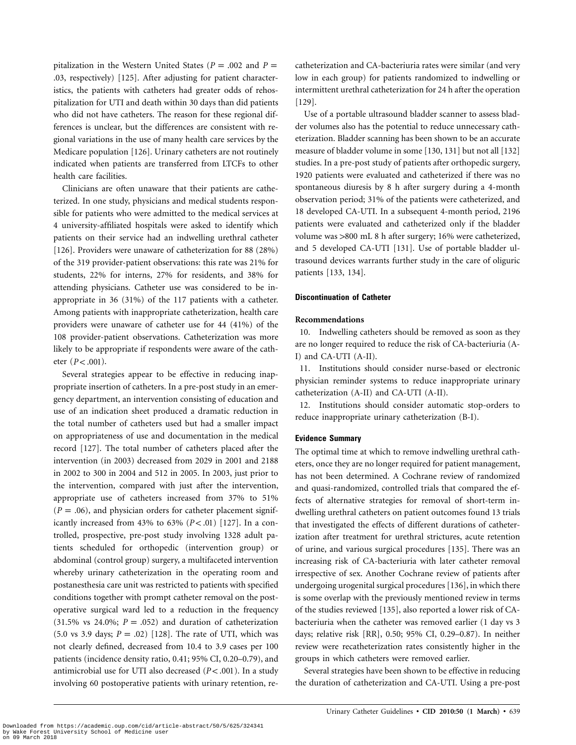pitalization in the Western United States ( $P = .002$  and  $P =$ .03, respectively) [125]. After adjusting for patient characteristics, the patients with catheters had greater odds of rehospitalization for UTI and death within 30 days than did patients who did not have catheters. The reason for these regional differences is unclear, but the differences are consistent with regional variations in the use of many health care services by the Medicare population [126]. Urinary catheters are not routinely indicated when patients are transferred from LTCFs to other health care facilities.

Clinicians are often unaware that their patients are catheterized. In one study, physicians and medical students responsible for patients who were admitted to the medical services at 4 university-affiliated hospitals were asked to identify which patients on their service had an indwelling urethral catheter [126]. Providers were unaware of catheterization for 88 (28%) of the 319 provider-patient observations: this rate was 21% for students, 22% for interns, 27% for residents, and 38% for attending physicians. Catheter use was considered to be inappropriate in 36 (31%) of the 117 patients with a catheter. Among patients with inappropriate catheterization, health care providers were unaware of catheter use for 44 (41%) of the 108 provider-patient observations. Catheterization was more likely to be appropriate if respondents were aware of the catheter ( $P < .001$ ).

Several strategies appear to be effective in reducing inappropriate insertion of catheters. In a pre-post study in an emergency department, an intervention consisting of education and use of an indication sheet produced a dramatic reduction in the total number of catheters used but had a smaller impact on appropriateness of use and documentation in the medical record [127]. The total number of catheters placed after the intervention (in 2003) decreased from 2029 in 2001 and 2188 in 2002 to 300 in 2004 and 512 in 2005. In 2003, just prior to the intervention, compared with just after the intervention, appropriate use of catheters increased from 37% to 51%  $(P = .06)$ , and physician orders for catheter placement significantly increased from 43% to 63% ( $P < .01$ ) [127]. In a controlled, prospective, pre-post study involving 1328 adult patients scheduled for orthopedic (intervention group) or abdominal (control group) surgery, a multifaceted intervention whereby urinary catheterization in the operating room and postanesthesia care unit was restricted to patients with specified conditions together with prompt catheter removal on the postoperative surgical ward led to a reduction in the frequency  $(31.5\% \text{ vs } 24.0\%; P = .052)$  and duration of catheterization  $(5.0 \text{ vs } 3.9 \text{ days}; P = .02)$  [128]. The rate of UTI, which was not clearly defined, decreased from 10.4 to 3.9 cases per 100 patients (incidence density ratio, 0.41; 95% CI, 0.20–0.79), and antimicrobial use for UTI also decreased  $(P < .001)$ . In a study involving 60 postoperative patients with urinary retention, recatheterization and CA-bacteriuria rates were similar (and very low in each group) for patients randomized to indwelling or intermittent urethral catheterization for 24 h after the operation [129].

Use of a portable ultrasound bladder scanner to assess bladder volumes also has the potential to reduce unnecessary catheterization. Bladder scanning has been shown to be an accurate measure of bladder volume in some [130, 131] but not all [132] studies. In a pre-post study of patients after orthopedic surgery, 1920 patients were evaluated and catheterized if there was no spontaneous diuresis by 8 h after surgery during a 4-month observation period; 31% of the patients were catheterized, and 18 developed CA-UTI. In a subsequent 4-month period, 2196 patients were evaluated and catheterized only if the bladder volume was >800 mL 8 h after surgery; 16% were catheterized, and 5 developed CA-UTI [131]. Use of portable bladder ultrasound devices warrants further study in the care of oliguric patients [133, 134].

#### **Discontinuation of Catheter**

#### **Recommendations**

10. Indwelling catheters should be removed as soon as they are no longer required to reduce the risk of CA-bacteriuria (A-I) and CA-UTI (A-II).

11. Institutions should consider nurse-based or electronic physician reminder systems to reduce inappropriate urinary catheterization (A-II) and CA-UTI (A-II).

12. Institutions should consider automatic stop-orders to reduce inappropriate urinary catheterization (B-I).

#### **Evidence Summary**

The optimal time at which to remove indwelling urethral catheters, once they are no longer required for patient management, has not been determined. A Cochrane review of randomized and quasi-randomized, controlled trials that compared the effects of alternative strategies for removal of short-term indwelling urethral catheters on patient outcomes found 13 trials that investigated the effects of different durations of catheterization after treatment for urethral strictures, acute retention of urine, and various surgical procedures [135]. There was an increasing risk of CA-bacteriuria with later catheter removal irrespective of sex. Another Cochrane review of patients after undergoing urogenital surgical procedures [136], in which there is some overlap with the previously mentioned review in terms of the studies reviewed [135], also reported a lower risk of CAbacteriuria when the catheter was removed earlier (1 day vs 3 days; relative risk [RR], 0.50; 95% CI, 0.29–0.87). In neither review were recatheterization rates consistently higher in the groups in which catheters were removed earlier.

Several strategies have been shown to be effective in reducing the duration of catheterization and CA-UTI. Using a pre-post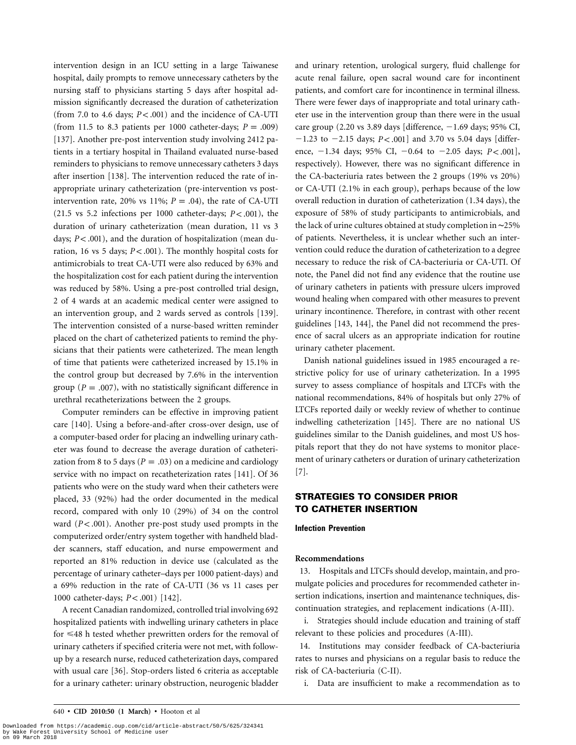intervention design in an ICU setting in a large Taiwanese hospital, daily prompts to remove unnecessary catheters by the nursing staff to physicians starting 5 days after hospital admission significantly decreased the duration of catheterization (from 7.0 to 4.6 days;  $P < .001$ ) and the incidence of CA-UTI (from 11.5 to 8.3 patients per 1000 catheter-days;  $P = .009$ ) [137]. Another pre-post intervention study involving 2412 patients in a tertiary hospital in Thailand evaluated nurse-based reminders to physicians to remove unnecessary catheters 3 days after insertion [138]. The intervention reduced the rate of inappropriate urinary catheterization (pre-intervention vs postintervention rate, 20% vs 11%;  $P = .04$ ), the rate of CA-UTI  $(21.5 \text{ vs } 5.2 \text{ infections per } 1000 \text{ catheter-days; } P < .001), \text{ the}$ duration of urinary catheterization (mean duration, 11 vs 3 days;  $P < .001$ ), and the duration of hospitalization (mean duration, 16 vs 5 days;  $P < .001$ ). The monthly hospital costs for antimicrobials to treat CA-UTI were also reduced by 63% and the hospitalization cost for each patient during the intervention was reduced by 58%. Using a pre-post controlled trial design, 2 of 4 wards at an academic medical center were assigned to an intervention group, and 2 wards served as controls [139]. The intervention consisted of a nurse-based written reminder placed on the chart of catheterized patients to remind the physicians that their patients were catheterized. The mean length of time that patients were catheterized increased by 15.1% in the control group but decreased by 7.6% in the intervention group ( $P = .007$ ), with no statistically significant difference in urethral recatheterizations between the 2 groups.

Computer reminders can be effective in improving patient care [140]. Using a before-and-after cross-over design, use of a computer-based order for placing an indwelling urinary catheter was found to decrease the average duration of catheterization from 8 to 5 days ( $P = .03$ ) on a medicine and cardiology service with no impact on recatheterization rates [141]. Of 36 patients who were on the study ward when their catheters were placed, 33 (92%) had the order documented in the medical record, compared with only 10 (29%) of 34 on the control ward ( $P < .001$ ). Another pre-post study used prompts in the computerized order/entry system together with handheld bladder scanners, staff education, and nurse empowerment and reported an 81% reduction in device use (calculated as the percentage of urinary catheter–days per 1000 patient-days) and a 69% reduction in the rate of CA-UTI (36 vs 11 cases per 1000 catheter-days;  $P < .001$ ) [142].

A recent Canadian randomized, controlled trial involving 692 hospitalized patients with indwelling urinary catheters in place for  $\leq 48$  h tested whether prewritten orders for the removal of urinary catheters if specified criteria were not met, with followup by a research nurse, reduced catheterization days, compared with usual care [36]. Stop-orders listed 6 criteria as acceptable for a urinary catheter: urinary obstruction, neurogenic bladder

and urinary retention, urological surgery, fluid challenge for acute renal failure, open sacral wound care for incontinent patients, and comfort care for incontinence in terminal illness. There were fewer days of inappropriate and total urinary catheter use in the intervention group than there were in the usual care group (2.20 vs 3.89 days [difference,  $-1.69$  days; 95% CI,  $-1.23$  to  $-2.15$  days;  $P < .001$ ] and 3.70 vs 5.04 days [difference,  $-1.34$  days; 95% CI,  $-0.64$  to  $-2.05$  days;  $P < .001$ ], respectively). However, there was no significant difference in the CA-bacteriuria rates between the 2 groups (19% vs 20%) or CA-UTI (2.1% in each group), perhaps because of the low overall reduction in duration of catheterization (1.34 days), the exposure of 58% of study participants to antimicrobials, and the lack of urine cultures obtained at study completion in ∼25% of patients. Nevertheless, it is unclear whether such an intervention could reduce the duration of catheterization to a degree necessary to reduce the risk of CA-bacteriuria or CA-UTI. Of note, the Panel did not find any evidence that the routine use of urinary catheters in patients with pressure ulcers improved wound healing when compared with other measures to prevent urinary incontinence. Therefore, in contrast with other recent guidelines [143, 144], the Panel did not recommend the presence of sacral ulcers as an appropriate indication for routine urinary catheter placement.

Danish national guidelines issued in 1985 encouraged a restrictive policy for use of urinary catheterization. In a 1995 survey to assess compliance of hospitals and LTCFs with the national recommendations, 84% of hospitals but only 27% of LTCFs reported daily or weekly review of whether to continue indwelling catheterization [145]. There are no national US guidelines similar to the Danish guidelines, and most US hospitals report that they do not have systems to monitor placement of urinary catheters or duration of urinary catheterization [7].

# **STRATEGIES TO CONSIDER PRIOR TO CATHETER INSERTION**

#### **Infection Prevention**

#### **Recommendations**

13. Hospitals and LTCFs should develop, maintain, and promulgate policies and procedures for recommended catheter insertion indications, insertion and maintenance techniques, discontinuation strategies, and replacement indications (A-III).

i. Strategies should include education and training of staff relevant to these policies and procedures (A-III).

14. Institutions may consider feedback of CA-bacteriuria rates to nurses and physicians on a regular basis to reduce the risk of CA-bacteriuria (C-II).

i. Data are insufficient to make a recommendation as to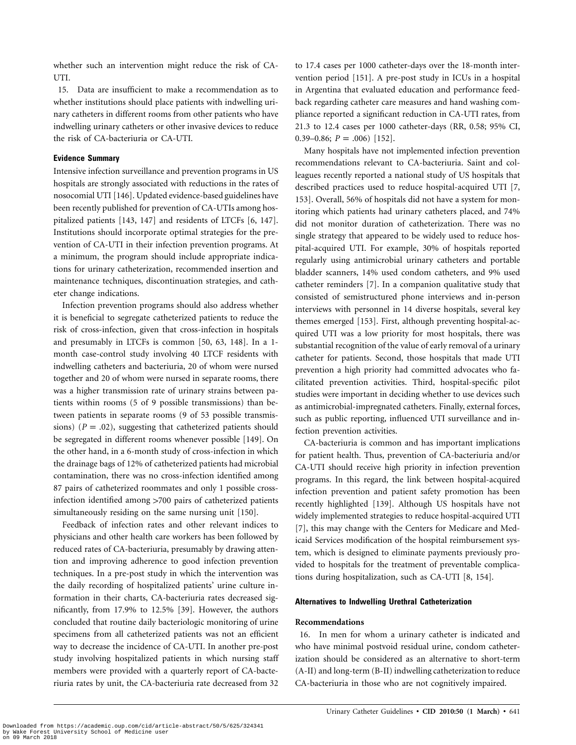whether such an intervention might reduce the risk of CA-UTI.

15. Data are insufficient to make a recommendation as to whether institutions should place patients with indwelling urinary catheters in different rooms from other patients who have indwelling urinary catheters or other invasive devices to reduce the risk of CA-bacteriuria or CA-UTI.

#### **Evidence Summary**

Intensive infection surveillance and prevention programs in US hospitals are strongly associated with reductions in the rates of nosocomial UTI [146]. Updated evidence-based guidelines have been recently published for prevention of CA-UTIs among hospitalized patients [143, 147] and residents of LTCFs [6, 147]. Institutions should incorporate optimal strategies for the prevention of CA-UTI in their infection prevention programs. At a minimum, the program should include appropriate indications for urinary catheterization, recommended insertion and maintenance techniques, discontinuation strategies, and catheter change indications.

Infection prevention programs should also address whether it is beneficial to segregate catheterized patients to reduce the risk of cross-infection, given that cross-infection in hospitals and presumably in LTCFs is common [50, 63, 148]. In a 1 month case-control study involving 40 LTCF residents with indwelling catheters and bacteriuria, 20 of whom were nursed together and 20 of whom were nursed in separate rooms, there was a higher transmission rate of urinary strains between patients within rooms (5 of 9 possible transmissions) than between patients in separate rooms (9 of 53 possible transmissions)  $(P = .02)$ , suggesting that catheterized patients should be segregated in different rooms whenever possible [149]. On the other hand, in a 6-month study of cross-infection in which the drainage bags of 12% of catheterized patients had microbial contamination, there was no cross-infection identified among 87 pairs of catheterized roommates and only 1 possible crossinfection identified among >700 pairs of catheterized patients simultaneously residing on the same nursing unit [150].

Feedback of infection rates and other relevant indices to physicians and other health care workers has been followed by reduced rates of CA-bacteriuria, presumably by drawing attention and improving adherence to good infection prevention techniques. In a pre-post study in which the intervention was the daily recording of hospitalized patients' urine culture information in their charts, CA-bacteriuria rates decreased significantly, from 17.9% to 12.5% [39]. However, the authors concluded that routine daily bacteriologic monitoring of urine specimens from all catheterized patients was not an efficient way to decrease the incidence of CA-UTI. In another pre-post study involving hospitalized patients in which nursing staff members were provided with a quarterly report of CA-bacteriuria rates by unit, the CA-bacteriuria rate decreased from 32

to 17.4 cases per 1000 catheter-days over the 18-month intervention period [151]. A pre-post study in ICUs in a hospital in Argentina that evaluated education and performance feedback regarding catheter care measures and hand washing compliance reported a significant reduction in CA-UTI rates, from 21.3 to 12.4 cases per 1000 catheter-days (RR, 0.58; 95% CI,  $0.39-0.86$ ;  $P = .006$  [152].

Many hospitals have not implemented infection prevention recommendations relevant to CA-bacteriuria. Saint and colleagues recently reported a national study of US hospitals that described practices used to reduce hospital-acquired UTI [7, 153]. Overall, 56% of hospitals did not have a system for monitoring which patients had urinary catheters placed, and 74% did not monitor duration of catheterization. There was no single strategy that appeared to be widely used to reduce hospital-acquired UTI. For example, 30% of hospitals reported regularly using antimicrobial urinary catheters and portable bladder scanners, 14% used condom catheters, and 9% used catheter reminders [7]. In a companion qualitative study that consisted of semistructured phone interviews and in-person interviews with personnel in 14 diverse hospitals, several key themes emerged [153]. First, although preventing hospital-acquired UTI was a low priority for most hospitals, there was substantial recognition of the value of early removal of a urinary catheter for patients. Second, those hospitals that made UTI prevention a high priority had committed advocates who facilitated prevention activities. Third, hospital-specific pilot studies were important in deciding whether to use devices such as antimicrobial-impregnated catheters. Finally, external forces, such as public reporting, influenced UTI surveillance and infection prevention activities.

CA-bacteriuria is common and has important implications for patient health. Thus, prevention of CA-bacteriuria and/or CA-UTI should receive high priority in infection prevention programs. In this regard, the link between hospital-acquired infection prevention and patient safety promotion has been recently highlighted [139]. Although US hospitals have not widely implemented strategies to reduce hospital-acquired UTI [7], this may change with the Centers for Medicare and Medicaid Services modification of the hospital reimbursement system, which is designed to eliminate payments previously provided to hospitals for the treatment of preventable complications during hospitalization, such as CA-UTI [8, 154].

#### **Alternatives to Indwelling Urethral Catheterization**

#### **Recommendations**

16. In men for whom a urinary catheter is indicated and who have minimal postvoid residual urine, condom catheterization should be considered as an alternative to short-term (A-II) and long-term (B-II) indwelling catheterization to reduce CA-bacteriuria in those who are not cognitively impaired.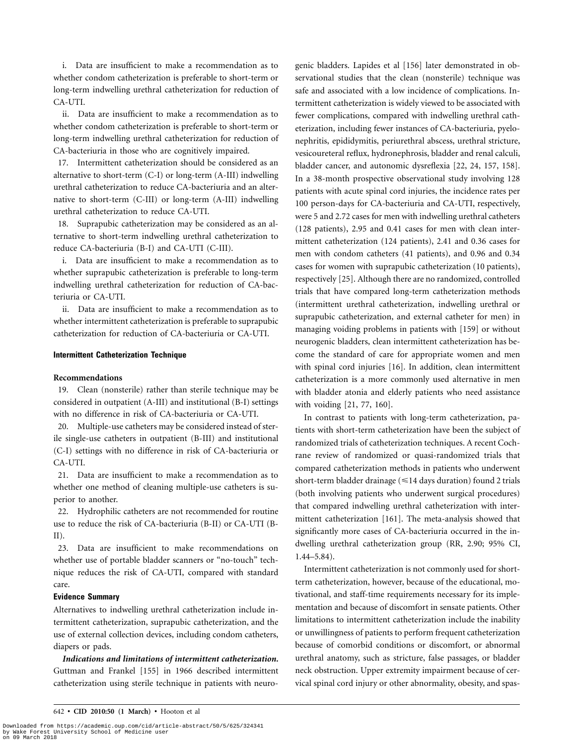i. Data are insufficient to make a recommendation as to whether condom catheterization is preferable to short-term or long-term indwelling urethral catheterization for reduction of CA-UTI.

ii. Data are insufficient to make a recommendation as to whether condom catheterization is preferable to short-term or long-term indwelling urethral catheterization for reduction of CA-bacteriuria in those who are cognitively impaired.

17. Intermittent catheterization should be considered as an alternative to short-term (C-I) or long-term (A-III) indwelling urethral catheterization to reduce CA-bacteriuria and an alternative to short-term (C-III) or long-term (A-III) indwelling urethral catheterization to reduce CA-UTI.

18. Suprapubic catheterization may be considered as an alternative to short-term indwelling urethral catheterization to reduce CA-bacteriuria (B-I) and CA-UTI (C-III).

i. Data are insufficient to make a recommendation as to whether suprapubic catheterization is preferable to long-term indwelling urethral catheterization for reduction of CA-bacteriuria or CA-UTI.

ii. Data are insufficient to make a recommendation as to whether intermittent catheterization is preferable to suprapubic catheterization for reduction of CA-bacteriuria or CA-UTI.

#### **Intermittent Catheterization Technique**

#### **Recommendations**

19. Clean (nonsterile) rather than sterile technique may be considered in outpatient (A-III) and institutional (B-I) settings with no difference in risk of CA-bacteriuria or CA-UTI.

20. Multiple-use catheters may be considered instead of sterile single-use catheters in outpatient (B-III) and institutional (C-I) settings with no difference in risk of CA-bacteriuria or CA-UTI.

21. Data are insufficient to make a recommendation as to whether one method of cleaning multiple-use catheters is superior to another.

22. Hydrophilic catheters are not recommended for routine use to reduce the risk of CA-bacteriuria (B-II) or CA-UTI (B-II).

23. Data are insufficient to make recommendations on whether use of portable bladder scanners or "no-touch" technique reduces the risk of CA-UTI, compared with standard care.

#### **Evidence Summary**

Alternatives to indwelling urethral catheterization include intermittent catheterization, suprapubic catheterization, and the use of external collection devices, including condom catheters, diapers or pads.

*Indications and limitations of intermittent catheterization.* Guttman and Frankel [155] in 1966 described intermittent catheterization using sterile technique in patients with neurogenic bladders. Lapides et al [156] later demonstrated in observational studies that the clean (nonsterile) technique was safe and associated with a low incidence of complications. Intermittent catheterization is widely viewed to be associated with fewer complications, compared with indwelling urethral catheterization, including fewer instances of CA-bacteriuria, pyelonephritis, epididymitis, periurethral abscess, urethral stricture, vesicoureteral reflux, hydronephrosis, bladder and renal calculi, bladder cancer, and autonomic dysreflexia [22, 24, 157, 158]. In a 38-month prospective observational study involving 128 patients with acute spinal cord injuries, the incidence rates per 100 person-days for CA-bacteriuria and CA-UTI, respectively, were 5 and 2.72 cases for men with indwelling urethral catheters (128 patients), 2.95 and 0.41 cases for men with clean intermittent catheterization (124 patients), 2.41 and 0.36 cases for men with condom catheters (41 patients), and 0.96 and 0.34 cases for women with suprapubic catheterization (10 patients), respectively [25]. Although there are no randomized, controlled trials that have compared long-term catheterization methods (intermittent urethral catheterization, indwelling urethral or suprapubic catheterization, and external catheter for men) in managing voiding problems in patients with [159] or without neurogenic bladders, clean intermittent catheterization has become the standard of care for appropriate women and men with spinal cord injuries [16]. In addition, clean intermittent catheterization is a more commonly used alternative in men with bladder atonia and elderly patients who need assistance with voiding [21, 77, 160].

In contrast to patients with long-term catheterization, patients with short-term catheterization have been the subject of randomized trials of catheterization techniques. A recent Cochrane review of randomized or quasi-randomized trials that compared catheterization methods in patients who underwent short-term bladder drainage  $(\leq 14$  days duration) found 2 trials (both involving patients who underwent surgical procedures) that compared indwelling urethral catheterization with intermittent catheterization [161]. The meta-analysis showed that significantly more cases of CA-bacteriuria occurred in the indwelling urethral catheterization group (RR, 2.90; 95% CI, 1.44–5.84).

Intermittent catheterization is not commonly used for shortterm catheterization, however, because of the educational, motivational, and staff-time requirements necessary for its implementation and because of discomfort in sensate patients. Other limitations to intermittent catheterization include the inability or unwillingness of patients to perform frequent catheterization because of comorbid conditions or discomfort, or abnormal urethral anatomy, such as stricture, false passages, or bladder neck obstruction. Upper extremity impairment because of cervical spinal cord injury or other abnormality, obesity, and spas-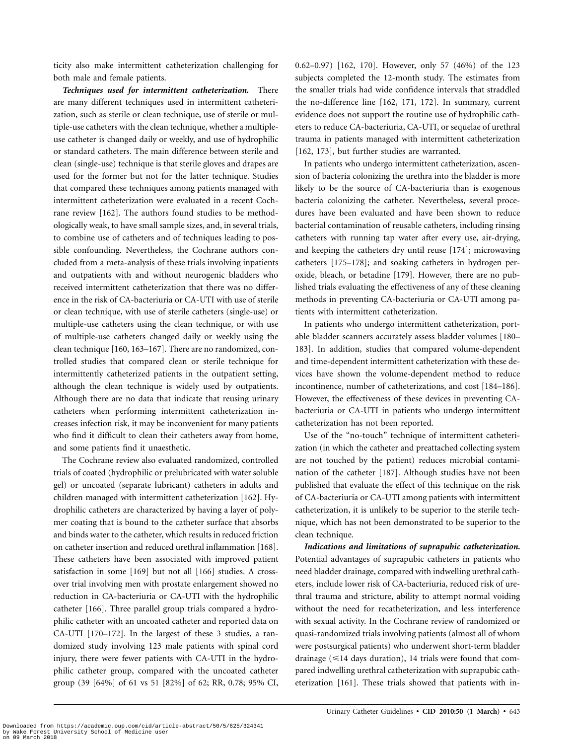ticity also make intermittent catheterization challenging for both male and female patients.

*Techniques used for intermittent catheterization.* There are many different techniques used in intermittent catheterization, such as sterile or clean technique, use of sterile or multiple-use catheters with the clean technique, whether a multipleuse catheter is changed daily or weekly, and use of hydrophilic or standard catheters. The main difference between sterile and clean (single-use) technique is that sterile gloves and drapes are used for the former but not for the latter technique. Studies that compared these techniques among patients managed with intermittent catheterization were evaluated in a recent Cochrane review [162]. The authors found studies to be methodologically weak, to have small sample sizes, and, in several trials, to combine use of catheters and of techniques leading to possible confounding. Nevertheless, the Cochrane authors concluded from a meta-analysis of these trials involving inpatients and outpatients with and without neurogenic bladders who received intermittent catheterization that there was no difference in the risk of CA-bacteriuria or CA-UTI with use of sterile or clean technique, with use of sterile catheters (single-use) or multiple-use catheters using the clean technique, or with use of multiple-use catheters changed daily or weekly using the clean technique [160, 163–167]. There are no randomized, controlled studies that compared clean or sterile technique for intermittently catheterized patients in the outpatient setting, although the clean technique is widely used by outpatients. Although there are no data that indicate that reusing urinary catheters when performing intermittent catheterization increases infection risk, it may be inconvenient for many patients who find it difficult to clean their catheters away from home, and some patients find it unaesthetic.

The Cochrane review also evaluated randomized, controlled trials of coated (hydrophilic or prelubricated with water soluble gel) or uncoated (separate lubricant) catheters in adults and children managed with intermittent catheterization [162]. Hydrophilic catheters are characterized by having a layer of polymer coating that is bound to the catheter surface that absorbs and binds water to the catheter, which results in reduced friction on catheter insertion and reduced urethral inflammation [168]. These catheters have been associated with improved patient satisfaction in some [169] but not all [166] studies. A crossover trial involving men with prostate enlargement showed no reduction in CA-bacteriuria or CA-UTI with the hydrophilic catheter [166]. Three parallel group trials compared a hydrophilic catheter with an uncoated catheter and reported data on CA-UTI [170–172]. In the largest of these 3 studies, a randomized study involving 123 male patients with spinal cord injury, there were fewer patients with CA-UTI in the hydrophilic catheter group, compared with the uncoated catheter group (39 [64%] of 61 vs 51 [82%] of 62; RR, 0.78; 95% CI,

0.62–0.97) [162, 170]. However, only 57 (46%) of the 123 subjects completed the 12-month study. The estimates from the smaller trials had wide confidence intervals that straddled the no-difference line [162, 171, 172]. In summary, current evidence does not support the routine use of hydrophilic catheters to reduce CA-bacteriuria, CA-UTI, or sequelae of urethral trauma in patients managed with intermittent catheterization [162, 173], but further studies are warranted.

In patients who undergo intermittent catheterization, ascension of bacteria colonizing the urethra into the bladder is more likely to be the source of CA-bacteriuria than is exogenous bacteria colonizing the catheter. Nevertheless, several procedures have been evaluated and have been shown to reduce bacterial contamination of reusable catheters, including rinsing catheters with running tap water after every use, air-drying, and keeping the catheters dry until reuse [174]; microwaving catheters [175–178]; and soaking catheters in hydrogen peroxide, bleach, or betadine [179]. However, there are no published trials evaluating the effectiveness of any of these cleaning methods in preventing CA-bacteriuria or CA-UTI among patients with intermittent catheterization.

In patients who undergo intermittent catheterization, portable bladder scanners accurately assess bladder volumes [180– 183]. In addition, studies that compared volume-dependent and time-dependent intermittent catheterization with these devices have shown the volume-dependent method to reduce incontinence, number of catheterizations, and cost [184–186]. However, the effectiveness of these devices in preventing CAbacteriuria or CA-UTI in patients who undergo intermittent catheterization has not been reported.

Use of the "no-touch" technique of intermittent catheterization (in which the catheter and preattached collecting system are not touched by the patient) reduces microbial contamination of the catheter [187]. Although studies have not been published that evaluate the effect of this technique on the risk of CA-bacteriuria or CA-UTI among patients with intermittent catheterization, it is unlikely to be superior to the sterile technique, which has not been demonstrated to be superior to the clean technique.

*Indications and limitations of suprapubic catheterization.* Potential advantages of suprapubic catheters in patients who need bladder drainage, compared with indwelling urethral catheters, include lower risk of CA-bacteriuria, reduced risk of urethral trauma and stricture, ability to attempt normal voiding without the need for recatheterization, and less interference with sexual activity. In the Cochrane review of randomized or quasi-randomized trials involving patients (almost all of whom were postsurgical patients) who underwent short-term bladder drainage  $(\leq 14$  days duration), 14 trials were found that compared indwelling urethral catheterization with suprapubic catheterization [161]. These trials showed that patients with in-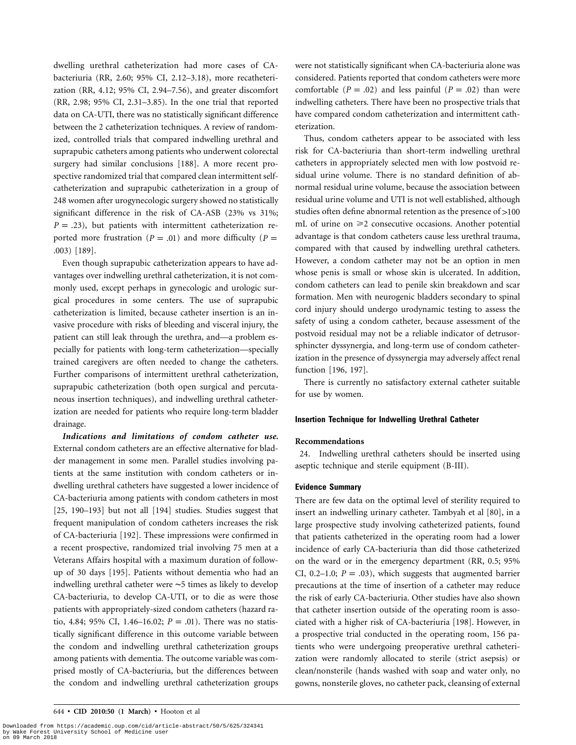dwelling urethral catheterization had more cases of CAbacteriuria (RR, 2.60; 95% CI, 2.12–3.18), more recatheterization (RR, 4.12; 95% CI, 2.94–7.56), and greater discomfort (RR, 2.98; 95% CI, 2.31–3.85). In the one trial that reported data on CA-UTI, there was no statistically significant difference between the 2 catheterization techniques. A review of randomized, controlled trials that compared indwelling urethral and suprapubic catheters among patients who underwent colorectal surgery had similar conclusions [188]. A more recent prospective randomized trial that compared clean intermittent selfcatheterization and suprapubic catheterization in a group of 248 women after urogynecologic surgery showed no statistically significant difference in the risk of CA-ASB (23% vs 31%;  $P = .23$ ), but patients with intermittent catheterization reported more frustration ( $P = .01$ ) and more difficulty ( $P =$ .003) [189].

Even though suprapubic catheterization appears to have advantages over indwelling urethral catheterization, it is not commonly used, except perhaps in gynecologic and urologic surgical procedures in some centers. The use of suprapubic catheterization is limited, because catheter insertion is an invasive procedure with risks of bleeding and visceral injury, the patient can still leak through the urethra, and—a problem especially for patients with long-term catheterization—specially trained caregivers are often needed to change the catheters. Further comparisons of intermittent urethral catheterization, suprapubic catheterization (both open surgical and percutaneous insertion techniques), and indwelling urethral catheterization are needed for patients who require long-term bladder drainage.

*Indications and limitations of condom catheter use.* External condom catheters are an effective alternative for bladder management in some men. Parallel studies involving patients at the same institution with condom catheters or indwelling urethral catheters have suggested a lower incidence of CA-bacteriuria among patients with condom catheters in most [25, 190–193] but not all [194] studies. Studies suggest that frequent manipulation of condom catheters increases the risk of CA-bacteriuria [192]. These impressions were confirmed in a recent prospective, randomized trial involving 75 men at a Veterans Affairs hospital with a maximum duration of followup of 30 days [195]. Patients without dementia who had an indwelling urethral catheter were ∼5 times as likely to develop CA-bacteriuria, to develop CA-UTI, or to die as were those patients with appropriately-sized condom catheters (hazard ratio, 4.84; 95% CI, 1.46–16.02;  $P = .01$ ). There was no statistically significant difference in this outcome variable between the condom and indwelling urethral catheterization groups among patients with dementia. The outcome variable was comprised mostly of CA-bacteriuria, but the differences between the condom and indwelling urethral catheterization groups

644 • **CID 2010:50 (1 March)** • Hooton et al

were not statistically significant when CA-bacteriuria alone was considered. Patients reported that condom catheters were more comfortable  $(P = .02)$  and less painful  $(P = .02)$  than were indwelling catheters. There have been no prospective trials that have compared condom catheterization and intermittent catheterization.

Thus, condom catheters appear to be associated with less risk for CA-bacteriuria than short-term indwelling urethral catheters in appropriately selected men with low postvoid residual urine volume. There is no standard definition of abnormal residual urine volume, because the association between residual urine volume and UTI is not well established, although studies often define abnormal retention as the presence of >100 mL of urine on  $\geq 2$  consecutive occasions. Another potential advantage is that condom catheters cause less urethral trauma, compared with that caused by indwelling urethral catheters. However, a condom catheter may not be an option in men whose penis is small or whose skin is ulcerated. In addition, condom catheters can lead to penile skin breakdown and scar formation. Men with neurogenic bladders secondary to spinal cord injury should undergo urodynamic testing to assess the safety of using a condom catheter, because assessment of the postvoid residual may not be a reliable indicator of detrusorsphincter dyssynergia, and long-term use of condom catheterization in the presence of dyssynergia may adversely affect renal function [196, 197].

There is currently no satisfactory external catheter suitable for use by women.

#### **Insertion Technique for Indwelling Urethral Catheter**

#### **Recommendations**

24. Indwelling urethral catheters should be inserted using aseptic technique and sterile equipment (B-III).

#### **Evidence Summary**

There are few data on the optimal level of sterility required to insert an indwelling urinary catheter. Tambyah et al [80], in a large prospective study involving catheterized patients, found that patients catheterized in the operating room had a lower incidence of early CA-bacteriuria than did those catheterized on the ward or in the emergency department (RR, 0.5; 95% CI, 0.2–1.0;  $P = .03$ ), which suggests that augmented barrier precautions at the time of insertion of a catheter may reduce the risk of early CA-bacteriuria. Other studies have also shown that catheter insertion outside of the operating room is associated with a higher risk of CA-bacteriuria [198]. However, in a prospective trial conducted in the operating room, 156 patients who were undergoing preoperative urethral catheterization were randomly allocated to sterile (strict asepsis) or clean/nonsterile (hands washed with soap and water only, no gowns, nonsterile gloves, no catheter pack, cleansing of external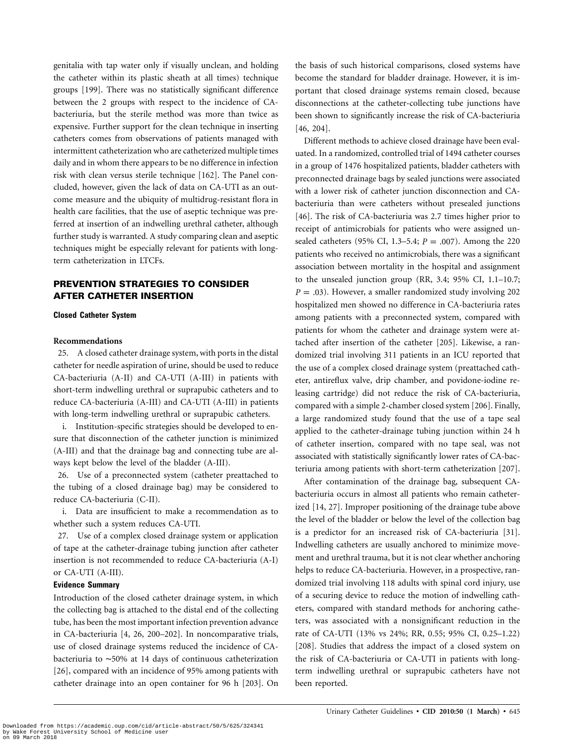genitalia with tap water only if visually unclean, and holding the catheter within its plastic sheath at all times) technique groups [199]. There was no statistically significant difference between the 2 groups with respect to the incidence of CAbacteriuria, but the sterile method was more than twice as expensive. Further support for the clean technique in inserting catheters comes from observations of patients managed with intermittent catheterization who are catheterized multiple times daily and in whom there appears to be no difference in infection risk with clean versus sterile technique [162]. The Panel concluded, however, given the lack of data on CA-UTI as an outcome measure and the ubiquity of multidrug-resistant flora in health care facilities, that the use of aseptic technique was preferred at insertion of an indwelling urethral catheter, although further study is warranted. A study comparing clean and aseptic techniques might be especially relevant for patients with longterm catheterization in LTCFs.

# **PREVENTION STRATEGIES TO CONSIDER AFTER CATHETER INSERTION**

#### **Closed Catheter System**

#### **Recommendations**

25. A closed catheter drainage system, with ports in the distal catheter for needle aspiration of urine, should be used to reduce CA-bacteriuria (A-II) and CA-UTI (A-III) in patients with short-term indwelling urethral or suprapubic catheters and to reduce CA-bacteriuria (A-III) and CA-UTI (A-III) in patients with long-term indwelling urethral or suprapubic catheters.

i. Institution-specific strategies should be developed to ensure that disconnection of the catheter junction is minimized (A-III) and that the drainage bag and connecting tube are always kept below the level of the bladder (A-III).

26. Use of a preconnected system (catheter preattached to the tubing of a closed drainage bag) may be considered to reduce CA-bacteriuria (C-II).

i. Data are insufficient to make a recommendation as to whether such a system reduces CA-UTI.

27. Use of a complex closed drainage system or application of tape at the catheter-drainage tubing junction after catheter insertion is not recommended to reduce CA-bacteriuria (A-I) or CA-UTI (A-III).

#### **Evidence Summary**

Introduction of the closed catheter drainage system, in which the collecting bag is attached to the distal end of the collecting tube, has been the most important infection prevention advance in CA-bacteriuria [4, 26, 200–202]. In noncomparative trials, use of closed drainage systems reduced the incidence of CAbacteriuria to ∼50% at 14 days of continuous catheterization [26], compared with an incidence of 95% among patients with catheter drainage into an open container for 96 h [203]. On the basis of such historical comparisons, closed systems have become the standard for bladder drainage. However, it is important that closed drainage systems remain closed, because disconnections at the catheter-collecting tube junctions have been shown to significantly increase the risk of CA-bacteriuria [46, 204].

Different methods to achieve closed drainage have been evaluated. In a randomized, controlled trial of 1494 catheter courses in a group of 1476 hospitalized patients, bladder catheters with preconnected drainage bags by sealed junctions were associated with a lower risk of catheter junction disconnection and CAbacteriuria than were catheters without presealed junctions [46]. The risk of CA-bacteriuria was 2.7 times higher prior to receipt of antimicrobials for patients who were assigned unsealed catheters (95% CI, 1.3–5.4;  $P = .007$ ). Among the 220 patients who received no antimicrobials, there was a significant association between mortality in the hospital and assignment to the unsealed junction group (RR, 3.4; 95% CI, 1.1–10.7;  $P = .03$ ). However, a smaller randomized study involving 202 hospitalized men showed no difference in CA-bacteriuria rates among patients with a preconnected system, compared with patients for whom the catheter and drainage system were attached after insertion of the catheter [205]. Likewise, a randomized trial involving 311 patients in an ICU reported that the use of a complex closed drainage system (preattached catheter, antireflux valve, drip chamber, and povidone-iodine releasing cartridge) did not reduce the risk of CA-bacteriuria, compared with a simple 2-chamber closed system [206]. Finally, a large randomized study found that the use of a tape seal applied to the catheter-drainage tubing junction within 24 h of catheter insertion, compared with no tape seal, was not associated with statistically significantly lower rates of CA-bacteriuria among patients with short-term catheterization [207].

After contamination of the drainage bag, subsequent CAbacteriuria occurs in almost all patients who remain catheterized [14, 27]. Improper positioning of the drainage tube above the level of the bladder or below the level of the collection bag is a predictor for an increased risk of CA-bacteriuria [31]. Indwelling catheters are usually anchored to minimize movement and urethral trauma, but it is not clear whether anchoring helps to reduce CA-bacteriuria. However, in a prospective, randomized trial involving 118 adults with spinal cord injury, use of a securing device to reduce the motion of indwelling catheters, compared with standard methods for anchoring catheters, was associated with a nonsignificant reduction in the rate of CA-UTI (13% vs 24%; RR, 0.55; 95% CI, 0.25–1.22) [208]. Studies that address the impact of a closed system on the risk of CA-bacteriuria or CA-UTI in patients with longterm indwelling urethral or suprapubic catheters have not been reported.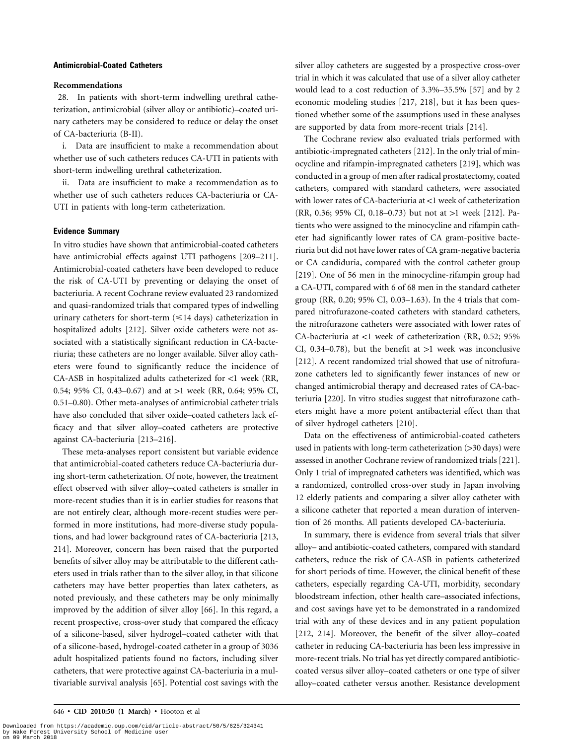#### **Antimicrobial-Coated Catheters**

#### **Recommendations**

28. In patients with short-term indwelling urethral catheterization, antimicrobial (silver alloy or antibiotic)–coated urinary catheters may be considered to reduce or delay the onset of CA-bacteriuria (B-II).

i. Data are insufficient to make a recommendation about whether use of such catheters reduces CA-UTI in patients with short-term indwelling urethral catheterization.

ii. Data are insufficient to make a recommendation as to whether use of such catheters reduces CA-bacteriuria or CA-UTI in patients with long-term catheterization.

#### **Evidence Summary**

In vitro studies have shown that antimicrobial-coated catheters have antimicrobial effects against UTI pathogens [209–211]. Antimicrobial-coated catheters have been developed to reduce the risk of CA-UTI by preventing or delaying the onset of bacteriuria. A recent Cochrane review evaluated 23 randomized and quasi-randomized trials that compared types of indwelling urinary catheters for short-term (<14 days) catheterization in hospitalized adults [212]. Silver oxide catheters were not associated with a statistically significant reduction in CA-bacteriuria; these catheters are no longer available. Silver alloy catheters were found to significantly reduce the incidence of  $CA-ASB$  in hospitalized adults catheterized for  $\lt 1$  week (RR, 0.54; 95% CI, 0.43-0.67) and at >1 week (RR, 0.64; 95% CI, 0.51–0.80). Other meta-analyses of antimicrobial catheter trials have also concluded that silver oxide–coated catheters lack efficacy and that silver alloy–coated catheters are protective against CA-bacteriuria [213–216].

These meta-analyses report consistent but variable evidence that antimicrobial-coated catheters reduce CA-bacteriuria during short-term catheterization. Of note, however, the treatment effect observed with silver alloy–coated catheters is smaller in more-recent studies than it is in earlier studies for reasons that are not entirely clear, although more-recent studies were performed in more institutions, had more-diverse study populations, and had lower background rates of CA-bacteriuria [213, 214]. Moreover, concern has been raised that the purported benefits of silver alloy may be attributable to the different catheters used in trials rather than to the silver alloy, in that silicone catheters may have better properties than latex catheters, as noted previously, and these catheters may be only minimally improved by the addition of silver alloy [66]. In this regard, a recent prospective, cross-over study that compared the efficacy of a silicone-based, silver hydrogel–coated catheter with that of a silicone-based, hydrogel-coated catheter in a group of 3036 adult hospitalized patients found no factors, including silver catheters, that were protective against CA-bacteriuria in a multivariable survival analysis [65]. Potential cost savings with the

silver alloy catheters are suggested by a prospective cross-over trial in which it was calculated that use of a silver alloy catheter would lead to a cost reduction of 3.3%–35.5% [57] and by 2 economic modeling studies [217, 218], but it has been questioned whether some of the assumptions used in these analyses are supported by data from more-recent trials [214].

The Cochrane review also evaluated trials performed with antibiotic-impregnated catheters [212]. In the only trial of minocycline and rifampin-impregnated catheters [219], which was conducted in a group of men after radical prostatectomy, coated catheters, compared with standard catheters, were associated with lower rates of CA-bacteriuria at  $<$ 1 week of catheterization (RR, 0.36; 95% CI, 0.18-0.73) but not at >1 week [212]. Patients who were assigned to the minocycline and rifampin catheter had significantly lower rates of CA gram-positive bacteriuria but did not have lower rates of CA gram-negative bacteria or CA candiduria, compared with the control catheter group [219]. One of 56 men in the minocycline-rifampin group had a CA-UTI, compared with 6 of 68 men in the standard catheter group (RR, 0.20; 95% CI, 0.03–1.63). In the 4 trials that compared nitrofurazone-coated catheters with standard catheters, the nitrofurazone catheters were associated with lower rates of CA-bacteriuria at  $<$ 1 week of catheterization (RR, 0.52; 95%) CI, 0.34–0.78), but the benefit at  $>1$  week was inconclusive [212]. A recent randomized trial showed that use of nitrofurazone catheters led to significantly fewer instances of new or changed antimicrobial therapy and decreased rates of CA-bacteriuria [220]. In vitro studies suggest that nitrofurazone catheters might have a more potent antibacterial effect than that of silver hydrogel catheters [210].

Data on the effectiveness of antimicrobial-coated catheters used in patients with long-term catheterization  $(>30$  days) were assessed in another Cochrane review of randomized trials [221]. Only 1 trial of impregnated catheters was identified, which was a randomized, controlled cross-over study in Japan involving 12 elderly patients and comparing a silver alloy catheter with a silicone catheter that reported a mean duration of intervention of 26 months. All patients developed CA-bacteriuria.

In summary, there is evidence from several trials that silver alloy– and antibiotic-coated catheters, compared with standard catheters, reduce the risk of CA-ASB in patients catheterized for short periods of time. However, the clinical benefit of these catheters, especially regarding CA-UTI, morbidity, secondary bloodstream infection, other health care–associated infections, and cost savings have yet to be demonstrated in a randomized trial with any of these devices and in any patient population [212, 214]. Moreover, the benefit of the silver alloy–coated catheter in reducing CA-bacteriuria has been less impressive in more-recent trials. No trial has yet directly compared antibioticcoated versus silver alloy–coated catheters or one type of silver alloy–coated catheter versus another. Resistance development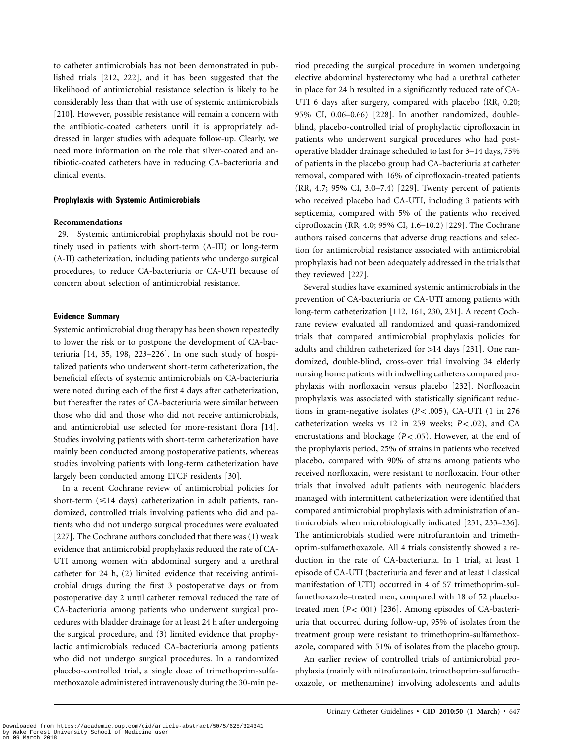to catheter antimicrobials has not been demonstrated in published trials [212, 222], and it has been suggested that the likelihood of antimicrobial resistance selection is likely to be considerably less than that with use of systemic antimicrobials [210]. However, possible resistance will remain a concern with the antibiotic-coated catheters until it is appropriately addressed in larger studies with adequate follow-up. Clearly, we need more information on the role that silver-coated and antibiotic-coated catheters have in reducing CA-bacteriuria and clinical events.

#### **Prophylaxis with Systemic Antimicrobials**

#### **Recommendations**

29. Systemic antimicrobial prophylaxis should not be routinely used in patients with short-term (A-III) or long-term (A-II) catheterization, including patients who undergo surgical procedures, to reduce CA-bacteriuria or CA-UTI because of concern about selection of antimicrobial resistance.

#### **Evidence Summary**

Systemic antimicrobial drug therapy has been shown repeatedly to lower the risk or to postpone the development of CA-bacteriuria [14, 35, 198, 223–226]. In one such study of hospitalized patients who underwent short-term catheterization, the beneficial effects of systemic antimicrobials on CA-bacteriuria were noted during each of the first 4 days after catheterization, but thereafter the rates of CA-bacteriuria were similar between those who did and those who did not receive antimicrobials, and antimicrobial use selected for more-resistant flora [14]. Studies involving patients with short-term catheterization have mainly been conducted among postoperative patients, whereas studies involving patients with long-term catheterization have largely been conducted among LTCF residents [30].

In a recent Cochrane review of antimicrobial policies for short-term (<14 days) catheterization in adult patients, randomized, controlled trials involving patients who did and patients who did not undergo surgical procedures were evaluated [227]. The Cochrane authors concluded that there was (1) weak evidence that antimicrobial prophylaxis reduced the rate of CA-UTI among women with abdominal surgery and a urethral catheter for 24 h, (2) limited evidence that receiving antimicrobial drugs during the first 3 postoperative days or from postoperative day 2 until catheter removal reduced the rate of CA-bacteriuria among patients who underwent surgical procedures with bladder drainage for at least 24 h after undergoing the surgical procedure, and (3) limited evidence that prophylactic antimicrobials reduced CA-bacteriuria among patients who did not undergo surgical procedures. In a randomized placebo-controlled trial, a single dose of trimethoprim-sulfamethoxazole administered intravenously during the 30-min period preceding the surgical procedure in women undergoing elective abdominal hysterectomy who had a urethral catheter in place for 24 h resulted in a significantly reduced rate of CA-UTI 6 days after surgery, compared with placebo (RR, 0.20; 95% CI, 0.06–0.66) [228]. In another randomized, doubleblind, placebo-controlled trial of prophylactic ciprofloxacin in patients who underwent surgical procedures who had postoperative bladder drainage scheduled to last for 3–14 days, 75% of patients in the placebo group had CA-bacteriuria at catheter removal, compared with 16% of ciprofloxacin-treated patients (RR, 4.7; 95% CI, 3.0–7.4) [229]. Twenty percent of patients who received placebo had CA-UTI, including 3 patients with septicemia, compared with 5% of the patients who received ciprofloxacin (RR, 4.0; 95% CI, 1.6–10.2) [229]. The Cochrane authors raised concerns that adverse drug reactions and selection for antimicrobial resistance associated with antimicrobial prophylaxis had not been adequately addressed in the trials that they reviewed [227].

Several studies have examined systemic antimicrobials in the prevention of CA-bacteriuria or CA-UTI among patients with long-term catheterization [112, 161, 230, 231]. A recent Cochrane review evaluated all randomized and quasi-randomized trials that compared antimicrobial prophylaxis policies for adults and children catheterized for >14 days [231]. One randomized, double-blind, cross-over trial involving 34 elderly nursing home patients with indwelling catheters compared prophylaxis with norfloxacin versus placebo [232]. Norfloxacin prophylaxis was associated with statistically significant reductions in gram-negative isolates  $(P < .005)$ , CA-UTI  $(1 \text{ in } 276)$ catheterization weeks vs  $12$  in  $259$  weeks;  $P < .02$ ), and CA encrustations and blockage ( $P < .05$ ). However, at the end of the prophylaxis period, 25% of strains in patients who received placebo, compared with 90% of strains among patients who received norfloxacin, were resistant to norfloxacin. Four other trials that involved adult patients with neurogenic bladders managed with intermittent catheterization were identified that compared antimicrobial prophylaxis with administration of antimicrobials when microbiologically indicated [231, 233–236]. The antimicrobials studied were nitrofurantoin and trimethoprim-sulfamethoxazole. All 4 trials consistently showed a reduction in the rate of CA-bacteriuria. In 1 trial, at least 1 episode of CA-UTI (bacteriuria and fever and at least 1 classical manifestation of UTI) occurred in 4 of 57 trimethoprim-sulfamethoxazole–treated men, compared with 18 of 52 placebotreated men ( $P < .001$ ) [236]. Among episodes of CA-bacteriuria that occurred during follow-up, 95% of isolates from the treatment group were resistant to trimethoprim-sulfamethoxazole, compared with 51% of isolates from the placebo group.

An earlier review of controlled trials of antimicrobial prophylaxis (mainly with nitrofurantoin, trimethoprim-sulfamethoxazole, or methenamine) involving adolescents and adults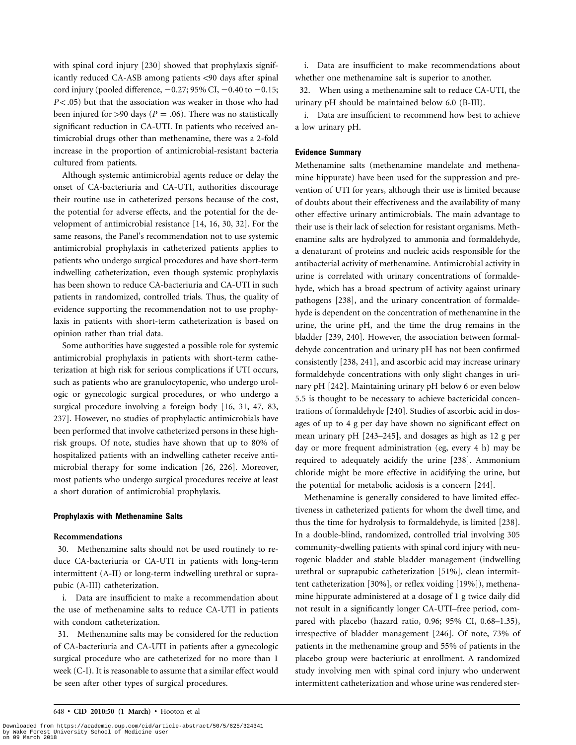with spinal cord injury [230] showed that prophylaxis significantly reduced CA-ASB among patients <90 days after spinal cord injury (pooled difference,  $-0.27$ ; 95% CI,  $-0.40$  to  $-0.15$ ;  $P$  < .05) but that the association was weaker in those who had been injured for  $>90$  days ( $P = .06$ ). There was no statistically significant reduction in CA-UTI. In patients who received antimicrobial drugs other than methenamine, there was a 2-fold increase in the proportion of antimicrobial-resistant bacteria cultured from patients.

Although systemic antimicrobial agents reduce or delay the onset of CA-bacteriuria and CA-UTI, authorities discourage their routine use in catheterized persons because of the cost, the potential for adverse effects, and the potential for the development of antimicrobial resistance [14, 16, 30, 32]. For the same reasons, the Panel's recommendation not to use systemic antimicrobial prophylaxis in catheterized patients applies to patients who undergo surgical procedures and have short-term indwelling catheterization, even though systemic prophylaxis has been shown to reduce CA-bacteriuria and CA-UTI in such patients in randomized, controlled trials. Thus, the quality of evidence supporting the recommendation not to use prophylaxis in patients with short-term catheterization is based on opinion rather than trial data.

Some authorities have suggested a possible role for systemic antimicrobial prophylaxis in patients with short-term catheterization at high risk for serious complications if UTI occurs, such as patients who are granulocytopenic, who undergo urologic or gynecologic surgical procedures, or who undergo a surgical procedure involving a foreign body [16, 31, 47, 83, 237]. However, no studies of prophylactic antimicrobials have been performed that involve catheterized persons in these highrisk groups. Of note, studies have shown that up to 80% of hospitalized patients with an indwelling catheter receive antimicrobial therapy for some indication [26, 226]. Moreover, most patients who undergo surgical procedures receive at least a short duration of antimicrobial prophylaxis.

#### **Prophylaxis with Methenamine Salts**

#### **Recommendations**

30. Methenamine salts should not be used routinely to reduce CA-bacteriuria or CA-UTI in patients with long-term intermittent (A-II) or long-term indwelling urethral or suprapubic (A-III) catheterization.

i. Data are insufficient to make a recommendation about the use of methenamine salts to reduce CA-UTI in patients with condom catheterization.

31. Methenamine salts may be considered for the reduction of CA-bacteriuria and CA-UTI in patients after a gynecologic surgical procedure who are catheterized for no more than 1 week (C-I). It is reasonable to assume that a similar effect would be seen after other types of surgical procedures.

i. Data are insufficient to make recommendations about whether one methenamine salt is superior to another.

32. When using a methenamine salt to reduce CA-UTI, the urinary pH should be maintained below 6.0 (B-III).

i. Data are insufficient to recommend how best to achieve a low urinary pH.

#### **Evidence Summary**

Methenamine salts (methenamine mandelate and methenamine hippurate) have been used for the suppression and prevention of UTI for years, although their use is limited because of doubts about their effectiveness and the availability of many other effective urinary antimicrobials. The main advantage to their use is their lack of selection for resistant organisms. Methenamine salts are hydrolyzed to ammonia and formaldehyde, a denaturant of proteins and nucleic acids responsible for the antibacterial activity of methenamine. Antimicrobial activity in urine is correlated with urinary concentrations of formaldehyde, which has a broad spectrum of activity against urinary pathogens [238], and the urinary concentration of formaldehyde is dependent on the concentration of methenamine in the urine, the urine pH, and the time the drug remains in the bladder [239, 240]. However, the association between formaldehyde concentration and urinary pH has not been confirmed consistently [238, 241], and ascorbic acid may increase urinary formaldehyde concentrations with only slight changes in urinary pH [242]. Maintaining urinary pH below 6 or even below 5.5 is thought to be necessary to achieve bactericidal concentrations of formaldehyde [240]. Studies of ascorbic acid in dosages of up to 4 g per day have shown no significant effect on mean urinary pH [243–245], and dosages as high as 12 g per day or more frequent administration (eg, every 4 h) may be required to adequately acidify the urine [238]. Ammonium chloride might be more effective in acidifying the urine, but the potential for metabolic acidosis is a concern [244].

Methenamine is generally considered to have limited effectiveness in catheterized patients for whom the dwell time, and thus the time for hydrolysis to formaldehyde, is limited [238]. In a double-blind, randomized, controlled trial involving 305 community-dwelling patients with spinal cord injury with neurogenic bladder and stable bladder management (indwelling urethral or suprapubic catheterization [51%], clean intermittent catheterization [30%], or reflex voiding [19%]), methenamine hippurate administered at a dosage of 1 g twice daily did not result in a significantly longer CA-UTI–free period, compared with placebo (hazard ratio, 0.96; 95% CI, 0.68–1.35), irrespective of bladder management [246]. Of note, 73% of patients in the methenamine group and 55% of patients in the placebo group were bacteriuric at enrollment. A randomized study involving men with spinal cord injury who underwent intermittent catheterization and whose urine was rendered ster-

<sup>648</sup> • **CID 2010:50 (1 March)** • Hooton et al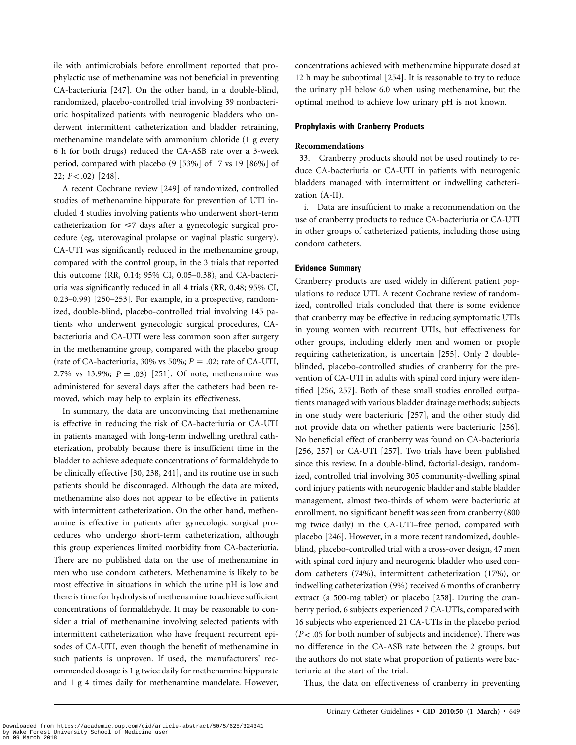ile with antimicrobials before enrollment reported that prophylactic use of methenamine was not beneficial in preventing CA-bacteriuria [247]. On the other hand, in a double-blind, randomized, placebo-controlled trial involving 39 nonbacteriuric hospitalized patients with neurogenic bladders who underwent intermittent catheterization and bladder retraining, methenamine mandelate with ammonium chloride (1 g every 6 h for both drugs) reduced the CA-ASB rate over a 3-week period, compared with placebo (9 [53%] of 17 vs 19 [86%] of 22;  $P < .02$ ) [248].

A recent Cochrane review [249] of randomized, controlled studies of methenamine hippurate for prevention of UTI included 4 studies involving patients who underwent short-term catheterization for  $\leq 7$  days after a gynecologic surgical procedure (eg, uterovaginal prolapse or vaginal plastic surgery). CA-UTI was significantly reduced in the methenamine group, compared with the control group, in the 3 trials that reported this outcome (RR, 0.14; 95% CI, 0.05–0.38), and CA-bacteriuria was significantly reduced in all 4 trials (RR, 0.48; 95% CI, 0.23–0.99) [250–253]. For example, in a prospective, randomized, double-blind, placebo-controlled trial involving 145 patients who underwent gynecologic surgical procedures, CAbacteriuria and CA-UTI were less common soon after surgery in the methenamine group, compared with the placebo group (rate of CA-bacteriuria, 30% vs 50%;  $P = .02$ ; rate of CA-UTI, 2.7% vs 13.9%;  $P = .03$  [251]. Of note, methenamine was administered for several days after the catheters had been removed, which may help to explain its effectiveness.

In summary, the data are unconvincing that methenamine is effective in reducing the risk of CA-bacteriuria or CA-UTI in patients managed with long-term indwelling urethral catheterization, probably because there is insufficient time in the bladder to achieve adequate concentrations of formaldehyde to be clinically effective [30, 238, 241], and its routine use in such patients should be discouraged. Although the data are mixed, methenamine also does not appear to be effective in patients with intermittent catheterization. On the other hand, methenamine is effective in patients after gynecologic surgical procedures who undergo short-term catheterization, although this group experiences limited morbidity from CA-bacteriuria. There are no published data on the use of methenamine in men who use condom catheters. Methenamine is likely to be most effective in situations in which the urine pH is low and there is time for hydrolysis of methenamine to achieve sufficient concentrations of formaldehyde. It may be reasonable to consider a trial of methenamine involving selected patients with intermittent catheterization who have frequent recurrent episodes of CA-UTI, even though the benefit of methenamine in such patients is unproven. If used, the manufacturers' recommended dosage is 1 g twice daily for methenamine hippurate and 1 g 4 times daily for methenamine mandelate. However,

concentrations achieved with methenamine hippurate dosed at 12 h may be suboptimal [254]. It is reasonable to try to reduce the urinary pH below 6.0 when using methenamine, but the optimal method to achieve low urinary pH is not known.

#### **Prophylaxis with Cranberry Products**

#### **Recommendations**

33. Cranberry products should not be used routinely to reduce CA-bacteriuria or CA-UTI in patients with neurogenic bladders managed with intermittent or indwelling catheterization (A-II).

i. Data are insufficient to make a recommendation on the use of cranberry products to reduce CA-bacteriuria or CA-UTI in other groups of catheterized patients, including those using condom catheters.

#### **Evidence Summary**

Cranberry products are used widely in different patient populations to reduce UTI. A recent Cochrane review of randomized, controlled trials concluded that there is some evidence that cranberry may be effective in reducing symptomatic UTIs in young women with recurrent UTIs, but effectiveness for other groups, including elderly men and women or people requiring catheterization, is uncertain [255]. Only 2 doubleblinded, placebo-controlled studies of cranberry for the prevention of CA-UTI in adults with spinal cord injury were identified [256, 257]. Both of these small studies enrolled outpatients managed with various bladder drainage methods; subjects in one study were bacteriuric [257], and the other study did not provide data on whether patients were bacteriuric [256]. No beneficial effect of cranberry was found on CA-bacteriuria [256, 257] or CA-UTI [257]. Two trials have been published since this review. In a double-blind, factorial-design, randomized, controlled trial involving 305 community-dwelling spinal cord injury patients with neurogenic bladder and stable bladder management, almost two-thirds of whom were bacteriuric at enrollment, no significant benefit was seen from cranberry (800 mg twice daily) in the CA-UTI–free period, compared with placebo [246]. However, in a more recent randomized, doubleblind, placebo-controlled trial with a cross-over design, 47 men with spinal cord injury and neurogenic bladder who used condom catheters (74%), intermittent catheterization (17%), or indwelling catheterization (9%) received 6 months of cranberry extract (a 500-mg tablet) or placebo [258]. During the cranberry period, 6 subjects experienced 7 CA-UTIs, compared with 16 subjects who experienced 21 CA-UTIs in the placebo period ( $P$ <.05 for both number of subjects and incidence). There was no difference in the CA-ASB rate between the 2 groups, but the authors do not state what proportion of patients were bacteriuric at the start of the trial.

Thus, the data on effectiveness of cranberry in preventing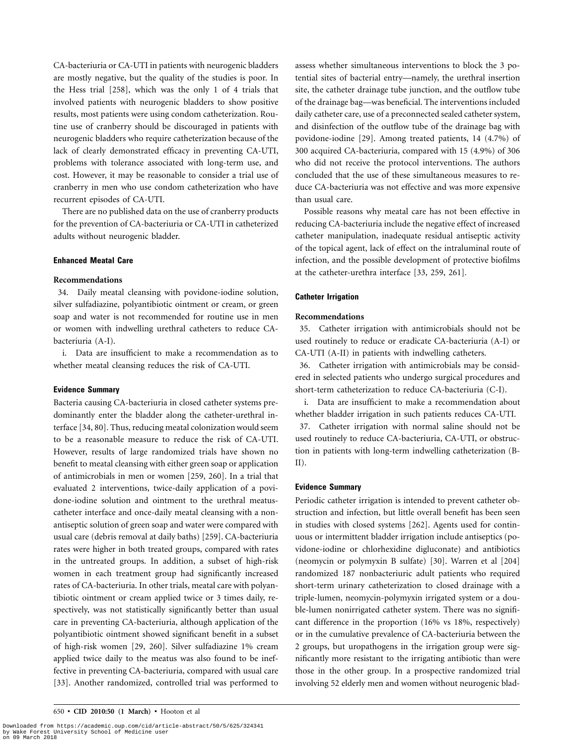CA-bacteriuria or CA-UTI in patients with neurogenic bladders are mostly negative, but the quality of the studies is poor. In the Hess trial [258], which was the only 1 of 4 trials that involved patients with neurogenic bladders to show positive results, most patients were using condom catheterization. Routine use of cranberry should be discouraged in patients with neurogenic bladders who require catheterization because of the lack of clearly demonstrated efficacy in preventing CA-UTI, problems with tolerance associated with long-term use, and cost. However, it may be reasonable to consider a trial use of cranberry in men who use condom catheterization who have recurrent episodes of CA-UTI.

There are no published data on the use of cranberry products for the prevention of CA-bacteriuria or CA-UTI in catheterized adults without neurogenic bladder.

#### **Enhanced Meatal Care**

#### **Recommendations**

34. Daily meatal cleansing with povidone-iodine solution, silver sulfadiazine, polyantibiotic ointment or cream, or green soap and water is not recommended for routine use in men or women with indwelling urethral catheters to reduce CAbacteriuria (A-I).

i. Data are insufficient to make a recommendation as to whether meatal cleansing reduces the risk of CA-UTI.

#### **Evidence Summary**

Bacteria causing CA-bacteriuria in closed catheter systems predominantly enter the bladder along the catheter-urethral interface [34, 80]. Thus, reducing meatal colonization would seem to be a reasonable measure to reduce the risk of CA-UTI. However, results of large randomized trials have shown no benefit to meatal cleansing with either green soap or application of antimicrobials in men or women [259, 260]. In a trial that evaluated 2 interventions, twice-daily application of a povidone-iodine solution and ointment to the urethral meatuscatheter interface and once-daily meatal cleansing with a nonantiseptic solution of green soap and water were compared with usual care (debris removal at daily baths) [259]. CA-bacteriuria rates were higher in both treated groups, compared with rates in the untreated groups. In addition, a subset of high-risk women in each treatment group had significantly increased rates of CA-bacteriuria. In other trials, meatal care with polyantibiotic ointment or cream applied twice or 3 times daily, respectively, was not statistically significantly better than usual care in preventing CA-bacteriuria, although application of the polyantibiotic ointment showed significant benefit in a subset of high-risk women [29, 260]. Silver sulfadiazine 1% cream applied twice daily to the meatus was also found to be ineffective in preventing CA-bacteriuria, compared with usual care [33]. Another randomized, controlled trial was performed to

assess whether simultaneous interventions to block the 3 potential sites of bacterial entry—namely, the urethral insertion site, the catheter drainage tube junction, and the outflow tube of the drainage bag—was beneficial. The interventions included daily catheter care, use of a preconnected sealed catheter system, and disinfection of the outflow tube of the drainage bag with povidone-iodine [29]. Among treated patients, 14 (4.7%) of 300 acquired CA-bacteriuria, compared with 15 (4.9%) of 306 who did not receive the protocol interventions. The authors concluded that the use of these simultaneous measures to reduce CA-bacteriuria was not effective and was more expensive than usual care.

Possible reasons why meatal care has not been effective in reducing CA-bacteriuria include the negative effect of increased catheter manipulation, inadequate residual antiseptic activity of the topical agent, lack of effect on the intraluminal route of infection, and the possible development of protective biofilms at the catheter-urethra interface [33, 259, 261].

#### **Catheter Irrigation**

#### **Recommendations**

35. Catheter irrigation with antimicrobials should not be used routinely to reduce or eradicate CA-bacteriuria (A-I) or CA-UTI (A-II) in patients with indwelling catheters.

36. Catheter irrigation with antimicrobials may be considered in selected patients who undergo surgical procedures and short-term catheterization to reduce CA-bacteriuria (C-I).

i. Data are insufficient to make a recommendation about whether bladder irrigation in such patients reduces CA-UTI.

37. Catheter irrigation with normal saline should not be used routinely to reduce CA-bacteriuria, CA-UTI, or obstruction in patients with long-term indwelling catheterization (B-II).

#### **Evidence Summary**

Periodic catheter irrigation is intended to prevent catheter obstruction and infection, but little overall benefit has been seen in studies with closed systems [262]. Agents used for continuous or intermittent bladder irrigation include antiseptics (povidone-iodine or chlorhexidine digluconate) and antibiotics (neomycin or polymyxin B sulfate) [30]. Warren et al [204] randomized 187 nonbacteriuric adult patients who required short-term urinary catheterization to closed drainage with a triple-lumen, neomycin-polymyxin irrigated system or a double-lumen nonirrigated catheter system. There was no significant difference in the proportion (16% vs 18%, respectively) or in the cumulative prevalence of CA-bacteriuria between the 2 groups, but uropathogens in the irrigation group were significantly more resistant to the irrigating antibiotic than were those in the other group. In a prospective randomized trial involving 52 elderly men and women without neurogenic blad-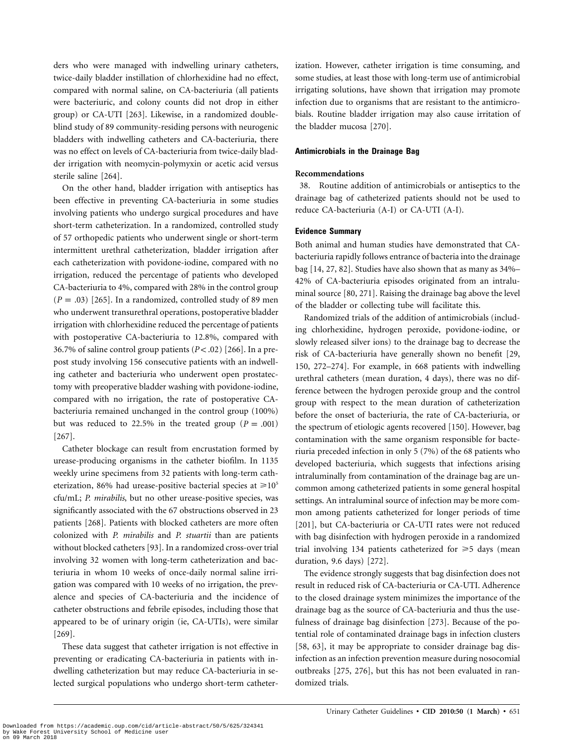ders who were managed with indwelling urinary catheters, twice-daily bladder instillation of chlorhexidine had no effect, compared with normal saline, on CA-bacteriuria (all patients were bacteriuric, and colony counts did not drop in either group) or CA-UTI [263]. Likewise, in a randomized doubleblind study of 89 community-residing persons with neurogenic bladders with indwelling catheters and CA-bacteriuria, there was no effect on levels of CA-bacteriuria from twice-daily bladder irrigation with neomycin-polymyxin or acetic acid versus sterile saline [264].

On the other hand, bladder irrigation with antiseptics has been effective in preventing CA-bacteriuria in some studies involving patients who undergo surgical procedures and have short-term catheterization. In a randomized, controlled study of 57 orthopedic patients who underwent single or short-term intermittent urethral catheterization, bladder irrigation after each catheterization with povidone-iodine, compared with no irrigation, reduced the percentage of patients who developed CA-bacteriuria to 4%, compared with 28% in the control group  $(P = .03)$  [265]. In a randomized, controlled study of 89 men who underwent transurethral operations, postoperative bladder irrigation with chlorhexidine reduced the percentage of patients with postoperative CA-bacteriuria to 12.8%, compared with 36.7% of saline control group patients  $(P < .02)$  [266]. In a prepost study involving 156 consecutive patients with an indwelling catheter and bacteriuria who underwent open prostatectomy with preoperative bladder washing with povidone-iodine, compared with no irrigation, the rate of postoperative CAbacteriuria remained unchanged in the control group (100%) but was reduced to 22.5% in the treated group ( $P = .001$ ) [267].

Catheter blockage can result from encrustation formed by urease-producing organisms in the catheter biofilm. In 1135 weekly urine specimens from 32 patients with long-term catheterization, 86% had urease-positive bacterial species at  $\geq 10^5$ cfu/mL; *P. mirabilis*, but no other urease-positive species, was significantly associated with the 67 obstructions observed in 23 patients [268]. Patients with blocked catheters are more often colonized with *P. mirabilis* and *P. stuartii* than are patients without blocked catheters [93]. In a randomized cross-over trial involving 32 women with long-term catheterization and bacteriuria in whom 10 weeks of once-daily normal saline irrigation was compared with 10 weeks of no irrigation, the prevalence and species of CA-bacteriuria and the incidence of catheter obstructions and febrile episodes, including those that appeared to be of urinary origin (ie, CA-UTIs), were similar [269].

These data suggest that catheter irrigation is not effective in preventing or eradicating CA-bacteriuria in patients with indwelling catheterization but may reduce CA-bacteriuria in selected surgical populations who undergo short-term catheterization. However, catheter irrigation is time consuming, and some studies, at least those with long-term use of antimicrobial irrigating solutions, have shown that irrigation may promote infection due to organisms that are resistant to the antimicrobials. Routine bladder irrigation may also cause irritation of the bladder mucosa [270].

## **Antimicrobials in the Drainage Bag**

#### **Recommendations**

38. Routine addition of antimicrobials or antiseptics to the drainage bag of catheterized patients should not be used to reduce CA-bacteriuria (A-I) or CA-UTI (A-I).

#### **Evidence Summary**

Both animal and human studies have demonstrated that CAbacteriuria rapidly follows entrance of bacteria into the drainage bag [14, 27, 82]. Studies have also shown that as many as 34%– 42% of CA-bacteriuria episodes originated from an intraluminal source [80, 271]. Raising the drainage bag above the level of the bladder or collecting tube will facilitate this.

Randomized trials of the addition of antimicrobials (including chlorhexidine, hydrogen peroxide, povidone-iodine, or slowly released silver ions) to the drainage bag to decrease the risk of CA-bacteriuria have generally shown no benefit [29, 150, 272–274]. For example, in 668 patients with indwelling urethral catheters (mean duration, 4 days), there was no difference between the hydrogen peroxide group and the control group with respect to the mean duration of catheterization before the onset of bacteriuria, the rate of CA-bacteriuria, or the spectrum of etiologic agents recovered [150]. However, bag contamination with the same organism responsible for bacteriuria preceded infection in only 5 (7%) of the 68 patients who developed bacteriuria, which suggests that infections arising intraluminally from contamination of the drainage bag are uncommon among catheterized patients in some general hospital settings. An intraluminal source of infection may be more common among patients catheterized for longer periods of time [201], but CA-bacteriuria or CA-UTI rates were not reduced with bag disinfection with hydrogen peroxide in a randomized trial involving 134 patients catheterized for  $\geq 5$  days (mean duration, 9.6 days) [272].

The evidence strongly suggests that bag disinfection does not result in reduced risk of CA-bacteriuria or CA-UTI. Adherence to the closed drainage system minimizes the importance of the drainage bag as the source of CA-bacteriuria and thus the usefulness of drainage bag disinfection [273]. Because of the potential role of contaminated drainage bags in infection clusters [58, 63], it may be appropriate to consider drainage bag disinfection as an infection prevention measure during nosocomial outbreaks [275, 276], but this has not been evaluated in randomized trials.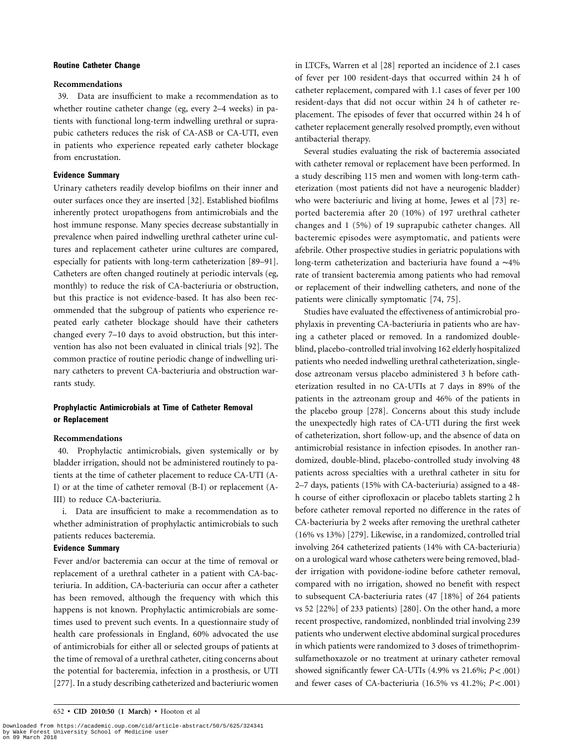#### **Routine Catheter Change**

#### **Recommendations**

39. Data are insufficient to make a recommendation as to whether routine catheter change (eg, every 2–4 weeks) in patients with functional long-term indwelling urethral or suprapubic catheters reduces the risk of CA-ASB or CA-UTI, even in patients who experience repeated early catheter blockage from encrustation.

#### **Evidence Summary**

Urinary catheters readily develop biofilms on their inner and outer surfaces once they are inserted [32]. Established biofilms inherently protect uropathogens from antimicrobials and the host immune response. Many species decrease substantially in prevalence when paired indwelling urethral catheter urine cultures and replacement catheter urine cultures are compared, especially for patients with long-term catheterization [89–91]. Catheters are often changed routinely at periodic intervals (eg, monthly) to reduce the risk of CA-bacteriuria or obstruction, but this practice is not evidence-based. It has also been recommended that the subgroup of patients who experience repeated early catheter blockage should have their catheters changed every 7–10 days to avoid obstruction, but this intervention has also not been evaluated in clinical trials [92]. The common practice of routine periodic change of indwelling urinary catheters to prevent CA-bacteriuria and obstruction warrants study.

# **Prophylactic Antimicrobials at Time of Catheter Removal or Replacement**

#### **Recommendations**

40. Prophylactic antimicrobials, given systemically or by bladder irrigation, should not be administered routinely to patients at the time of catheter placement to reduce CA-UTI (A-I) or at the time of catheter removal (B-I) or replacement (A-III) to reduce CA-bacteriuria.

i. Data are insufficient to make a recommendation as to whether administration of prophylactic antimicrobials to such patients reduces bacteremia.

#### **Evidence Summary**

Fever and/or bacteremia can occur at the time of removal or replacement of a urethral catheter in a patient with CA-bacteriuria. In addition, CA-bacteriuria can occur after a catheter has been removed, although the frequency with which this happens is not known. Prophylactic antimicrobials are sometimes used to prevent such events. In a questionnaire study of health care professionals in England, 60% advocated the use of antimicrobials for either all or selected groups of patients at the time of removal of a urethral catheter, citing concerns about the potential for bacteremia, infection in a prosthesis, or UTI [277]. In a study describing catheterized and bacteriuric women in LTCFs, Warren et al [28] reported an incidence of 2.1 cases of fever per 100 resident-days that occurred within 24 h of catheter replacement, compared with 1.1 cases of fever per 100 resident-days that did not occur within 24 h of catheter replacement. The episodes of fever that occurred within 24 h of catheter replacement generally resolved promptly, even without antibacterial therapy.

Several studies evaluating the risk of bacteremia associated with catheter removal or replacement have been performed. In a study describing 115 men and women with long-term catheterization (most patients did not have a neurogenic bladder) who were bacteriuric and living at home, Jewes et al [73] reported bacteremia after 20 (10%) of 197 urethral catheter changes and 1 (5%) of 19 suprapubic catheter changes. All bacteremic episodes were asymptomatic, and patients were afebrile. Other prospective studies in geriatric populations with long-term catheterization and bacteriuria have found a ∼4% rate of transient bacteremia among patients who had removal or replacement of their indwelling catheters, and none of the patients were clinically symptomatic [74, 75].

Studies have evaluated the effectiveness of antimicrobial prophylaxis in preventing CA-bacteriuria in patients who are having a catheter placed or removed. In a randomized doubleblind, placebo-controlled trial involving 162 elderly hospitalized patients who needed indwelling urethral catheterization, singledose aztreonam versus placebo administered 3 h before catheterization resulted in no CA-UTIs at 7 days in 89% of the patients in the aztreonam group and 46% of the patients in the placebo group [278]. Concerns about this study include the unexpectedly high rates of CA-UTI during the first week of catheterization, short follow-up, and the absence of data on antimicrobial resistance in infection episodes. In another randomized, double-blind, placebo-controlled study involving 48 patients across specialties with a urethral catheter in situ for 2–7 days, patients (15% with CA-bacteriuria) assigned to a 48 h course of either ciprofloxacin or placebo tablets starting 2 h before catheter removal reported no difference in the rates of CA-bacteriuria by 2 weeks after removing the urethral catheter (16% vs 13%) [279]. Likewise, in a randomized, controlled trial involving 264 catheterized patients (14% with CA-bacteriuria) on a urological ward whose catheters were being removed, bladder irrigation with povidone-iodine before catheter removal, compared with no irrigation, showed no benefit with respect to subsequent CA-bacteriuria rates (47 [18%] of 264 patients vs 52 [22%] of 233 patients) [280]. On the other hand, a more recent prospective, randomized, nonblinded trial involving 239 patients who underwent elective abdominal surgical procedures in which patients were randomized to 3 doses of trimethoprimsulfamethoxazole or no treatment at urinary catheter removal showed significantly fewer CA-UTIs  $(4.9\% \text{ vs } 21.6\%; P < .001)$ and fewer cases of CA-bacteriuria  $(16.5\% \text{ vs } 41.2\%; P < .001)$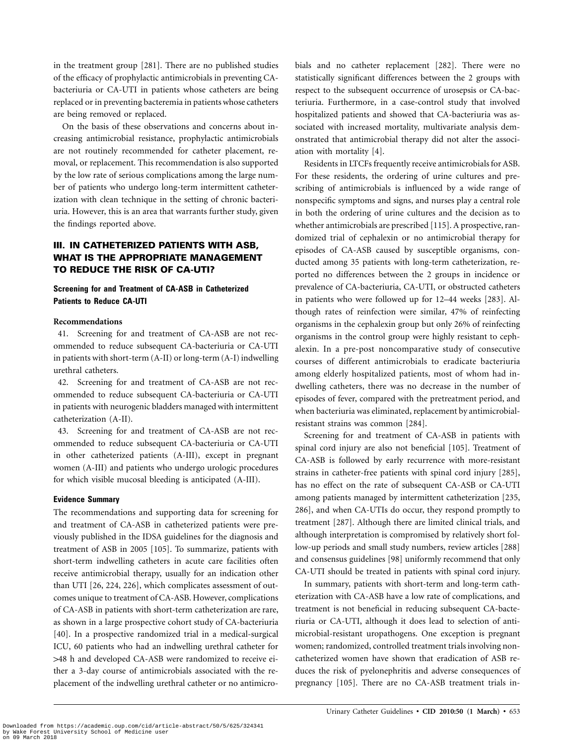in the treatment group [281]. There are no published studies of the efficacy of prophylactic antimicrobials in preventing CAbacteriuria or CA-UTI in patients whose catheters are being replaced or in preventing bacteremia in patients whose catheters are being removed or replaced.

On the basis of these observations and concerns about increasing antimicrobial resistance, prophylactic antimicrobials are not routinely recommended for catheter placement, removal, or replacement. This recommendation is also supported by the low rate of serious complications among the large number of patients who undergo long-term intermittent catheterization with clean technique in the setting of chronic bacteriuria. However, this is an area that warrants further study, given the findings reported above.

# **III. IN CATHETERIZED PATIENTS WITH ASB, WHAT IS THE APPROPRIATE MANAGEMENT TO REDUCE THE RISK OF CA-UTI?**

## **Screening for and Treatment of CA-ASB in Catheterized Patients to Reduce CA-UTI**

#### **Recommendations**

41. Screening for and treatment of CA-ASB are not recommended to reduce subsequent CA-bacteriuria or CA-UTI in patients with short-term (A-II) or long-term (A-I) indwelling urethral catheters.

42. Screening for and treatment of CA-ASB are not recommended to reduce subsequent CA-bacteriuria or CA-UTI in patients with neurogenic bladders managed with intermittent catheterization (A-II).

43. Screening for and treatment of CA-ASB are not recommended to reduce subsequent CA-bacteriuria or CA-UTI in other catheterized patients (A-III), except in pregnant women (A-III) and patients who undergo urologic procedures for which visible mucosal bleeding is anticipated (A-III).

#### **Evidence Summary**

The recommendations and supporting data for screening for and treatment of CA-ASB in catheterized patients were previously published in the IDSA guidelines for the diagnosis and treatment of ASB in 2005 [105]. To summarize, patients with short-term indwelling catheters in acute care facilities often receive antimicrobial therapy, usually for an indication other than UTI [26, 224, 226], which complicates assessment of outcomes unique to treatment of CA-ASB. However, complications of CA-ASB in patients with short-term catheterization are rare, as shown in a large prospective cohort study of CA-bacteriuria [40]. In a prospective randomized trial in a medical-surgical ICU, 60 patients who had an indwelling urethral catheter for 148 h and developed CA-ASB were randomized to receive either a 3-day course of antimicrobials associated with the replacement of the indwelling urethral catheter or no antimicrobials and no catheter replacement [282]. There were no statistically significant differences between the 2 groups with respect to the subsequent occurrence of urosepsis or CA-bacteriuria. Furthermore, in a case-control study that involved hospitalized patients and showed that CA-bacteriuria was associated with increased mortality, multivariate analysis demonstrated that antimicrobial therapy did not alter the association with mortality [4].

Residents in LTCFs frequently receive antimicrobials for ASB. For these residents, the ordering of urine cultures and prescribing of antimicrobials is influenced by a wide range of nonspecific symptoms and signs, and nurses play a central role in both the ordering of urine cultures and the decision as to whether antimicrobials are prescribed [115]. A prospective, randomized trial of cephalexin or no antimicrobial therapy for episodes of CA-ASB caused by susceptible organisms, conducted among 35 patients with long-term catheterization, reported no differences between the 2 groups in incidence or prevalence of CA-bacteriuria, CA-UTI, or obstructed catheters in patients who were followed up for 12–44 weeks [283]. Although rates of reinfection were similar, 47% of reinfecting organisms in the cephalexin group but only 26% of reinfecting organisms in the control group were highly resistant to cephalexin. In a pre-post noncomparative study of consecutive courses of different antimicrobials to eradicate bacteriuria among elderly hospitalized patients, most of whom had indwelling catheters, there was no decrease in the number of episodes of fever, compared with the pretreatment period, and when bacteriuria was eliminated, replacement by antimicrobialresistant strains was common [284].

Screening for and treatment of CA-ASB in patients with spinal cord injury are also not beneficial [105]. Treatment of CA-ASB is followed by early recurrence with more-resistant strains in catheter-free patients with spinal cord injury [285], has no effect on the rate of subsequent CA-ASB or CA-UTI among patients managed by intermittent catheterization [235, 286], and when CA-UTIs do occur, they respond promptly to treatment [287]. Although there are limited clinical trials, and although interpretation is compromised by relatively short follow-up periods and small study numbers, review articles [288] and consensus guidelines [98] uniformly recommend that only CA-UTI should be treated in patients with spinal cord injury.

In summary, patients with short-term and long-term catheterization with CA-ASB have a low rate of complications, and treatment is not beneficial in reducing subsequent CA-bacteriuria or CA-UTI, although it does lead to selection of antimicrobial-resistant uropathogens. One exception is pregnant women; randomized, controlled treatment trials involving noncatheterized women have shown that eradication of ASB reduces the risk of pyelonephritis and adverse consequences of pregnancy [105]. There are no CA-ASB treatment trials in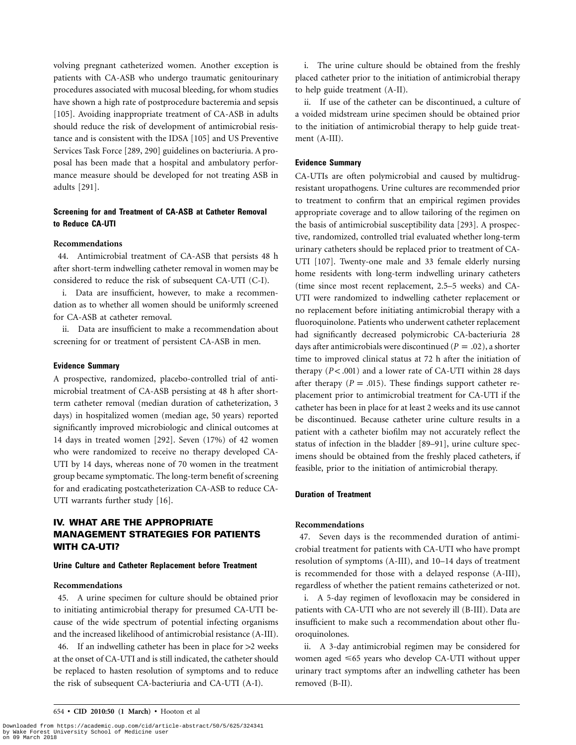volving pregnant catheterized women. Another exception is patients with CA-ASB who undergo traumatic genitourinary procedures associated with mucosal bleeding, for whom studies have shown a high rate of postprocedure bacteremia and sepsis [105]. Avoiding inappropriate treatment of CA-ASB in adults should reduce the risk of development of antimicrobial resistance and is consistent with the IDSA [105] and US Preventive Services Task Force [289, 290] guidelines on bacteriuria. A proposal has been made that a hospital and ambulatory performance measure should be developed for not treating ASB in adults [291].

## **Screening for and Treatment of CA-ASB at Catheter Removal to Reduce CA-UTI**

#### **Recommendations**

44. Antimicrobial treatment of CA-ASB that persists 48 h after short-term indwelling catheter removal in women may be considered to reduce the risk of subsequent CA-UTI (C-I).

i. Data are insufficient, however, to make a recommendation as to whether all women should be uniformly screened for CA-ASB at catheter removal.

ii. Data are insufficient to make a recommendation about screening for or treatment of persistent CA-ASB in men.

#### **Evidence Summary**

A prospective, randomized, placebo-controlled trial of antimicrobial treatment of CA-ASB persisting at 48 h after shortterm catheter removal (median duration of catheterization, 3 days) in hospitalized women (median age, 50 years) reported significantly improved microbiologic and clinical outcomes at 14 days in treated women [292]. Seven (17%) of 42 women who were randomized to receive no therapy developed CA-UTI by 14 days, whereas none of 70 women in the treatment group became symptomatic. The long-term benefit of screening for and eradicating postcatheterization CA-ASB to reduce CA-UTI warrants further study [16].

# **IV. WHAT ARE THE APPROPRIATE MANAGEMENT STRATEGIES FOR PATIENTS WITH CA-UTI?**

#### **Urine Culture and Catheter Replacement before Treatment**

#### **Recommendations**

45. A urine specimen for culture should be obtained prior to initiating antimicrobial therapy for presumed CA-UTI because of the wide spectrum of potential infecting organisms and the increased likelihood of antimicrobial resistance (A-III).

46. If an indwelling catheter has been in place for  $>2$  weeks at the onset of CA-UTI and is still indicated, the catheter should be replaced to hasten resolution of symptoms and to reduce the risk of subsequent CA-bacteriuria and CA-UTI (A-I).

i. The urine culture should be obtained from the freshly placed catheter prior to the initiation of antimicrobial therapy to help guide treatment (A-II).

ii. If use of the catheter can be discontinued, a culture of a voided midstream urine specimen should be obtained prior to the initiation of antimicrobial therapy to help guide treatment (A-III).

#### **Evidence Summary**

CA-UTIs are often polymicrobial and caused by multidrugresistant uropathogens. Urine cultures are recommended prior to treatment to confirm that an empirical regimen provides appropriate coverage and to allow tailoring of the regimen on the basis of antimicrobial susceptibility data [293]. A prospective, randomized, controlled trial evaluated whether long-term urinary catheters should be replaced prior to treatment of CA-UTI [107]. Twenty-one male and 33 female elderly nursing home residents with long-term indwelling urinary catheters (time since most recent replacement, 2.5–5 weeks) and CA-UTI were randomized to indwelling catheter replacement or no replacement before initiating antimicrobial therapy with a fluoroquinolone. Patients who underwent catheter replacement had significantly decreased polymicrobic CA-bacteriuria 28 days after antimicrobials were discontinued ( $P = .02$ ), a shorter time to improved clinical status at 72 h after the initiation of therapy  $(P < .001)$  and a lower rate of CA-UTI within 28 days after therapy ( $P = .015$ ). These findings support catheter replacement prior to antimicrobial treatment for CA-UTI if the catheter has been in place for at least 2 weeks and its use cannot be discontinued. Because catheter urine culture results in a patient with a catheter biofilm may not accurately reflect the status of infection in the bladder [89–91], urine culture specimens should be obtained from the freshly placed catheters, if feasible, prior to the initiation of antimicrobial therapy.

#### **Duration of Treatment**

#### **Recommendations**

47. Seven days is the recommended duration of antimicrobial treatment for patients with CA-UTI who have prompt resolution of symptoms (A-III), and 10–14 days of treatment is recommended for those with a delayed response (A-III), regardless of whether the patient remains catheterized or not.

i. A 5-day regimen of levofloxacin may be considered in patients with CA-UTI who are not severely ill (B-III). Data are insufficient to make such a recommendation about other fluoroquinolones.

ii. A 3-day antimicrobial regimen may be considered for women aged -65 years who develop CA-UTI without upper urinary tract symptoms after an indwelling catheter has been removed (B-II).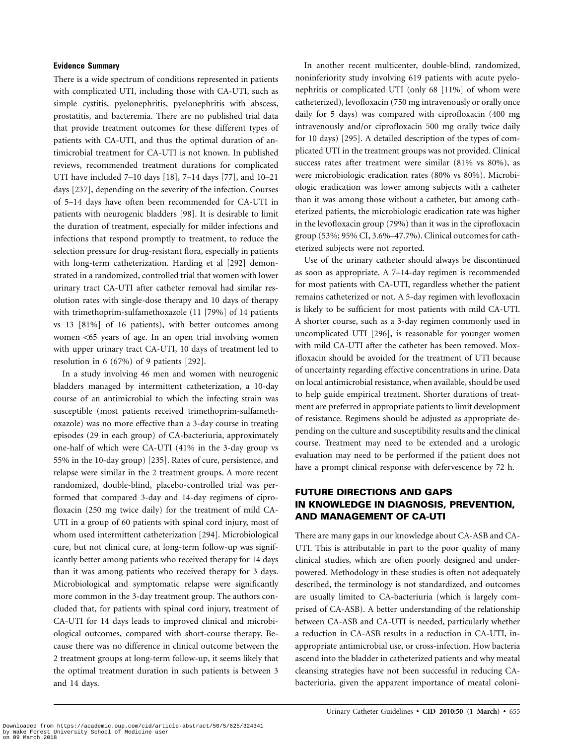#### **Evidence Summary**

There is a wide spectrum of conditions represented in patients with complicated UTI, including those with CA-UTI, such as simple cystitis, pyelonephritis, pyelonephritis with abscess, prostatitis, and bacteremia. There are no published trial data that provide treatment outcomes for these different types of patients with CA-UTI, and thus the optimal duration of antimicrobial treatment for CA-UTI is not known. In published reviews, recommended treatment durations for complicated UTI have included 7–10 days [18], 7–14 days [77], and 10–21 days [237], depending on the severity of the infection. Courses of 5–14 days have often been recommended for CA-UTI in patients with neurogenic bladders [98]. It is desirable to limit the duration of treatment, especially for milder infections and infections that respond promptly to treatment, to reduce the selection pressure for drug-resistant flora, especially in patients with long-term catheterization. Harding et al [292] demonstrated in a randomized, controlled trial that women with lower urinary tract CA-UTI after catheter removal had similar resolution rates with single-dose therapy and 10 days of therapy with trimethoprim-sulfamethoxazole (11 [79%] of 14 patients vs 13 [81%] of 16 patients), with better outcomes among women <65 years of age. In an open trial involving women with upper urinary tract CA-UTI, 10 days of treatment led to resolution in 6 (67%) of 9 patients [292].

In a study involving 46 men and women with neurogenic bladders managed by intermittent catheterization, a 10-day course of an antimicrobial to which the infecting strain was susceptible (most patients received trimethoprim-sulfamethoxazole) was no more effective than a 3-day course in treating episodes (29 in each group) of CA-bacteriuria, approximately one-half of which were CA-UTI (41% in the 3-day group vs 55% in the 10-day group) [235]. Rates of cure, persistence, and relapse were similar in the 2 treatment groups. A more recent randomized, double-blind, placebo-controlled trial was performed that compared 3-day and 14-day regimens of ciprofloxacin (250 mg twice daily) for the treatment of mild CA-UTI in a group of 60 patients with spinal cord injury, most of whom used intermittent catheterization [294]. Microbiological cure, but not clinical cure, at long-term follow-up was significantly better among patients who received therapy for 14 days than it was among patients who received therapy for 3 days. Microbiological and symptomatic relapse were significantly more common in the 3-day treatment group. The authors concluded that, for patients with spinal cord injury, treatment of CA-UTI for 14 days leads to improved clinical and microbiological outcomes, compared with short-course therapy. Because there was no difference in clinical outcome between the 2 treatment groups at long-term follow-up, it seems likely that the optimal treatment duration in such patients is between 3 and 14 days.

In another recent multicenter, double-blind, randomized, noninferiority study involving 619 patients with acute pyelonephritis or complicated UTI (only 68 [11%] of whom were catheterized), levofloxacin (750 mg intravenously or orally once daily for 5 days) was compared with ciprofloxacin (400 mg intravenously and/or ciprofloxacin 500 mg orally twice daily for 10 days) [295]. A detailed description of the types of complicated UTI in the treatment groups was not provided. Clinical success rates after treatment were similar (81% vs 80%), as were microbiologic eradication rates (80% vs 80%). Microbiologic eradication was lower among subjects with a catheter than it was among those without a catheter, but among catheterized patients, the microbiologic eradication rate was higher in the levofloxacin group (79%) than it was in the ciprofloxacin group (53%; 95% CI, 3.6%–47.7%). Clinical outcomes for catheterized subjects were not reported.

Use of the urinary catheter should always be discontinued as soon as appropriate. A 7–14-day regimen is recommended for most patients with CA-UTI, regardless whether the patient remains catheterized or not. A 5-day regimen with levofloxacin is likely to be sufficient for most patients with mild CA-UTI. A shorter course, such as a 3-day regimen commonly used in uncomplicated UTI [296], is reasonable for younger women with mild CA-UTI after the catheter has been removed. Moxifloxacin should be avoided for the treatment of UTI because of uncertainty regarding effective concentrations in urine. Data on local antimicrobial resistance, when available, should be used to help guide empirical treatment. Shorter durations of treatment are preferred in appropriate patients to limit development of resistance. Regimens should be adjusted as appropriate depending on the culture and susceptibility results and the clinical course. Treatment may need to be extended and a urologic evaluation may need to be performed if the patient does not have a prompt clinical response with defervescence by 72 h.

# **FUTURE DIRECTIONS AND GAPS IN KNOWLEDGE IN DIAGNOSIS, PREVENTION, AND MANAGEMENT OF CA-UTI**

There are many gaps in our knowledge about CA-ASB and CA-UTI. This is attributable in part to the poor quality of many clinical studies, which are often poorly designed and underpowered. Methodology in these studies is often not adequately described, the terminology is not standardized, and outcomes are usually limited to CA-bacteriuria (which is largely comprised of CA-ASB). A better understanding of the relationship between CA-ASB and CA-UTI is needed, particularly whether a reduction in CA-ASB results in a reduction in CA-UTI, inappropriate antimicrobial use, or cross-infection. How bacteria ascend into the bladder in catheterized patients and why meatal cleansing strategies have not been successful in reducing CAbacteriuria, given the apparent importance of meatal coloni-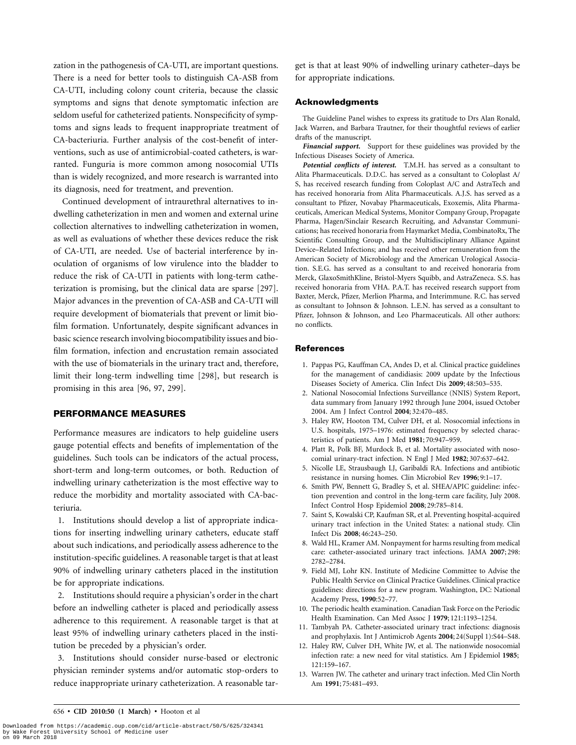zation in the pathogenesis of CA-UTI, are important questions. There is a need for better tools to distinguish CA-ASB from CA-UTI, including colony count criteria, because the classic symptoms and signs that denote symptomatic infection are seldom useful for catheterized patients. Nonspecificity of symptoms and signs leads to frequent inappropriate treatment of CA-bacteriuria. Further analysis of the cost-benefit of interventions, such as use of antimicrobial-coated catheters, is warranted. Funguria is more common among nosocomial UTIs than is widely recognized, and more research is warranted into its diagnosis, need for treatment, and prevention.

Continued development of intraurethral alternatives to indwelling catheterization in men and women and external urine collection alternatives to indwelling catheterization in women, as well as evaluations of whether these devices reduce the risk of CA-UTI, are needed. Use of bacterial interference by inoculation of organisms of low virulence into the bladder to reduce the risk of CA-UTI in patients with long-term catheterization is promising, but the clinical data are sparse [297]. Major advances in the prevention of CA-ASB and CA-UTI will require development of biomaterials that prevent or limit biofilm formation. Unfortunately, despite significant advances in basic science research involving biocompatibility issues and biofilm formation, infection and encrustation remain associated with the use of biomaterials in the urinary tract and, therefore, limit their long-term indwelling time [298], but research is promising in this area [96, 97, 299].

# **PERFORMANCE MEASURES**

Performance measures are indicators to help guideline users gauge potential effects and benefits of implementation of the guidelines. Such tools can be indicators of the actual process, short-term and long-term outcomes, or both. Reduction of indwelling urinary catheterization is the most effective way to reduce the morbidity and mortality associated with CA-bacteriuria.

1. Institutions should develop a list of appropriate indications for inserting indwelling urinary catheters, educate staff about such indications, and periodically assess adherence to the institution-specific guidelines. A reasonable target is that at least 90% of indwelling urinary catheters placed in the institution be for appropriate indications.

2. Institutions should require a physician's order in the chart before an indwelling catheter is placed and periodically assess adherence to this requirement. A reasonable target is that at least 95% of indwelling urinary catheters placed in the institution be preceded by a physician's order.

3. Institutions should consider nurse-based or electronic physician reminder systems and/or automatic stop-orders to reduce inappropriate urinary catheterization. A reasonable target is that at least 90% of indwelling urinary catheter–days be for appropriate indications.

#### **Acknowledgments**

The Guideline Panel wishes to express its gratitude to Drs Alan Ronald, Jack Warren, and Barbara Trautner, for their thoughtful reviews of earlier drafts of the manuscript.

*Financial support.* Support for these guidelines was provided by the Infectious Diseases Society of America.

*Potential conflicts of interest.* T.M.H. has served as a consultant to Alita Pharmaceuticals. D.D.C. has served as a consultant to Coloplast A/ S, has received research funding from Coloplast A/C and AstraTech and has received honoraria from Alita Pharmaceuticals. A.J.S. has served as a consultant to Pfizer, Novabay Pharmaceuticals, Exoxemis, Alita Pharmaceuticals, American Medical Systems, Monitor Company Group, Propagate Pharma, Hagen/Sinclair Research Recruiting, and Advanstar Communications; has received honoraria from Haymarket Media, CombinatoRx, The Scientific Consulting Group, and the Multidisciplinary Alliance Against Device–Related Infections; and has received other remuneration from the American Society of Microbiology and the American Urological Association. S.E.G. has served as a consultant to and received honoraria from Merck, GlaxoSmithKline, Bristol-Myers Squibb, and AstraZeneca. S.S. has received honoraria from VHA. P.A.T. has received research support from Baxter, Merck, Pfizer, Merlion Pharma, and Interimmune. R.C. has served as consultant to Johnson & Johnson. L.E.N. has served as a consultant to Pfizer, Johnson & Johnson, and Leo Pharmaceuticals. All other authors: no conflicts.

#### **References**

- 1. Pappas PG, Kauffman CA, Andes D, et al. Clinical practice guidelines for the management of candidiasis: 2009 update by the Infectious Diseases Society of America. Clin Infect Dis **2009**; 48:503–535.
- 2. National Nosocomial Infections Surveillance (NNIS) System Report, data summary from January 1992 through June 2004, issued October 2004. Am J Infect Control **2004**; 32:470–485.
- 3. Haley RW, Hooton TM, Culver DH, et al. Nosocomial infections in U.S. hospitals, 1975–1976: estimated frequency by selected characteristics of patients. Am J Med **1981**; 70:947–959.
- 4. Platt R, Polk BF, Murdock B, et al. Mortality associated with nosocomial urinary-tract infection. N Engl J Med **1982**; 307:637–642.
- 5. Nicolle LE, Strausbaugh LJ, Garibaldi RA. Infections and antibiotic resistance in nursing homes. Clin Microbiol Rev **1996**; 9:1–17.
- 6. Smith PW, Bennett G, Bradley S, et al. SHEA/APIC guideline: infection prevention and control in the long-term care facility, July 2008. Infect Control Hosp Epidemiol **2008**; 29:785–814.
- 7. Saint S, Kowalski CP, Kaufman SR, et al. Preventing hospital-acquired urinary tract infection in the United States: a national study. Clin Infect Dis **2008**; 46:243–250.
- 8. Wald HL, Kramer AM. Nonpayment for harms resulting from medical care: catheter-associated urinary tract infections. JAMA **2007**; 298: 2782–2784.
- 9. Field MJ, Lohr KN. Institute of Medicine Committee to Advise the Public Health Service on Clinical Practice Guidelines. Clinical practice guidelines: directions for a new program. Washington, DC: National Academy Press, **1990**:52–77.
- 10. The periodic health examination. Canadian Task Force on the Periodic Health Examination. Can Med Assoc J **1979**; 121:1193–1254.
- 11. Tambyah PA. Catheter-associated urinary tract infections: diagnosis and prophylaxis. Int J Antimicrob Agents **2004**; 24(Suppl 1):S44–S48.
- 12. Haley RW, Culver DH, White JW, et al. The nationwide nosocomial infection rate: a new need for vital statistics. Am J Epidemiol **1985**; 121:159–167.
- 13. Warren JW. The catheter and urinary tract infection. Med Clin North Am **1991**; 75:481–493.

Downloaded from https://academic.oup.com/cid/article-abstract/50/5/625/324341 by Wake Forest University School of Medicine user on 09 March 2018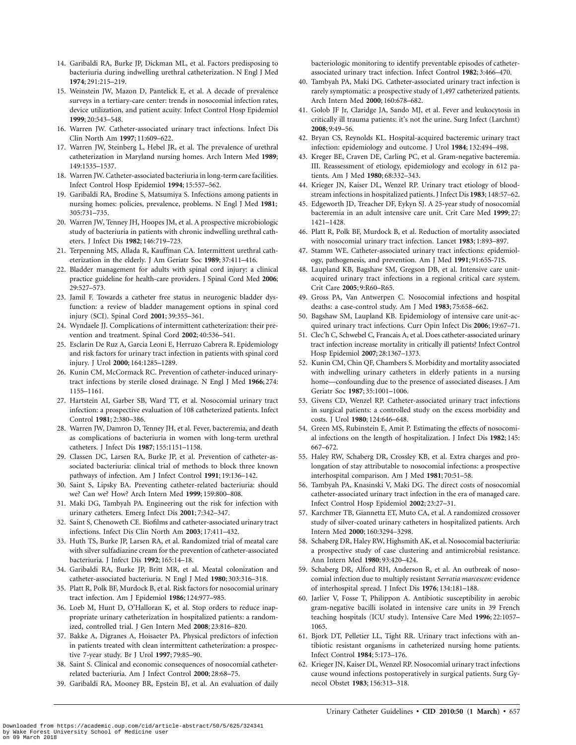- 14. Garibaldi RA, Burke JP, Dickman ML, et al. Factors predisposing to bacteriuria during indwelling urethral catheterization. N Engl J Med **1974**; 291:215–219.
- 15. Weinstein JW, Mazon D, Pantelick E, et al. A decade of prevalence surveys in a tertiary-care center: trends in nosocomial infection rates, device utilization, and patient acuity. Infect Control Hosp Epidemiol **1999**; 20:543–548.
- 16. Warren JW. Catheter-associated urinary tract infections. Infect Dis Clin North Am **1997**; 11:609–622.
- 17. Warren JW, Steinberg L, Hebel JR, et al. The prevalence of urethral catheterization in Maryland nursing homes. Arch Intern Med **1989**; 149:1535–1537.
- 18. Warren JW. Catheter-associated bacteriuria in long-term care facilities. Infect Control Hosp Epidemiol **1994**; 15:557–562.
- 19. Garibaldi RA, Brodine S, Matsumiya S. Infections among patients in nursing homes: policies, prevalence, problems. N Engl J Med **1981**; 305:731–735.
- 20. Warren JW, Tenney JH, Hoopes JM, et al. A prospective microbiologic study of bacteriuria in patients with chronic indwelling urethral catheters. J Infect Dis **1982**; 146:719–723.
- 21. Terpenning MS, Allada R, Kauffman CA. Intermittent urethral catheterization in the elderly. J Am Geriatr Soc **1989**; 37:411–416.
- 22. Bladder management for adults with spinal cord injury: a clinical practice guideline for health-care providers. J Spinal Cord Med **2006**; 29:527–573.
- 23. Jamil F. Towards a catheter free status in neurogenic bladder dysfunction: a review of bladder management options in spinal cord injury (SCI). Spinal Cord **2001**; 39:355–361.
- 24. Wyndaele JJ. Complications of intermittent catheterization: their prevention and treatment. Spinal Cord **2002**; 40:536–541.
- 25. Esclarin De Ruz A, Garcia Leoni E, Herruzo Cabrera R. Epidemiology and risk factors for urinary tract infection in patients with spinal cord injury. J Urol **2000**; 164:1285–1289.
- 26. Kunin CM, McCormack RC. Prevention of catheter-induced urinarytract infections by sterile closed drainage. N Engl J Med **1966**; 274: 1155–1161.
- 27. Hartstein AI, Garber SB, Ward TT, et al. Nosocomial urinary tract infection: a prospective evaluation of 108 catheterized patients. Infect Control **1981**; 2:380–386.
- 28. Warren JW, Damron D, Tenney JH, et al. Fever, bacteremia, and death as complications of bacteriuria in women with long-term urethral catheters. J Infect Dis **1987**; 155:1151–1158.
- 29. Classen DC, Larsen RA, Burke JP, et al. Prevention of catheter-associated bacteriuria: clinical trial of methods to block three known pathways of infection. Am J Infect Control **1991**; 19:136–142.
- 30. Saint S, Lipsky BA. Preventing catheter-related bacteriuria: should we? Can we? How? Arch Intern Med **1999**; 159:800–808.
- 31. Maki DG, Tambyah PA. Engineering out the risk for infection with urinary catheters. Emerg Infect Dis **2001**; 7:342–347.
- 32. Saint S, Chenoweth CE. Biofilms and catheter-associated urinary tract infections. Infect Dis Clin North Am **2003**; 17:411–432.
- 33. Huth TS, Burke JP, Larsen RA, et al. Randomized trial of meatal care with silver sulfadiazine cream for the prevention of catheter-associated bacteriuria. J Infect Dis **1992**; 165:14–18.
- 34. Garibaldi RA, Burke JP, Britt MR, et al. Meatal colonization and catheter-associated bacteriuria. N Engl J Med **1980**; 303:316–318.
- 35. Platt R, Polk BF, Murdock B, et al. Risk factors for nosocomial urinary tract infection. Am J Epidemiol **1986**; 124:977–985.
- 36. Loeb M, Hunt D, O'Halloran K, et al. Stop orders to reduce inappropriate urinary catheterization in hospitalized patients: a randomized, controlled trial. J Gen Intern Med **2008**; 23:816–820.
- 37. Bakke A, Digranes A, Hoisaeter PA. Physical predictors of infection in patients treated with clean intermittent catheterization: a prospective 7-year study. Br J Urol **1997**; 79:85–90.
- 38. Saint S. Clinical and economic consequences of nosocomial catheterrelated bacteriuria. Am J Infect Control **2000**; 28:68–75.
- 39. Garibaldi RA, Mooney BR, Epstein BJ, et al. An evaluation of daily

bacteriologic monitoring to identify preventable episodes of catheterassociated urinary tract infection. Infect Control **1982**; 3:466–470.

- 40. Tambyah PA, Maki DG. Catheter-associated urinary tract infection is rarely symptomatic: a prospective study of 1,497 catheterized patients. Arch Intern Med **2000**; 160:678–682.
- 41. Golob JF Jr, Claridge JA, Sando MJ, et al. Fever and leukocytosis in critically ill trauma patients: it's not the urine. Surg Infect (Larchmt) **2008**; 9:49–56.
- 42. Bryan CS, Reynolds KL. Hospital-acquired bacteremic urinary tract infection: epidemiology and outcome. J Urol **1984**; 132:494–498.
- 43. Kreger BE, Craven DE, Carling PC, et al. Gram-negative bacteremia. III. Reassessment of etiology, epidemiology and ecology in 612 patients. Am J Med **1980**; 68:332–343.
- 44. Krieger JN, Kaiser DL, Wenzel RP. Urinary tract etiology of bloodstream infections in hospitalized patients. J Infect Dis **1983**; 148:57–62.
- 45. Edgeworth JD, Treacher DF, Eykyn SJ. A 25-year study of nosocomial bacteremia in an adult intensive care unit. Crit Care Med **1999**; 27: 1421–1428.
- 46. Platt R, Polk BF, Murdock B, et al. Reduction of mortality associated with nosocomial urinary tract infection. Lancet **1983**; 1:893–897.
- 47. Stamm WE. Catheter-associated urinary tract infections: epidemiology, pathogenesis, and prevention. Am J Med **1991**; 91:65S-71S.
- 48. Laupland KB, Bagshaw SM, Gregson DB, et al. Intensive care unitacquired urinary tract infections in a regional critical care system. Crit Care **2005**; 9:R60–R65.
- 49. Gross PA, Van Antwerpen C. Nosocomial infections and hospital deaths: a case-control study. Am J Med **1983**; 75:658–662.
- 50. Bagshaw SM, Laupland KB. Epidemiology of intensive care unit-acquired urinary tract infections. Curr Opin Infect Dis **2006**; 19:67–71.
- 51. Clec'h C, Schwebel C, Francais A, et al. Does catheter-associated urinary tract infection increase mortality in critically ill patients? Infect Control Hosp Epidemiol **2007**; 28:1367–1373.
- 52. Kunin CM, Chin QF, Chambers S. Morbidity and mortality associated with indwelling urinary catheters in elderly patients in a nursing home—confounding due to the presence of associated diseases. J Am Geriatr Soc **1987**; 35:1001–1006.
- 53. Givens CD, Wenzel RP. Catheter-associated urinary tract infections in surgical patients: a controlled study on the excess morbidity and costs. J Urol **1980**; 124:646–648.
- 54. Green MS, Rubinstein E, Amit P. Estimating the effects of nosocomial infections on the length of hospitalization. J Infect Dis **1982**; 145: 667–672.
- 55. Haley RW, Schaberg DR, Crossley KB, et al. Extra charges and prolongation of stay attributable to nosocomial infections: a prospective interhospital comparison. Am J Med **1981**; 70:51–58.
- 56. Tambyah PA, Knasinski V, Maki DG. The direct costs of nosocomial catheter-associated urinary tract infection in the era of managed care. Infect Control Hosp Epidemiol **2002**; 23:27–31.
- 57. Karchmer TB, Giannetta ET, Muto CA, et al. A randomized crossover study of silver-coated urinary catheters in hospitalized patients. Arch Intern Med **2000**; 160:3294–3298.
- 58. Schaberg DR, Haley RW, Highsmith AK, et al. Nosocomial bacteriuria: a prospective study of case clustering and antimicrobial resistance. Ann Intern Med **1980**; 93:420–424.
- 59. Schaberg DR, Alford RH, Anderson R, et al. An outbreak of nosocomial infection due to multiply resistant *Serratia marcescen:* evidence of interhospital spread. J Infect Dis **1976**; 134:181–188.
- 60. Jarlier V, Fosse T, Philippon A. Antibiotic susceptibility in aerobic gram-negative bacilli isolated in intensive care units in 39 French teaching hospitals (ICU study). Intensive Care Med **1996**; 22:1057– 1065.
- 61. Bjork DT, Pelletier LL, Tight RR. Urinary tract infections with antibiotic resistant organisms in catheterized nursing home patients. Infect Control **1984**; 5:173–176.
- 62. Krieger JN, Kaiser DL, Wenzel RP. Nosocomial urinary tract infections cause wound infections postoperatively in surgical patients. Surg Gynecol Obstet **1983**; 156:313–318.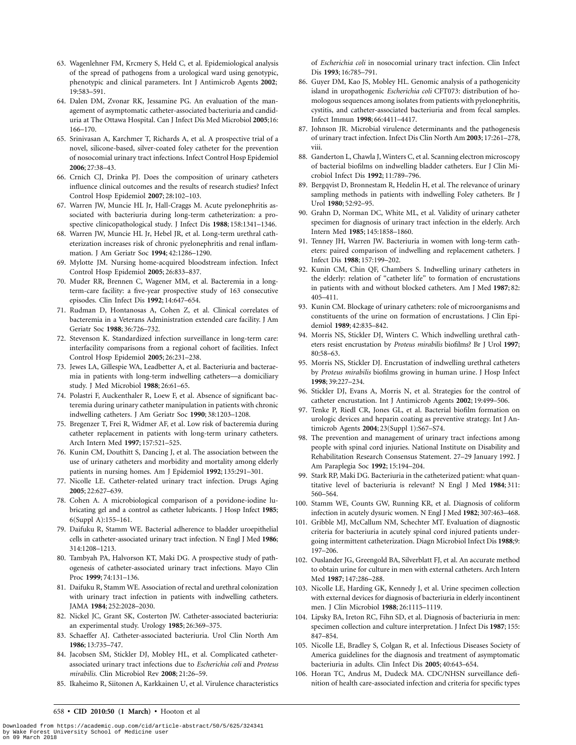- 63. Wagenlehner FM, Krcmery S, Held C, et al. Epidemiological analysis of the spread of pathogens from a urological ward using genotypic, phenotypic and clinical parameters. Int J Antimicrob Agents **2002**; 19:583–591.
- 64. Dalen DM, Zvonar RK, Jessamine PG. An evaluation of the management of asymptomatic catheter-associated bacteriuria and candiduria at The Ottawa Hospital. Can J Infect Dis Med Microbiol **2005**;16: 166–170.
- 65. Srinivasan A, Karchmer T, Richards A, et al. A prospective trial of a novel, silicone-based, silver-coated foley catheter for the prevention of nosocomial urinary tract infections. Infect Control Hosp Epidemiol **2006**; 27:38–43.
- 66. Crnich CJ, Drinka PJ. Does the composition of urinary catheters influence clinical outcomes and the results of research studies? Infect Control Hosp Epidemiol **2007**; 28:102–103.
- 67. Warren JW, Muncie HL Jr, Hall-Craggs M. Acute pyelonephritis associated with bacteriuria during long-term catheterization: a prospective clinicopathological study. J Infect Dis **1988**; 158:1341–1346.
- 68. Warren JW, Muncie HL Jr, Hebel JR, et al. Long-term urethral catheterization increases risk of chronic pyelonephritis and renal inflammation. J Am Geriatr Soc **1994**; 42:1286–1290.
- 69. Mylotte JM. Nursing home-acquired bloodstream infection. Infect Control Hosp Epidemiol **2005**; 26:833–837.
- 70. Muder RR, Brennen C, Wagener MM, et al. Bacteremia in a longterm-care facility: a five-year prospective study of 163 consecutive episodes. Clin Infect Dis **1992**; 14:647–654.
- 71. Rudman D, Hontanosas A, Cohen Z, et al. Clinical correlates of bacteremia in a Veterans Administration extended care facility. J Am Geriatr Soc **1988**; 36:726–732.
- 72. Stevenson K. Standardized infection surveillance in long-term care: interfacility comparisons from a regional cohort of facilities. Infect Control Hosp Epidemiol **2005**; 26:231–238.
- 73. Jewes LA, Gillespie WA, Leadbetter A, et al. Bacteriuria and bacteraemia in patients with long-term indwelling catheters—a domiciliary study. J Med Microbiol **1988**; 26:61–65.
- 74. Polastri F, Auckenthaler R, Loew F, et al. Absence of significant bacteremia during urinary catheter manipulation in patients with chronic indwelling catheters. J Am Geriatr Soc **1990**; 38:1203–1208.
- 75. Bregenzer T, Frei R, Widmer AF, et al. Low risk of bacteremia during catheter replacement in patients with long-term urinary catheters. Arch Intern Med **1997**; 157:521–525.
- 76. Kunin CM, Douthitt S, Dancing J, et al. The association between the use of urinary catheters and morbidity and mortality among elderly patients in nursing homes. Am J Epidemiol **1992**; 135:291–301.
- 77. Nicolle LE. Catheter-related urinary tract infection. Drugs Aging **2005**; 22:627–639.
- 78. Cohen A. A microbiological comparison of a povidone-iodine lubricating gel and a control as catheter lubricants. J Hosp Infect **1985**; 6(Suppl A):155–161.
- 79. Daifuku R, Stamm WE. Bacterial adherence to bladder uroepithelial cells in catheter-associated urinary tract infection. N Engl J Med **1986**; 314:1208–1213.
- 80. Tambyah PA, Halvorson KT, Maki DG. A prospective study of pathogenesis of catheter-associated urinary tract infections. Mayo Clin Proc **1999**; 74:131–136.
- 81. Daifuku R, Stamm WE. Association of rectal and urethral colonization with urinary tract infection in patients with indwelling catheters. JAMA **1984**; 252:2028–2030.
- 82. Nickel JC, Grant SK, Costerton JW. Catheter-associated bacteriuria: an experimental study. Urology **1985**; 26:369–375.
- 83. Schaeffer AJ. Catheter-associated bacteriuria. Urol Clin North Am **1986**; 13:735–747.
- 84. Jacobsen SM, Stickler DJ, Mobley HL, et al. Complicated catheterassociated urinary tract infections due to *Escherichia coli* and *Proteus mirabilis.* Clin Microbiol Rev **2008**; 21:26–59.
- 85. Ikaheimo R, Siitonen A, Karkkainen U, et al. Virulence characteristics

of *Escherichia coli* in nosocomial urinary tract infection. Clin Infect Dis **1993**; 16:785–791.

- 86. Guyer DM, Kao JS, Mobley HL. Genomic analysis of a pathogenicity island in uropathogenic *Escherichia coli* CFT073: distribution of homologous sequences among isolates from patients with pyelonephritis, cystitis, and catheter-associated bacteriuria and from fecal samples. Infect Immun **1998**; 66:4411–4417.
- 87. Johnson JR. Microbial virulence determinants and the pathogenesis of urinary tract infection. Infect Dis Clin North Am **2003**; 17:261–278, viii.
- 88. Ganderton L, Chawla J, Winters C, et al. Scanning electron microscopy of bacterial biofilms on indwelling bladder catheters. Eur J Clin Microbiol Infect Dis **1992**; 11:789–796.
- 89. Bergqvist D, Bronnestam R, Hedelin H, et al. The relevance of urinary sampling methods in patients with indwelling Foley catheters. Br J Urol **1980**; 52:92–95.
- 90. Grahn D, Norman DC, White ML, et al. Validity of urinary catheter specimen for diagnosis of urinary tract infection in the elderly. Arch Intern Med **1985**; 145:1858–1860.
- 91. Tenney JH, Warren JW. Bacteriuria in women with long-term catheters: paired comparison of indwelling and replacement catheters. J Infect Dis **1988**; 157:199–202.
- 92. Kunin CM, Chin QF, Chambers S. Indwelling urinary catheters in the elderly: relation of "catheter life" to formation of encrustations in patients with and without blocked catheters. Am J Med **1987**; 82: 405–411.
- 93. Kunin CM. Blockage of urinary catheters: role of microorganisms and constituents of the urine on formation of encrustations. J Clin Epidemiol **1989**; 42:835–842.
- 94. Morris NS, Stickler DJ, Winters C. Which indwelling urethral catheters resist encrustation by *Proteus mirabilis* biofilms? Br J Urol **1997**; 80:58–63.
- 95. Morris NS, Stickler DJ. Encrustation of indwelling urethral catheters by *Proteus mirabilis* biofilms growing in human urine. J Hosp Infect **1998**; 39:227–234.
- 96. Stickler DJ, Evans A, Morris N, et al. Strategies for the control of catheter encrustation. Int J Antimicrob Agents **2002**; 19:499–506.
- 97. Tenke P, Riedl CR, Jones GL, et al. Bacterial biofilm formation on urologic devices and heparin coating as preventive strategy. Int J Antimicrob Agents **2004**; 23(Suppl 1):S67–S74.
- 98. The prevention and management of urinary tract infections among people with spinal cord injuries. National Institute on Disability and Rehabilitation Research Consensus Statement. 27–29 January 1992. J Am Paraplegia Soc **1992**; 15:194–204.
- 99. Stark RP, Maki DG. Bacteriuria in the catheterized patient: what quantitative level of bacteriuria is relevant? N Engl J Med **1984**; 311: 560–564.
- 100. Stamm WE, Counts GW, Running KR, et al. Diagnosis of coliform infection in acutely dysuric women. N Engl J Med **1982**; 307:463–468.
- 101. Gribble MJ, McCallum NM, Schechter MT. Evaluation of diagnostic criteria for bacteriuria in acutely spinal cord injured patients undergoing intermittent catheterization. Diagn Microbiol Infect Dis **1988**;9: 197–206.
- 102. Ouslander JG, Greengold BA, Silverblatt FJ, et al. An accurate method to obtain urine for culture in men with external catheters. Arch Intern Med **1987**; 147:286–288.
- 103. Nicolle LE, Harding GK, Kennedy J, et al. Urine specimen collection with external devices for diagnosis of bacteriuria in elderly incontinent men. J Clin Microbiol **1988**; 26:1115–1119.
- 104. Lipsky BA, Ireton RC, Fihn SD, et al. Diagnosis of bacteriuria in men: specimen collection and culture interpretation. J Infect Dis **1987**; 155: 847–854.
- 105. Nicolle LE, Bradley S, Colgan R, et al. Infectious Diseases Society of America guidelines for the diagnosis and treatment of asymptomatic bacteriuria in adults. Clin Infect Dis **2005**; 40:643–654.
- 106. Horan TC, Andrus M, Dudeck MA. CDC/NHSN surveillance definition of health care-associated infection and criteria for specific types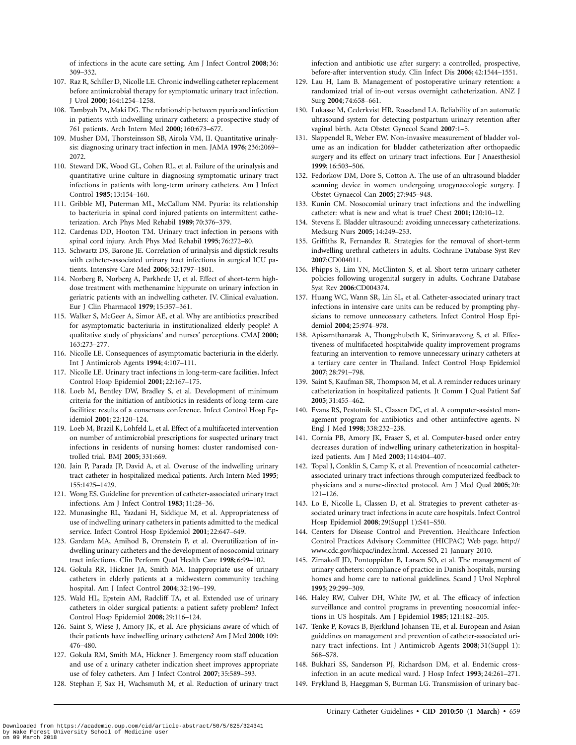of infections in the acute care setting. Am J Infect Control **2008**; 36: 309–332.

- 107. Raz R, Schiller D, Nicolle LE. Chronic indwelling catheter replacement before antimicrobial therapy for symptomatic urinary tract infection. J Urol **2000**; 164:1254–1258.
- 108. Tambyah PA, Maki DG. The relationship between pyuria and infection in patients with indwelling urinary catheters: a prospective study of 761 patients. Arch Intern Med **2000**; 160:673–677.
- 109. Musher DM, Thorsteinsson SB, Airola VM, II. Quantitative urinalysis: diagnosing urinary tract infection in men. JAMA **1976**; 236:2069– 2072.
- 110. Steward DK, Wood GL, Cohen RL, et al. Failure of the urinalysis and quantitative urine culture in diagnosing symptomatic urinary tract infections in patients with long-term urinary catheters. Am J Infect Control **1985**; 13:154–160.
- 111. Gribble MJ, Puterman ML, McCallum NM. Pyuria: its relationship to bacteriuria in spinal cord injured patients on intermittent catheterization. Arch Phys Med Rehabil **1989**; 70:376–379.
- 112. Cardenas DD, Hooton TM. Urinary tract infection in persons with spinal cord injury. Arch Phys Med Rehabil **1995**; 76:272–80.
- 113. Schwartz DS, Barone JE. Correlation of urinalysis and dipstick results with catheter-associated urinary tract infections in surgical ICU patients. Intensive Care Med **2006**; 32:1797–1801.
- 114. Norberg B, Norberg A, Parkhede U, et al. Effect of short-term highdose treatment with methenamine hippurate on urinary infection in geriatric patients with an indwelling catheter. IV. Clinical evaluation. Eur J Clin Pharmacol **1979**; 15:357–361.
- 115. Walker S, McGeer A, Simor AE, et al. Why are antibiotics prescribed for asymptomatic bacteriuria in institutionalized elderly people? A qualitative study of physicians' and nurses' perceptions. CMAJ **2000**; 163:273–277.
- 116. Nicolle LE. Consequences of asymptomatic bacteriuria in the elderly. Int J Antimicrob Agents **1994**; 4:107–111.
- 117. Nicolle LE. Urinary tract infections in long-term-care facilities. Infect Control Hosp Epidemiol **2001**; 22:167–175.
- 118. Loeb M, Bentley DW, Bradley S, et al. Development of minimum criteria for the initiation of antibiotics in residents of long-term-care facilities: results of a consensus conference. Infect Control Hosp Epidemiol **2001**; 22:120–124.
- 119. Loeb M, Brazil K, Lohfeld L, et al. Effect of a multifaceted intervention on number of antimicrobial prescriptions for suspected urinary tract infections in residents of nursing homes: cluster randomised controlled trial. BMJ **2005**; 331:669.
- 120. Jain P, Parada JP, David A, et al. Overuse of the indwelling urinary tract catheter in hospitalized medical patients. Arch Intern Med **1995**; 155:1425–1429.
- 121. Wong ES. Guideline for prevention of catheter-associated urinary tract infections. Am J Infect Control **1983**; 11:28–36.
- 122. Munasinghe RL, Yazdani H, Siddique M, et al. Appropriateness of use of indwelling urinary catheters in patients admitted to the medical service. Infect Control Hosp Epidemiol **2001**; 22:647–649.
- 123. Gardam MA, Amihod B, Orenstein P, et al. Overutilization of indwelling urinary catheters and the development of nosocomial urinary tract infections. Clin Perform Qual Health Care **1998**; 6:99–102.
- 124. Gokula RR, Hickner JA, Smith MA. Inappropriate use of urinary catheters in elderly patients at a midwestern community teaching hospital. Am J Infect Control **2004**; 32:196–199.
- 125. Wald HL, Epstein AM, Radcliff TA, et al. Extended use of urinary catheters in older surgical patients: a patient safety problem? Infect Control Hosp Epidemiol **2008**; 29:116–124.
- 126. Saint S, Wiese J, Amory JK, et al. Are physicians aware of which of their patients have indwelling urinary catheters? Am J Med **2000**; 109: 476–480.
- 127. Gokula RM, Smith MA, Hickner J. Emergency room staff education and use of a urinary catheter indication sheet improves appropriate use of foley catheters. Am J Infect Control **2007**; 35:589–593.
- 128. Stephan F, Sax H, Wachsmuth M, et al. Reduction of urinary tract

infection and antibiotic use after surgery: a controlled, prospective, before-after intervention study. Clin Infect Dis **2006**; 42:1544–1551.

- 129. Lau H, Lam B. Management of postoperative urinary retention: a randomized trial of in-out versus overnight catheterization. ANZ J Surg **2004**; 74:658–661.
- 130. Lukasse M, Cederkvist HR, Rosseland LA. Reliability of an automatic ultrasound system for detecting postpartum urinary retention after vaginal birth. Acta Obstet Gynecol Scand **2007**:1–5.
- 131. Slappendel R, Weber EW. Non-invasive measurement of bladder volume as an indication for bladder catheterization after orthopaedic surgery and its effect on urinary tract infections. Eur J Anaesthesiol **1999**; 16:503–506.
- 132. Fedorkow DM, Dore S, Cotton A. The use of an ultrasound bladder scanning device in women undergoing urogynaecologic surgery. J Obstet Gynaecol Can **2005**; 27:945–948.
- 133. Kunin CM. Nosocomial urinary tract infections and the indwelling catheter: what is new and what is true? Chest **2001**; 120:10–12.
- 134. Stevens E. Bladder ultrasound: avoiding unnecessary catheterizations. Medsurg Nurs **2005**; 14:249–253.
- 135. Griffiths R, Fernandez R. Strategies for the removal of short-term indwelling urethral catheters in adults. Cochrane Database Syst Rev **2007**:CD004011.
- 136. Phipps S, Lim YN, McClinton S, et al. Short term urinary catheter policies following urogenital surgery in adults. Cochrane Database Syst Rev **2006**:CD004374.
- 137. Huang WC, Wann SR, Lin SL, et al. Catheter-associated urinary tract infections in intensive care units can be reduced by prompting physicians to remove unnecessary catheters. Infect Control Hosp Epidemiol **2004**; 25:974–978.
- 138. Apisarnthanarak A, Thongphubeth K, Sirinvaravong S, et al. Effectiveness of multifaceted hospitalwide quality improvement programs featuring an intervention to remove unnecessary urinary catheters at a tertiary care center in Thailand. Infect Control Hosp Epidemiol **2007**; 28:791–798.
- 139. Saint S, Kaufman SR, Thompson M, et al. A reminder reduces urinary catheterization in hospitalized patients. Jt Comm J Qual Patient Saf **2005**; 31:455–462.
- 140. Evans RS, Pestotnik SL, Classen DC, et al. A computer-assisted management program for antibiotics and other antiinfective agents. N Engl J Med **1998**; 338:232–238.
- 141. Cornia PB, Amory JK, Fraser S, et al. Computer-based order entry decreases duration of indwelling urinary catheterization in hospitalized patients. Am J Med **2003**; 114:404–407.
- 142. Topal J, Conklin S, Camp K, et al. Prevention of nosocomial catheterassociated urinary tract infections through computerized feedback to physicians and a nurse-directed protocol. Am J Med Qual **2005**; 20: 121–126.
- 143. Lo E, Nicolle L, Classen D, et al. Strategies to prevent catheter-associated urinary tract infections in acute care hospitals. Infect Control Hosp Epidemiol **2008**; 29(Suppl 1):S41–S50.
- 144. Centers for Disease Control and Prevention. Healthcare Infection Control Practices Advisory Committee (HICPAC) Web page. http:// www.cdc.gov/hicpac/index.html. Accessed 21 January 2010.
- 145. Zimakoff JD, Pontoppidan B, Larsen SO, et al. The management of urinary catheters: compliance of practice in Danish hospitals, nursing homes and home care to national guidelines. Scand J Urol Nephrol **1995**; 29:299–309.
- 146. Haley RW, Culver DH, White JW, et al. The efficacy of infection surveillance and control programs in preventing nosocomial infections in US hospitals. Am J Epidemiol **1985**; 121:182–205.
- 147. Tenke P, Kovacs B, Bjerklund Johansen TE, et al. European and Asian guidelines on management and prevention of catheter-associated urinary tract infections. Int J Antimicrob Agents **2008**; 31(Suppl 1): S68–S78.
- 148. Bukhari SS, Sanderson PJ, Richardson DM, et al. Endemic crossinfection in an acute medical ward. J Hosp Infect **1993**; 24:261–271.
- 149. Fryklund B, Haeggman S, Burman LG. Transmission of urinary bac-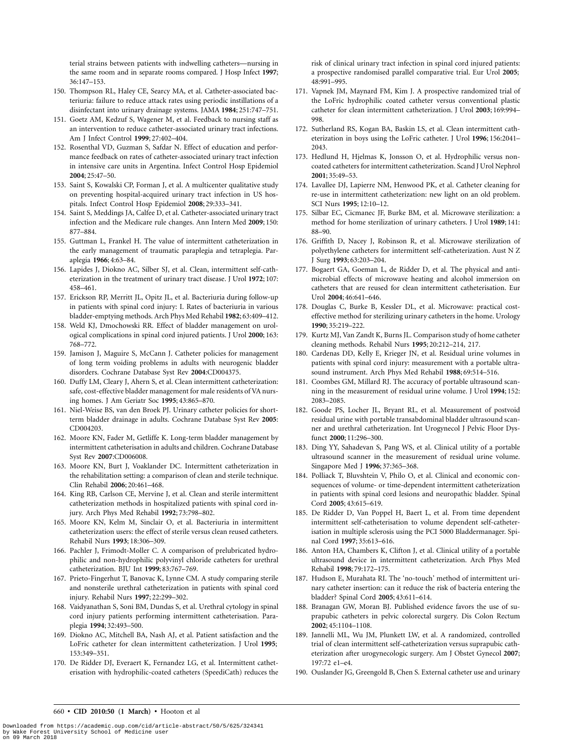terial strains between patients with indwelling catheters—nursing in the same room and in separate rooms compared. J Hosp Infect **1997**; 36:147–153.

- 150. Thompson RL, Haley CE, Searcy MA, et al. Catheter-associated bacteriuria: failure to reduce attack rates using periodic instillations of a disinfectant into urinary drainage systems. JAMA **1984**; 251:747–751.
- 151. Goetz AM, Kedzuf S, Wagener M, et al. Feedback to nursing staff as an intervention to reduce catheter-associated urinary tract infections. Am J Infect Control **1999**; 27:402–404.
- 152. Rosenthal VD, Guzman S, Safdar N. Effect of education and performance feedback on rates of catheter-associated urinary tract infection in intensive care units in Argentina. Infect Control Hosp Epidemiol **2004**; 25:47–50.
- 153. Saint S, Kowalski CP, Forman J, et al. A multicenter qualitative study on preventing hospital-acquired urinary tract infection in US hospitals. Infect Control Hosp Epidemiol **2008**; 29:333–341.
- 154. Saint S, Meddings JA, Calfee D, et al. Catheter-associated urinary tract infection and the Medicare rule changes. Ann Intern Med **2009**; 150: 877–884.
- 155. Guttman L, Frankel H. The value of intermittent catheterization in the early management of traumatic paraplegia and tetraplegia. Paraplegia **1966**; 4:63–84.
- 156. Lapides J, Diokno AC, Silber SJ, et al. Clean, intermittent self-catheterization in the treatment of urinary tract disease. J Urol **1972**; 107: 458–461.
- 157. Erickson RP, Merritt JL, Opitz JL, et al. Bacteriuria during follow-up in patients with spinal cord injury: I. Rates of bacteriuria in various bladder-emptying methods. Arch Phys Med Rehabil **1982**; 63:409–412.
- 158. Weld KJ, Dmochowski RR. Effect of bladder management on urological complications in spinal cord injured patients. J Urol **2000**; 163: 768–772.
- 159. Jamison J, Maguire S, McCann J. Catheter policies for management of long term voiding problems in adults with neurogenic bladder disorders. Cochrane Database Syst Rev **2004**:CD004375.
- 160. Duffy LM, Cleary J, Ahern S, et al. Clean intermittent catheterization: safe, cost-effective bladder management for male residents of VA nursing homes. J Am Geriatr Soc **1995**; 43:865–870.
- 161. Niel-Weise BS, van den Broek PJ. Urinary catheter policies for shortterm bladder drainage in adults. Cochrane Database Syst Rev **2005**: CD004203.
- 162. Moore KN, Fader M, Getliffe K. Long-term bladder management by intermittent catheterisation in adults and children. Cochrane Database Syst Rev **2007**:CD006008.
- 163. Moore KN, Burt J, Voaklander DC. Intermittent catheterization in the rehabilitation setting: a comparison of clean and sterile technique. Clin Rehabil **2006**; 20:461–468.
- 164. King RB, Carlson CE, Mervine J, et al. Clean and sterile intermittent catheterization methods in hospitalized patients with spinal cord injury. Arch Phys Med Rehabil **1992**; 73:798–802.
- 165. Moore KN, Kelm M, Sinclair O, et al. Bacteriuria in intermittent catheterization users: the effect of sterile versus clean reused catheters. Rehabil Nurs **1993**; 18:306–309.
- 166. Pachler J, Frimodt-Moller C. A comparison of prelubricated hydrophilic and non-hydrophilic polyvinyl chloride catheters for urethral catheterization. BJU Int **1999**; 83:767–769.
- 167. Prieto-Fingerhut T, Banovac K, Lynne CM. A study comparing sterile and nonsterile urethral catheterization in patients with spinal cord injury. Rehabil Nurs **1997**; 22:299–302.
- 168. Vaidyanathan S, Soni BM, Dundas S, et al. Urethral cytology in spinal cord injury patients performing intermittent catheterisation. Paraplegia **1994**; 32:493–500.
- 169. Diokno AC, Mitchell BA, Nash AJ, et al. Patient satisfaction and the LoFric catheter for clean intermittent catheterization. J Urol **1995**; 153:349–351.
- 170. De Ridder DJ, Everaert K, Fernandez LG, et al. Intermittent catheterisation with hydrophilic-coated catheters (SpeediCath) reduces the

risk of clinical urinary tract infection in spinal cord injured patients: a prospective randomised parallel comparative trial. Eur Urol **2005**; 48:991–995.

- 171. Vapnek JM, Maynard FM, Kim J. A prospective randomized trial of the LoFric hydrophilic coated catheter versus conventional plastic catheter for clean intermittent catheterization. J Urol **2003**; 169:994– 998.
- 172. Sutherland RS, Kogan BA, Baskin LS, et al. Clean intermittent catheterization in boys using the LoFric catheter. J Urol **1996**; 156:2041– 2043.
- 173. Hedlund H, Hjelmas K, Jonsson O, et al. Hydrophilic versus noncoated catheters for intermittent catheterization. Scand J Urol Nephrol **2001**; 35:49–53.
- 174. Lavallee DJ, Lapierre NM, Henwood PK, et al. Catheter cleaning for re-use in intermittent catheterization: new light on an old problem. SCI Nurs **1995**; 12:10–12.
- 175. Silbar EC, Cicmanec JF, Burke BM, et al. Microwave sterilization: a method for home sterilization of urinary catheters. J Urol **1989**; 141: 88–90.
- 176. Griffith D, Nacey J, Robinson R, et al. Microwave sterilization of polyethylene catheters for intermittent self-catheterization. Aust N Z J Surg **1993**; 63:203–204.
- 177. Bogaert GA, Goeman L, de Ridder D, et al. The physical and antimicrobial effects of microwave heating and alcohol immersion on catheters that are reused for clean intermittent catheterisation. Eur Urol **2004**; 46:641–646.
- 178. Douglas C, Burke B, Kessler DL, et al. Microwave: practical costeffective method for sterilizing urinary catheters in the home. Urology **1990**; 35:219–222.
- 179. Kurtz MJ, Van Zandt K, Burns JL. Comparison study of home catheter cleaning methods. Rehabil Nurs **1995**; 20:212–214, 217.
- 180. Cardenas DD, Kelly E, Krieger JN, et al. Residual urine volumes in patients with spinal cord injury: measurement with a portable ultrasound instrument. Arch Phys Med Rehabil **1988**; 69:514–516.
- 181. Coombes GM, Millard RJ. The accuracy of portable ultrasound scanning in the measurement of residual urine volume. J Urol **1994**; 152: 2083–2085.
- 182. Goode PS, Locher JL, Bryant RL, et al. Measurement of postvoid residual urine with portable transabdominal bladder ultrasound scanner and urethral catheterization. Int Urogynecol J Pelvic Floor Dysfunct **2000**; 11:296–300.
- 183. Ding YY, Sahadevan S, Pang WS, et al. Clinical utility of a portable ultrasound scanner in the measurement of residual urine volume. Singapore Med J **1996**; 37:365–368.
- 184. Polliack T, Bluvshtein V, Philo O, et al. Clinical and economic consequences of volume- or time-dependent intermittent catheterization in patients with spinal cord lesions and neuropathic bladder. Spinal Cord **2005**; 43:615–619.
- 185. De Ridder D, Van Poppel H, Baert L, et al. From time dependent intermittent self-catheterisation to volume dependent self-catheterisation in multiple sclerosis using the PCI 5000 Bladdermanager. Spinal Cord **1997**; 35:613–616.
- 186. Anton HA, Chambers K, Clifton J, et al. Clinical utility of a portable ultrasound device in intermittent catheterization. Arch Phys Med Rehabil **1998**; 79:172–175.
- 187. Hudson E, Murahata RI. The 'no-touch' method of intermittent urinary catheter insertion: can it reduce the risk of bacteria entering the bladder? Spinal Cord **2005**; 43:611–614.
- 188. Branagan GW, Moran BJ. Published evidence favors the use of suprapubic catheters in pelvic colorectal surgery. Dis Colon Rectum **2002**; 45:1104–1108.
- 189. Jannelli ML, Wu JM, Plunkett LW, et al. A randomized, controlled trial of clean intermittent self-catheterization versus suprapubic catheterization after urogynecologic surgery. Am J Obstet Gynecol **2007**; 197:72 e1–e4.
- 190. Ouslander JG, Greengold B, Chen S. External catheter use and urinary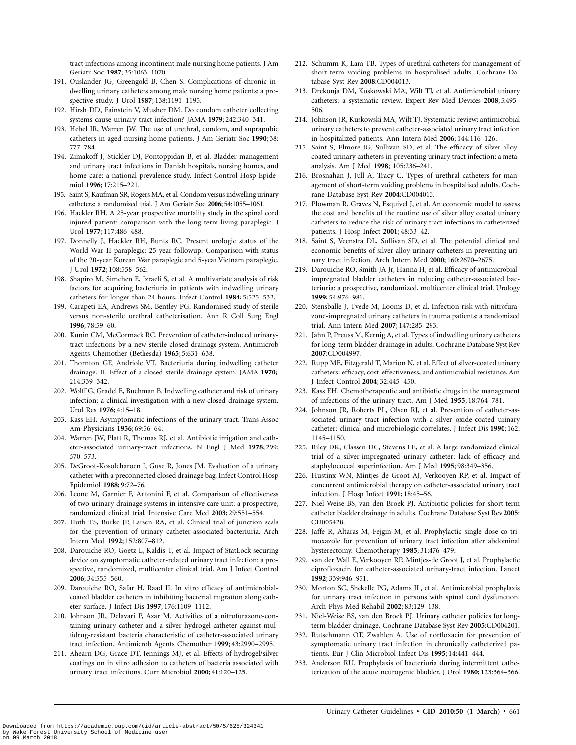tract infections among incontinent male nursing home patients. J Am Geriatr Soc **1987**; 35:1063–1070.

- 191. Ouslander JG, Greengold B, Chen S. Complications of chronic indwelling urinary catheters among male nursing home patients: a prospective study. J Urol **1987**; 138:1191–1195.
- 192. Hirsh DD, Fainstein V, Musher DM. Do condom catheter collecting systems cause urinary tract infection? JAMA **1979**; 242:340–341.
- 193. Hebel JR, Warren JW. The use of urethral, condom, and suprapubic catheters in aged nursing home patients. J Am Geriatr Soc **1990**; 38: 777–784.
- 194. Zimakoff J, Stickler DJ, Pontoppidan B, et al. Bladder management and urinary tract infections in Danish hospitals, nursing homes, and home care: a national prevalence study. Infect Control Hosp Epidemiol **1996**; 17:215–221.
- 195. Saint S, Kaufman SR, Rogers MA, et al. Condom versus indwelling urinary catheters: a randomized trial. J Am Geriatr Soc **2006**; 54:1055–1061.
- 196. Hackler RH. A 25-year prospective mortality study in the spinal cord injured patient: comparison with the long-term living paraplegic. J Urol **1977**; 117:486–488.
- 197. Donnelly J, Hackler RH, Bunts RC. Present urologic status of the World War II paraplegic: 25-year followup. Comparison with status of the 20-year Korean War paraplegic and 5-year Vietnam paraplegic. J Urol **1972**; 108:558–562.
- 198. Shapiro M, Simchen E, Izraeli S, et al. A multivariate analysis of risk factors for acquiring bacteriuria in patients with indwelling urinary catheters for longer than 24 hours. Infect Control **1984**; 5:525–532.
- 199. Carapeti EA, Andrews SM, Bentley PG. Randomised study of sterile versus non-sterile urethral catheterisation. Ann R Coll Surg Engl **1996**; 78:59–60.
- 200. Kunin CM, McCormack RC. Prevention of catheter-induced urinarytract infections by a new sterile closed drainage system. Antimicrob Agents Chemother (Bethesda) **1965**; 5:631–638.
- 201. Thornton GF, Andriole VT. Bacteriuria during indwelling catheter drainage. II. Effect of a closed sterile drainage system. JAMA **1970**; 214:339–342.
- 202. Wolff G, Gradel E, Buchman B. Indwelling catheter and risk of urinary infection: a clinical investigation with a new closed-drainage system. Urol Res **1976**; 4:15–18.
- 203. Kass EH. Asymptomatic infections of the urinary tract. Trans Assoc Am Physicians **1956**; 69:56–64.
- 204. Warren JW, Platt R, Thomas RJ, et al. Antibiotic irrigation and catheter-associated urinary-tract infections. N Engl J Med **1978**; 299: 570–573.
- 205. DeGroot-Kosolcharoen J, Guse R, Jones JM. Evaluation of a urinary catheter with a preconnected closed drainage bag. Infect Control Hosp Epidemiol **1988**; 9:72–76.
- 206. Leone M, Garnier F, Antonini F, et al. Comparison of effectiveness of two urinary drainage systems in intensive care unit: a prospective, randomized clinical trial. Intensive Care Med **2003**; 29:551–554.
- 207. Huth TS, Burke JP, Larsen RA, et al. Clinical trial of junction seals for the prevention of urinary catheter-associated bacteriuria. Arch Intern Med **1992**; 152:807–812.
- 208. Darouiche RO, Goetz L, Kaldis T, et al. Impact of StatLock securing device on symptomatic catheter-related urinary tract infection: a prospective, randomized, multicenter clinical trial. Am J Infect Control **2006**; 34:555–560.
- 209. Darouiche RO, Safar H, Raad II. In vitro efficacy of antimicrobialcoated bladder catheters in inhibiting bacterial migration along catheter surface. J Infect Dis **1997**; 176:1109–1112.
- 210. Johnson JR, Delavari P, Azar M. Activities of a nitrofurazone-containing urinary catheter and a silver hydrogel catheter against multidrug-resistant bacteria characteristic of catheter-associated urinary tract infection. Antimicrob Agents Chemother **1999**; 43:2990–2995.
- 211. Ahearn DG, Grace DT, Jennings MJ, et al. Effects of hydrogel/silver coatings on in vitro adhesion to catheters of bacteria associated with urinary tract infections. Curr Microbiol **2000**; 41:120–125.
- 212. Schumm K, Lam TB. Types of urethral catheters for management of short-term voiding problems in hospitalised adults. Cochrane Database Syst Rev **2008**:CD004013.
- 213. Drekonja DM, Kuskowski MA, Wilt TJ, et al. Antimicrobial urinary catheters: a systematic review. Expert Rev Med Devices **2008**; 5:495– 506.
- 214. Johnson JR, Kuskowski MA, Wilt TJ. Systematic review: antimicrobial urinary catheters to prevent catheter-associated urinary tract infection in hospitalized patients. Ann Intern Med **2006**; 144:116–126.
- 215. Saint S, Elmore JG, Sullivan SD, et al. The efficacy of silver alloycoated urinary catheters in preventing urinary tract infection: a metaanalysis. Am J Med **1998**; 105:236–241.
- 216. Brosnahan J, Jull A, Tracy C. Types of urethral catheters for management of short-term voiding problems in hospitalised adults. Cochrane Database Syst Rev **2004**:CD004013.
- 217. Plowman R, Graves N, Esquivel J, et al. An economic model to assess the cost and benefits of the routine use of silver alloy coated urinary catheters to reduce the risk of urinary tract infections in catheterized patients. J Hosp Infect **2001**; 48:33–42.
- 218. Saint S, Veenstra DL, Sullivan SD, et al. The potential clinical and economic benefits of silver alloy urinary catheters in preventing urinary tract infection. Arch Intern Med **2000**; 160:2670–2675.
- 219. Darouiche RO, Smith JA Jr, Hanna H, et al. Efficacy of antimicrobialimpregnated bladder catheters in reducing catheter-associated bacteriuria: a prospective, randomized, multicenter clinical trial. Urology **1999**; 54:976–981.
- 220. Stensballe J, Tvede M, Looms D, et al. Infection risk with nitrofurazone-impregnated urinary catheters in trauma patients: a randomized trial. Ann Intern Med **2007**; 147:285–293.
- 221. Jahn P, Preuss M, Kernig A, et al. Types of indwelling urinary catheters for long-term bladder drainage in adults. Cochrane Database Syst Rev **2007**:CD004997.
- 222. Rupp ME, Fitzgerald T, Marion N, et al. Effect of silver-coated urinary catheters: efficacy, cost-effectiveness, and antimicrobial resistance. Am J Infect Control **2004**; 32:445–450.
- 223. Kass EH. Chemotherapeutic and antibiotic drugs in the management of infections of the urinary tract. Am J Med **1955**; 18:764–781.
- 224. Johnson JR, Roberts PL, Olsen RJ, et al. Prevention of catheter-associated urinary tract infection with a silver oxide-coated urinary catheter: clinical and microbiologic correlates. J Infect Dis **1990**; 162: 1145–1150.
- 225. Riley DK, Classen DC, Stevens LE, et al. A large randomized clinical trial of a silver-impregnated urinary catheter: lack of efficacy and staphylococcal superinfection. Am J Med **1995**; 98:349–356.
- 226. Hustinx WN, Mintjes-de Groot AJ, Verkooyen RP, et al. Impact of concurrent antimicrobial therapy on catheter-associated urinary tract infection. J Hosp Infect **1991**; 18:45–56.
- 227. Niel-Weise BS, van den Broek PJ. Antibiotic policies for short-term catheter bladder drainage in adults. Cochrane Database Syst Rev **2005**: CD005428.
- 228. Jaffe R, Altaras M, Fejgin M, et al. Prophylactic single-dose co-trimoxazole for prevention of urinary tract infection after abdominal hysterectomy. Chemotherapy **1985**; 31:476–479.
- 229. van der Wall E, Verkooyen RP, Mintjes-de Groot J, et al. Prophylactic ciprofloxacin for catheter-associated urinary-tract infection. Lancet **1992**; 339:946–951.
- 230. Morton SC, Shekelle PG, Adams JL, et al. Antimicrobial prophylaxis for urinary tract infection in persons with spinal cord dysfunction. Arch Phys Med Rehabil **2002**; 83:129–138.
- 231. Niel-Weise BS, van den Broek PJ. Urinary catheter policies for longterm bladder drainage. Cochrane Database Syst Rev **2005**:CD004201.
- 232. Rutschmann OT, Zwahlen A. Use of norfloxacin for prevention of symptomatic urinary tract infection in chronically catheterized patients. Eur J Clin Microbiol Infect Dis **1995**; 14:441–444.
- 233. Anderson RU. Prophylaxis of bacteriuria during intermittent catheterization of the acute neurogenic bladder. J Urol **1980**; 123:364–366.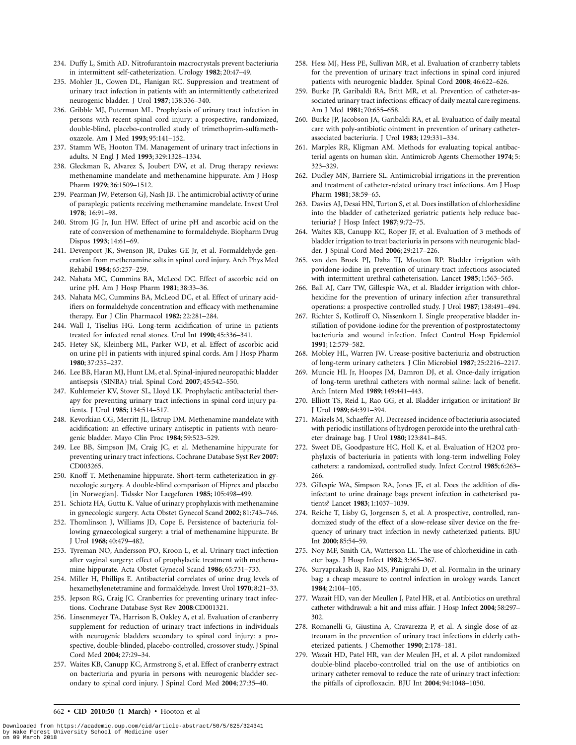- 234. Duffy L, Smith AD. Nitrofurantoin macrocrystals prevent bacteriuria in intermittent self-catheterization. Urology **1982**; 20:47–49.
- 235. Mohler JL, Cowen DL, Flanigan RC. Suppression and treatment of urinary tract infection in patients with an intermittently catheterized neurogenic bladder. J Urol **1987**; 138:336–340.
- 236. Gribble MJ, Puterman ML. Prophylaxis of urinary tract infection in persons with recent spinal cord injury: a prospective, randomized, double-blind, placebo-controlled study of trimethoprim-sulfamethoxazole. Am J Med **1993**; 95:141–152.
- 237. Stamm WE, Hooton TM. Management of urinary tract infections in adults. N Engl J Med **1993**; 329:1328–1334.
- 238. Gleckman R, Alvarez S, Joubert DW, et al. Drug therapy reviews: methenamine mandelate and methenamine hippurate. Am J Hosp Pharm **1979**; 36:1509–1512.
- 239. Pearman JW, Peterson GJ, Nash JB. The antimicrobial activity of urine of paraplegic patients receiving methenamine mandelate. Invest Urol **1978**; 16:91–98.
- 240. Strom JG Jr, Jun HW. Effect of urine pH and ascorbic acid on the rate of conversion of methenamine to formaldehyde. Biopharm Drug Dispos **1993**; 14:61–69.
- 241. Devenport JK, Swenson JR, Dukes GE Jr, et al. Formaldehyde generation from methenamine salts in spinal cord injury. Arch Phys Med Rehabil **1984**; 65:257–259.
- 242. Nahata MC, Cummins BA, McLeod DC. Effect of ascorbic acid on urine pH. Am J Hosp Pharm **1981**; 38:33–36.
- 243. Nahata MC, Cummins BA, McLeod DC, et al. Effect of urinary acidifiers on formaldehyde concentration and efficacy with methenamine therapy. Eur J Clin Pharmacol **1982**; 22:281–284.
- 244. Wall I, Tiselius HG. Long-term acidification of urine in patients treated for infected renal stones. Urol Int **1990**; 45:336–341.
- 245. Hetey SK, Kleinberg ML, Parker WD, et al. Effect of ascorbic acid on urine pH in patients with injured spinal cords. Am J Hosp Pharm **1980**; 37:235–237.
- 246. Lee BB, Haran MJ, Hunt LM, et al. Spinal-injured neuropathic bladder antisepsis (SINBA) trial. Spinal Cord **2007**; 45:542–550.
- 247. Kuhlemeier KV, Stover SL, Lloyd LK. Prophylactic antibacterial therapy for preventing urinary tract infections in spinal cord injury patients. J Urol **1985**; 134:514–517.
- 248. Kevorkian CG, Merritt JL, Ilstrup DM. Methenamine mandelate with acidification: an effective urinary antiseptic in patients with neurogenic bladder. Mayo Clin Proc **1984**; 59:523–529.
- 249. Lee BB, Simpson JM, Craig JC, et al. Methenamine hippurate for preventing urinary tract infections. Cochrane Database Syst Rev **2007**: CD003265.
- 250. Knoff T. Methenamine hippurate. Short-term catheterization in gynecologic surgery. A double-blind comparison of Hiprex and placebo [in Norwegian]. Tidsskr Nor Laegeforen **1985**; 105:498–499.
- 251. Schiotz HA, Guttu K. Value of urinary prophylaxis with methenamine in gynecologic surgery. Acta Obstet Gynecol Scand **2002**; 81:743–746.
- 252. Thomlinson J, Williams JD, Cope E. Persistence of bacteriuria following gynaecological surgery: a trial of methenamine hippurate. Br J Urol **1968**; 40:479–482.
- 253. Tyreman NO, Andersson PO, Kroon L, et al. Urinary tract infection after vaginal surgery: effect of prophylactic treatment with methenamine hippurate. Acta Obstet Gynecol Scand **1986**; 65:731–733.
- 254. Miller H, Phillips E. Antibacterial correlates of urine drug levels of hexamethylenetetramine and formaldehyde. Invest Urol **1970**; 8:21–33.
- 255. Jepson RG, Craig JC. Cranberries for preventing urinary tract infections. Cochrane Database Syst Rev **2008**:CD001321.
- 256. Linsenmeyer TA, Harrison B, Oakley A, et al. Evaluation of cranberry supplement for reduction of urinary tract infections in individuals with neurogenic bladders secondary to spinal cord injury: a prospective, double-blinded, placebo-controlled, crossover study. J Spinal Cord Med **2004**; 27:29–34.
- 257. Waites KB, Canupp KC, Armstrong S, et al. Effect of cranberry extract on bacteriuria and pyuria in persons with neurogenic bladder secondary to spinal cord injury. J Spinal Cord Med **2004**; 27:35–40.
- 258. Hess MJ, Hess PE, Sullivan MR, et al. Evaluation of cranberry tablets for the prevention of urinary tract infections in spinal cord injured patients with neurogenic bladder. Spinal Cord **2008**; 46:622–626.
- 259. Burke JP, Garibaldi RA, Britt MR, et al. Prevention of catheter-associated urinary tract infections: efficacy of daily meatal care regimens. Am J Med **1981**; 70:655–658.
- 260. Burke JP, Jacobson JA, Garibaldi RA, et al. Evaluation of daily meatal care with poly-antibiotic ointment in prevention of urinary catheterassociated bacteriuria. J Urol **1983**; 129:331–334.
- 261. Marples RR, Kligman AM. Methods for evaluating topical antibacterial agents on human skin. Antimicrob Agents Chemother **1974**; 5: 323–329.
- 262. Dudley MN, Barriere SL. Antimicrobial irrigations in the prevention and treatment of catheter-related urinary tract infections. Am J Hosp Pharm **1981**; 38:59–65.
- 263. Davies AJ, Desai HN, Turton S, et al. Does instillation of chlorhexidine into the bladder of catheterized geriatric patients help reduce bacteriuria? J Hosp Infect **1987**; 9:72–75.
- 264. Waites KB, Canupp KC, Roper JF, et al. Evaluation of 3 methods of bladder irrigation to treat bacteriuria in persons with neurogenic bladder. J Spinal Cord Med **2006**; 29:217–226.
- 265. van den Broek PJ, Daha TJ, Mouton RP. Bladder irrigation with povidone-iodine in prevention of urinary-tract infections associated with intermittent urethral catheterisation. Lancet **1985**; 1:563–565.
- 266. Ball AJ, Carr TW, Gillespie WA, et al. Bladder irrigation with chlorhexidine for the prevention of urinary infection after transurethral operations: a prospective controlled study. J Urol **1987**; 138:491–494.
- 267. Richter S, Kotliroff O, Nissenkorn I. Single preoperative bladder instillation of povidone-iodine for the prevention of postprostatectomy bacteriuria and wound infection. Infect Control Hosp Epidemiol **1991**; 12:579–582.
- 268. Mobley HL, Warren JW. Urease-positive bacteriuria and obstruction of long-term urinary catheters. J Clin Microbiol **1987**; 25:2216–2217.
- 269. Muncie HL Jr, Hoopes JM, Damron DJ, et al. Once-daily irrigation of long-term urethral catheters with normal saline: lack of benefit. Arch Intern Med **1989**; 149:441–443.
- 270. Elliott TS, Reid L, Rao GG, et al. Bladder irrigation or irritation? Br J Urol **1989**; 64:391–394.
- 271. Maizels M, Schaeffer AJ. Decreased incidence of bacteriuria associated with periodic instillations of hydrogen peroxide into the urethral catheter drainage bag. J Urol **1980**; 123:841–845.
- 272. Sweet DE, Goodpasture HC, Holl K, et al. Evaluation of H2O2 prophylaxis of bacteriuria in patients with long-term indwelling Foley catheters: a randomized, controlled study. Infect Control **1985**; 6:263– 266.
- 273. Gillespie WA, Simpson RA, Jones JE, et al. Does the addition of disinfectant to urine drainage bags prevent infection in catheterised patients? Lancet **1983**; 1:1037–1039.
- 274. Reiche T, Lisby G, Jorgensen S, et al. A prospective, controlled, randomized study of the effect of a slow-release silver device on the frequency of urinary tract infection in newly catheterized patients. BJU Int **2000**; 85:54–59.
- 275. Noy MF, Smith CA, Watterson LL. The use of chlorhexidine in catheter bags. J Hosp Infect **1982**; 3:365–367.
- 276. Suryaprakash B, Rao MS, Panigrahi D, et al. Formalin in the urinary bag: a cheap measure to control infection in urology wards. Lancet **1984**; 2:104–105.
- 277. Wazait HD, van der Meullen J, Patel HR, et al. Antibiotics on urethral catheter withdrawal: a hit and miss affair. J Hosp Infect **2004**; 58:297– 302.
- 278. Romanelli G, Giustina A, Cravarezza P, et al. A single dose of aztreonam in the prevention of urinary tract infections in elderly catheterized patients. J Chemother **1990**; 2:178–181.
- 279. Wazait HD, Patel HR, van der Meulen JH, et al. A pilot randomized double-blind placebo-controlled trial on the use of antibiotics on urinary catheter removal to reduce the rate of urinary tract infection: the pitfalls of ciprofloxacin. BJU Int **2004**; 94:1048–1050.